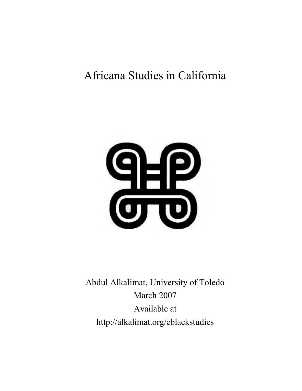# Africana Studies in California



Abdul Alkalimat, University of Toledo March 2007 Available at http://alkalimat.org/eblackstudies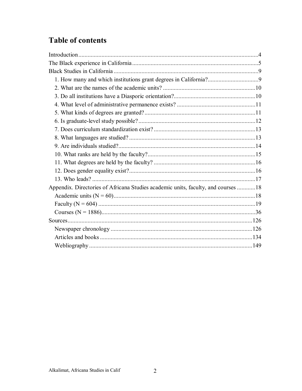# **Table of contents**

| Appendix. Directories of Africana Studies academic units, faculty, and courses 18 |  |
|-----------------------------------------------------------------------------------|--|
|                                                                                   |  |
|                                                                                   |  |
|                                                                                   |  |
|                                                                                   |  |
|                                                                                   |  |
|                                                                                   |  |
|                                                                                   |  |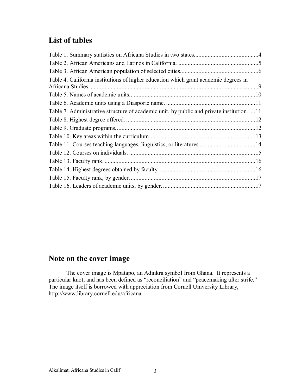# **List of tables**

| Table 4. California institutions of higher education which grant academic degrees in<br>Africana Studies. |  |
|-----------------------------------------------------------------------------------------------------------|--|
|                                                                                                           |  |
|                                                                                                           |  |
| Table 7. Administrative structure of academic unit, by public and private institution. 11                 |  |
|                                                                                                           |  |
|                                                                                                           |  |
|                                                                                                           |  |
| Table 11. Courses teaching languages, linguistics, or literatures14                                       |  |
|                                                                                                           |  |
|                                                                                                           |  |
|                                                                                                           |  |
|                                                                                                           |  |
|                                                                                                           |  |
|                                                                                                           |  |

# **Note on the cover image**

The cover image is Mpatapo, an Adinkra symbol from Ghana. It represents a particular knot, and has been defined as "reconciliation" and "peacemaking after strife." The image itself is borrowed with appreciation from Cornell University Library, http://www.library.cornell.edu/africana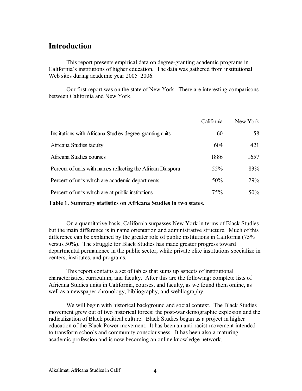### **Introduction**

This report presents empirical data on degree-granting academic programs in California's institutions of higher education. The data was gathered from institutional Web sites during academic year 2005–2006.

Our first report was on the state of New York. There are interesting comparisons between California and New York.

|                                                             | California | New York |
|-------------------------------------------------------------|------------|----------|
| Institutions with Africana Studies degree-granting units    | 60         | 58       |
| Africana Studies faculty                                    | 604        | 421      |
| Africana Studies courses                                    | 1886       | 1657     |
| Percent of units with names reflecting the African Diaspora | 55%        | 83%      |
| Percent of units which are academic departments             | 50%        | 29%      |
| Percent of units which are at public institutions           | 75%        | 50%      |

**Table 1. Summary statistics on Africana Studies in two states.** 

On a quantitative basis, California surpasses New York in terms of Black Studies but the main difference is in name orientation and administrative structure. Much of this difference can be explained by the greater role of public institutions in California (75% versus 50%). The struggle for Black Studies has made greater progress toward departmental permanence in the public sector, while private elite institutions specialize in centers, institutes, and programs.

This report contains a set of tables that sums up aspects of institutional characteristics, curriculum, and faculty. After this are the following: complete lists of Africana Studies units in California, courses, and faculty, as we found them online, as well as a newspaper chronology, bibliography, and webliography.

We will begin with historical background and social context. The Black Studies movement grew out of two historical forces: the post-war demographic explosion and the radicalization of Black political culture. Black Studies began as a project in higher education of the Black Power movement. It has been an anti-racist movement intended to transform schools and community consciousness. It has been also a maturing academic profession and is now becoming an online knowledge network.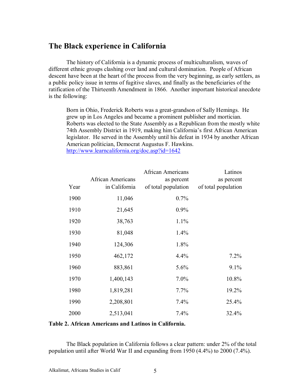### **The Black experience in California**

The history of California is a dynamic process of multiculturalism, waves of different ethnic groups clashing over land and cultural domination. People of African descent have been at the heart of the process from the very beginning, as early settlers, as a public policy issue in terms of fugitive slaves, and finally as the beneficiaries of the ratification of the Thirteenth Amendment in 1866. Another important historical anecdote is the following:

Born in Ohio, Frederick Roberts was a great-grandson of Sally Hemings. He grew up in Los Angeles and became a prominent publisher and mortician. Roberts was elected to the State Assembly as a Republican from the mostly white 74th Assembly District in 1919, making him California's first African American legislator. He served in the Assembly until his defeat in 1934 by another African American politician, Democrat Augustus F. Hawkins. http://www.learncalifornia.org/doc.asp?id=1642

|      | <b>African Americans</b> | African Americans<br>as percent | Latinos<br>as percent |
|------|--------------------------|---------------------------------|-----------------------|
| Year | in California            | of total population             | of total population   |
| 1900 | 11,046                   | 0.7%                            |                       |
| 1910 | 21,645                   | 0.9%                            |                       |
| 1920 | 38,763                   | 1.1%                            |                       |
| 1930 | 81,048                   | 1.4%                            |                       |
| 1940 | 124,306                  | 1.8%                            |                       |
| 1950 | 462,172                  | 4.4%                            | 7.2%                  |
| 1960 | 883,861                  | 5.6%                            | 9.1%                  |
| 1970 | 1,400,143                | 7.0%                            | 10.8%                 |
| 1980 | 1,819,281                | 7.7%                            | 19.2%                 |
| 1990 | 2,208,801                | 7.4%                            | 25.4%                 |
| 2000 | 2,513,041                | 7.4%                            | 32.4%                 |

**Table 2. African Americans and Latinos in California.** 

The Black population in California follows a clear pattern: under 2% of the total population until after World War II and expanding from 1950 (4.4%) to 2000 (7.4%).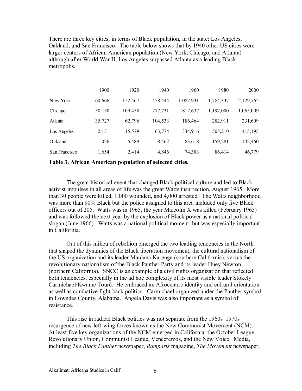There are three key cities, in terms of Black population, in the state: Los Angeles, Oakland, and San Francisco. The table below shows that by 1940 other US cities were larger centers of African American population (New York, Chicago, and Atlanta) although after World War II, Los Angeles surpassed Atlanta as a leading Black metropolis.

|               | 1900   | 1920    | 1940    | 1960      | 1980      | 2000      |
|---------------|--------|---------|---------|-----------|-----------|-----------|
| New York      | 60,666 | 152,467 | 458,444 | 1,087,931 | 1,784,337 | 2,129,762 |
| Chicago       | 30,150 | 109,458 | 277,731 | 812,637   | 1,197,000 | 1,065,009 |
| Atlanta       | 35,727 | 62,796  | 104,533 | 186,464   | 282,911   | 231,609   |
| Los Angeles   | 2,131  | 15,579  | 63,774  | 334,916   | 505,210   | 415,195   |
| Oakland       | 1,026  | 5,489   | 8,462   | 83,618    | 159,281   | 142,460   |
| San Francisco | 1,654  | 2,414   | 4,846   | 74,383    | 86,414    | 46,779    |

**Table 3. African American population of selected cities.** 

The great historical event that changed Black political culture and led to Black activist impulses in all areas of life was the great Watts insurrection, August 1965. More than 30 people were killed, 1,000 wounded, and 4,000 arrested. The Watts neighborhood was more than 90% Black but the police assigned to this area included only five Black officers out of 205. Watts was in 1965, the year Malcolm X was killed (February 1965) and was followed the next year by the explosion of Black power as a national political slogan (June 1966). Watts was a national political moment, but was especially important in California.

Out of this milieu of rebellion emerged the two leading tendencies in the North that shaped the dynamics of the Black liberation movement, the cultural nationalism of the US organization and its leader Maulana Karenga (southern California), versus the revolutionary nationalism of the Black Panther Party and its leader Huey Newton (northern California). SNCC is an example of a civil rights organization that reflected both tendencies, especially in the ad hoc complexity of its most visible leader Stokely Carmichael/Kwame Touré. He embraced an Afrocentric identity and cultural orientation as well as combative fight-back politics. Carmichael organized under the Panther symbol in Lowndes County, Alabama. Angela Davis was also important as a symbol of resistance.

This rise in radical Black politics was not separate from the  $1960s-1970s$ resurgence of new left-wing forces known as the New Communist Movement (NCM). At least five key organizations of the NCM emerged in California: the October League, Revolutionary Union, Communist League, Venceremos, and the New Voice. Media, including *The Black Panther* newspaper, *Ramparts* magazine, *The Movement* newspaper,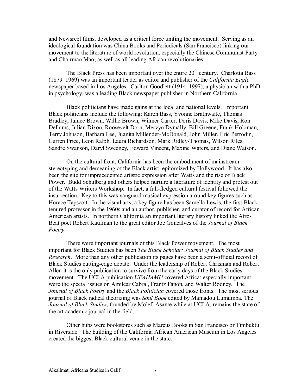and Newsreel films, developed as a critical force uniting the movement. Serving as an ideological foundation was China Books and Periodicals (San Francisco) linking our movement to the literature of world revolution, especially the Chinese Communist Party and Chairman Mao, as well as all leading African revolutionaries.

The Black Press has been important over the entire  $20<sup>th</sup>$  century. Charlotta Bass (1879–1969) was an important leader as editor and publisher of the *California Eagle* newspaper based in Los Angeles. Carlton Goodlett (1914–1997), a physician with a PhD in psychology, was a leading Black newspaper publisher in Northern California.

Black politicians have made gains at the local and national levels. Important Black politicians include the following: Karen Bass, Yvonne Brathwaite, Thomas Bradley, Janice Brown, Willie Brown, Wilmer Carter, Doris Davis, Mike Davis, Ron Dellums, Julian Dixon, Roosevelt Dorn, Mervyn Dymally, Bill Greene, Frank Holoman, Terry Johnson, Barbara Lee, Juanita Millender-McDonald, John Miller, Eric Perrodin, Curren Price, Leon Ralph, Laura Richardson, Mark Ridley-Thomas, Wilson Riles, Sandre Swanson, Daryl Sweeney, Edward Vincent, Maxine Waters, and Diane Watson.

On the cultural front, California has been the embodiment of mainstream stereotyping and demeaning of the Black artist, epitomized by Hollywood. It has also been the site for unprecedented artistic expression after Watts and the rise of Black Power. Budd Schulberg and others helped nurture a literature of identity and protest out of the Watts Writers Workshop. In fact, a full-fledged cultural festival followed the insurrection. Key to this was vanguard musical expression around key figures such as Horace Tapscott. In the visual arts, a key figure has been Samella Lewis, the first Black tenured professor in the 1960s and an author, publisher, and curator of record for African American artists. In northern California an important literary history linked the Afro-Beat poet Robert Kaufman to the great editor Joe Goncalves of the *Journal of Black Poetry*.

There were important journals of this Black Power movement. The most important for Black Studies has been *The Black Scholar: Journal of Black Studies and Research*. More than any other publication its pages have been a semi-official record of Black Studies cutting-edge debate. Under the leadership of Robert Chrisman and Robert Allen it is the only publication to survive from the early days of the Black Studies movement. The UCLA publication *UFAHAMU* covered Africa; especially important were the special issues on Amilcar Cabral, Frantz Fanon, and Walter Rodney. The *Journal of Black Poetry* and the *Black Politician* covered those fronts. The most serious journal of Black radical theorizing was *Soul Book* edited by Mamadou Lumumba. The *Journal of Black Studies*, founded by Molefi Asante while at UCLA, remains the state of the art academic journal in the field.

Other hubs were bookstores such as Marcus Books in San Francisco or Timbuktu in Riverside. The building of the California African American Museum in Los Angeles created the biggest Black cultural venue in the state.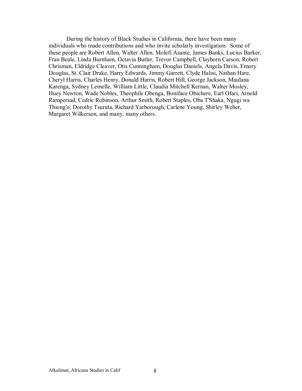During the history of Black Studies in California, there have been many individuals who made contributions and who invite scholarly investigation. Some of these people are Robert Allen, Walter Allen, Molefi Asante, James Banks, Lucius Barker, Fran Beale, Linda Burnham, Octavia Butler, Trevor Campbell, Clayborn Carson, Robert Chrisman, Eldridge Cleaver, Otis Cunningham, Douglas Daniels, Angela Davis, Emory Douglas, St. Clair Drake, Harry Edwards, Jimmy Garrett, Clyde Halisi, Nathan Hare, Cheryl Harris, Charles Henry, Donald Harris, Robert Hill, George Jackson, Maulana Karenga, Sydney Lemelle, William Little, Claudia Mitchell Kernan, Walter Mosley, Huey Newton, Wade Nobles, Theophile Obenga, Boniface Obichere, Earl Ofari, Arnold Rampersad, Cedric Robinson, Arthur Smith, Robert Staples, Oba T'Shaka, Ngugi wa Thiong'o, Dorothy Tsuruta, Richard Yarborough, Carlene Young, Shirley Weber, Margaret Wilkerson, and many, many others.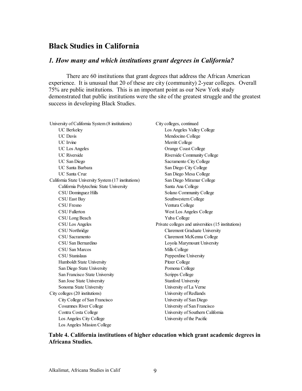## **Black Studies in California**

### *1. How many and which institutions grant degrees in California?*

There are 60 institutions that grant degrees that address the African American experience. It is unusual that 20 of these are city (community) 2-year colleges. Overall 75% are public institutions. This is an important point as our New York study demonstrated that public institutions were the site of the greatest struggle and the greatest success in developing Black Studies.

| City colleges, continued                            |
|-----------------------------------------------------|
| Los Angeles Valley College                          |
| Mendocino College                                   |
| Merritt College                                     |
| Orange Coast College                                |
| Riverside Community College                         |
| Sacramento City College                             |
| San Diego City College                              |
| San Diego Mesa College                              |
| San Diego Miramar College                           |
| Santa Ana College                                   |
| Solano Community College                            |
| Southwestern College                                |
| Ventura College                                     |
| West Los Angeles College                            |
| Yuba College                                        |
| Private colleges and universities (15 institutions) |
| <b>Claremont Graduate University</b>                |
| Claremont McKenna College                           |
| Loyola Marymount University                         |
| Mills College                                       |
| Pepperdine University                               |
| Pitzer College                                      |
| Pomona College                                      |
| Scripps College                                     |
| <b>Stanford University</b>                          |
| University of La Verne                              |
| University of Redlands                              |
| University of San Diego                             |
| University of San Francisco                         |
| University of Southern California                   |
| University of the Pacific                           |
|                                                     |
|                                                     |

#### **Table 4. California institutions of higher education which grant academic degrees in Africana Studies.**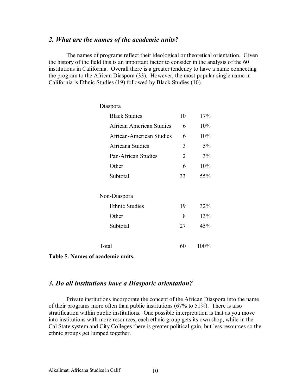#### *2. What are the names of the academic units?*

The names of programs reflect their ideological or theoretical orientation. Given the history of the field this is an important factor to consider in the analysis of the 60 institutions in California. Overall there is a greater tendency to have a name connecting the program to the African Diaspora (33). However, the most popular single name in California is Ethnic Studies (19) followed by Black Studies (10).

| Diaspora                        |                |       |
|---------------------------------|----------------|-------|
| <b>Black Studies</b>            | 10             | 17%   |
| <b>African American Studies</b> | 6              | 10%   |
| <b>African-American Studies</b> | 6              | 10%   |
| Africana Studies                | 3              | $5\%$ |
| Pan-African Studies             | $\overline{2}$ | 3%    |
| Other                           | 6              | 10%   |
| Subtotal                        | 33             | 55%   |
| Non-Diaspora                    |                |       |
| <b>Ethnic Studies</b>           | 19             | 32%   |
| Other                           | 8              | 13%   |
| Subtotal                        | 27             | 45%   |
| Total                           | 60             | 100%  |

**Table 5. Names of academic units.** 

#### *3. Do all institutions have a Diasporic orientation?*

Private institutions incorporate the concept of the African Diaspora into the name of their programs more often than public institutions (67% to 51%). There is also stratification within public institutions. One possible interpretation is that as you move into institutions with more resources, each ethnic group gets its own shop, while in the Cal State system and City Colleges there is greater political gain, but less resources so the ethnic groups get lumped together.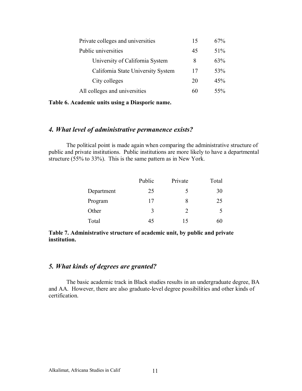| Private colleges and universities  | 15 | $67\%$ |
|------------------------------------|----|--------|
| Public universities                | 45 | $51\%$ |
| University of California System    | 8  | 63%    |
| California State University System | 17 | 53%    |
| City colleges                      | 20 | 45%    |
| All colleges and universities      | 60 | $55\%$ |

**Table 6. Academic units using a Diasporic name.** 

#### *4. What level of administrative permanence exists?*

The political point is made again when comparing the administrative structure of public and private institutions. Public institutions are more likely to have a departmental structure (55% to 33%). This is the same pattern as in New York.

|            | Public | Private                     | Total |
|------------|--------|-----------------------------|-------|
| Department | 25     | 5                           | 30    |
| Program    | 17     | 8                           | 25    |
| Other      | 3      | $\mathcal{D}_{\mathcal{L}}$ |       |
| Total      | 45     | 15                          | 60    |

**Table 7. Administrative structure of academic unit, by public and private institution.** 

#### *5. What kinds of degrees are granted?*

The basic academic track in Black studies results in an undergraduate degree, BA and AA. However, there are also graduate-level degree possibilities and other kinds of certification.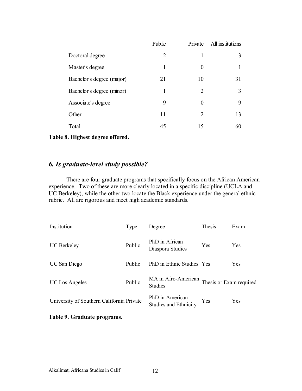|                           | Public         | Private        | All institutions |
|---------------------------|----------------|----------------|------------------|
| Doctoral degree           | $\overline{2}$ | 1              | 3                |
| Master's degree           | 1              | $\Omega$       |                  |
| Bachelor's degree (major) | 21             | 10             | 31               |
| Bachelor's degree (minor) | 1              | $\mathfrak{D}$ | 3                |
| Associate's degree        | 9              | $\Omega$       | 9                |
| Other                     | 11             | 2              | 13               |
| Total                     | 45             | 15             | 60               |
|                           |                |                |                  |

**Table 8. Highest degree offered.** 

### *6. Is graduate-level study possible?*

There are four graduate programs that specifically focus on the African American experience. Two of these are more clearly located in a specific discipline (UCLA and UC Berkeley), while the other two locate the Black experience under the general ethnic rubric. All are rigorous and meet high academic standards.

| Institution                               | Type   | Degree                                          | Thesis                  | Exam |
|-------------------------------------------|--------|-------------------------------------------------|-------------------------|------|
| <b>UC</b> Berkeley                        | Public | PhD in African<br>Diaspora Studies              | Yes                     | Yes  |
| UC San Diego                              | Public | PhD in Ethnic Studies Yes                       |                         | Yes  |
| UC Los Angeles                            | Public | MA in Afro-American<br><b>Studies</b>           | Thesis or Exam required |      |
| University of Southern California Private |        | PhD in American<br><b>Studies and Ethnicity</b> | <b>Yes</b>              | Yes  |

#### **Table 9. Graduate programs.**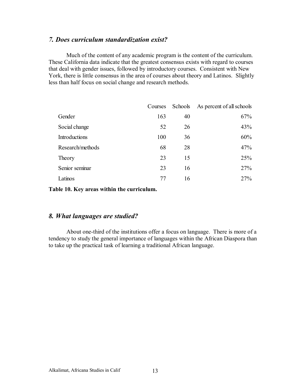#### *7. Does curriculum standardization exist?*

Much of the content of any academic program is the content of the curriculum. These California data indicate that the greatest consensus exists with regard to courses that deal with gender issues, followed by introductory courses. Consistent with New York, there is little consensus in the area of courses about theory and Latinos. Slightly less than half focus on social change and research methods.

|                  | Courses | Schools | As percent of all schools |
|------------------|---------|---------|---------------------------|
| Gender           | 163     | 40      | 67%                       |
| Social change    | 52      | 26      | 43%                       |
| Introductions    | 100     | 36      | 60%                       |
| Research/methods | 68      | 28      | 47%                       |
| Theory           | 23      | 15      | 25%                       |
| Senior seminar   | 23      | 16      | 27%                       |
| Latinos          | 77      | 16      | 27%                       |

**Table 10. Key areas within the curriculum.** 

#### *8. What languages are studied?*

About one-third of the institutions offer a focus on language. There is more of a tendency to study the general importance of languages within the African Diaspora than to take up the practical task of learning a traditional African language.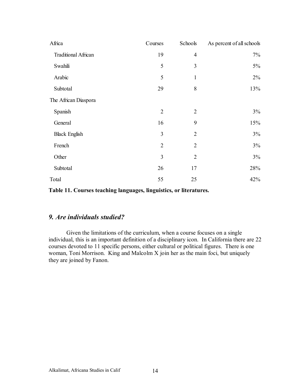| Africa                     | Courses        | Schools        | As percent of all schools |
|----------------------------|----------------|----------------|---------------------------|
| <b>Traditional African</b> | 19             | $\overline{4}$ | 7%                        |
| Swahili                    | 5              | 3              | $5\%$                     |
| Arabic                     | 5              | 1              | 2%                        |
| Subtotal                   | 29             | 8              | 13%                       |
| The African Diaspora       |                |                |                           |
| Spanish                    | $\overline{2}$ | $\overline{2}$ | $3\%$                     |
| General                    | 16             | 9              | 15%                       |
| <b>Black English</b>       | 3              | $\overline{2}$ | 3%                        |
| French                     | $\overline{2}$ | $\overline{2}$ | 3%                        |
| Other                      | 3              | $\overline{2}$ | 3%                        |
| Subtotal                   | 26             | 17             | 28%                       |
| Total                      | 55             | 25             | 42%                       |

**Table 11. Courses teaching languages, linguistics, or literatures.** 

### *9. Are individuals studied?*

Given the limitations of the curriculum, when a course focuses on a single individual, this is an important definition of a disciplinary icon. In California there are 22 courses devoted to 11 specific persons, either cultural or political figures. There is one woman, Toni Morrison. King and Malcolm X join her as the main foci, but uniquely they are joined by Fanon.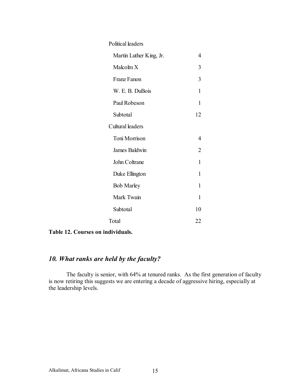| Political leaders       |                |
|-------------------------|----------------|
| Martin Luther King, Jr. | 4              |
| Malcolm X               | 3              |
| Franz Fanon             | 3              |
| W. E. B. DuBois         | 1              |
| Paul Robeson            | 1              |
| Subtotal                | 12             |
| Cultural leaders        |                |
| Toni Morrison           | 4              |
| James Baldwin           | $\overline{2}$ |
| John Coltrane           | 1              |
| Duke Ellington          | 1              |
| <b>Bob Marley</b>       | 1              |
| Mark Twain              | 1              |
| Subtotal                | 10             |
| Total                   | 22             |



### *10. What ranks are held by the faculty?*

The faculty is senior, with 64% at tenured ranks. As the first generation of faculty is now retiring this suggests we are entering a decade of aggressive hiring, especially at the leadership levels.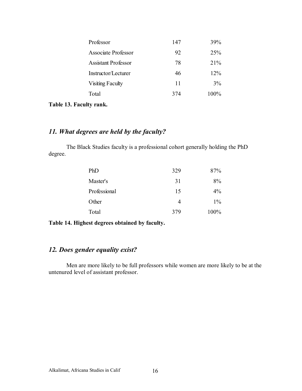| Professor                  | 147 | 39%             |
|----------------------------|-----|-----------------|
| <b>Associate Professor</b> | 92  | 25 <sup>%</sup> |
| <b>Assistant Professor</b> | 78  | 21%             |
| Instructor/Lecturer        | 46  | $12\%$          |
| <b>Visiting Faculty</b>    | 11  | 3%              |
| Total                      | 374 | 100%            |
|                            |     |                 |

**Table 13. Faculty rank.** 

# *11. What degrees are held by the faculty?*

The Black Studies faculty is a professional cohort generally holding the PhD degree.

| 329 | 87%   |
|-----|-------|
| 31  | 8%    |
| 15  | $4\%$ |
| 4   | $1\%$ |
| 379 | 100%  |
|     |       |

**Table 14. Highest degrees obtained by faculty.** 

#### *12. Does gender equality exist?*

Men are more likely to be full professors while women are more likely to be at the untenured level of assistant professor.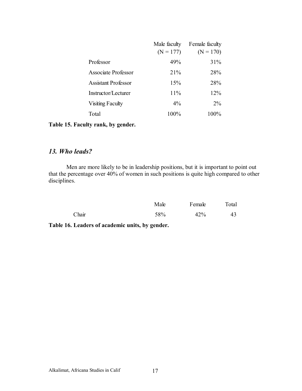|                            | Male faculty | Female faculty |
|----------------------------|--------------|----------------|
|                            | $(N = 177)$  | $(N = 170)$    |
| Professor                  | 49%          | 31%            |
| <b>Associate Professor</b> | 21%          | 28%            |
| <b>Assistant Professor</b> | 15%          | 28%            |
| Instructor/Lecturer        | 11%          | 12%            |
| <b>Visiting Faculty</b>    | $4\%$        | $2\%$          |
| Total                      | 100%         | 100%           |

**Table 15. Faculty rank, by gender.** 

### *13. Who leads?*

Men are more likely to be in leadership positions, but it is important to point out that the percentage over 40% of women in such positions is quite high compared to other disciplines.

|       | Male | Female | Total |
|-------|------|--------|-------|
| Chair | 58%  | 42%    | 43    |

**Table 16. Leaders of academic units, by gender.**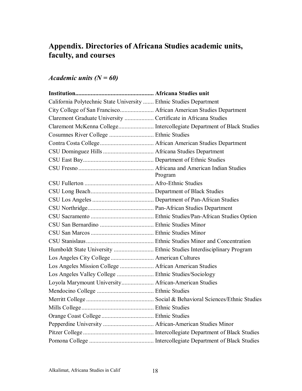# **Appendix. Directories of Africana Studies academic units, faculty, and courses**

# *Academic units (N = 60)*

| California Polytechnic State University  Ethnic Studies Department |         |
|--------------------------------------------------------------------|---------|
|                                                                    |         |
| Claremont Graduate University  Certificate in Africana Studies     |         |
|                                                                    |         |
|                                                                    |         |
|                                                                    |         |
|                                                                    |         |
|                                                                    |         |
|                                                                    | Program |
|                                                                    |         |
|                                                                    |         |
|                                                                    |         |
|                                                                    |         |
|                                                                    |         |
|                                                                    |         |
|                                                                    |         |
|                                                                    |         |
|                                                                    |         |
|                                                                    |         |
| Los Angeles Mission College  African American Studies              |         |
|                                                                    |         |
| Loyola Marymount University African-American Studies               |         |
|                                                                    |         |
|                                                                    |         |
|                                                                    |         |
|                                                                    |         |
|                                                                    |         |
|                                                                    |         |
|                                                                    |         |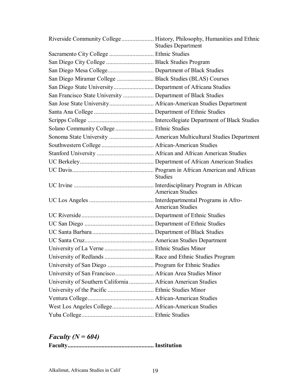|                                                             | Riverside Community College  History, Philosophy, Humanities and Ethnic<br><b>Studies Department</b> |
|-------------------------------------------------------------|------------------------------------------------------------------------------------------------------|
| Sacramento City College  Ethnic Studies                     |                                                                                                      |
|                                                             |                                                                                                      |
| San Diego Mesa College Department of Black Studies          |                                                                                                      |
| San Diego Miramar College  Black Studies (BLAS) Courses     |                                                                                                      |
|                                                             |                                                                                                      |
| San Francisco State University  Department of Black Studies |                                                                                                      |
|                                                             |                                                                                                      |
|                                                             |                                                                                                      |
|                                                             |                                                                                                      |
| Solano Community College  Ethnic Studies                    |                                                                                                      |
|                                                             |                                                                                                      |
|                                                             |                                                                                                      |
|                                                             |                                                                                                      |
|                                                             |                                                                                                      |
|                                                             | <b>Studies</b>                                                                                       |
|                                                             | <b>American Studies</b>                                                                              |
|                                                             | <b>American Studies</b>                                                                              |
|                                                             |                                                                                                      |
|                                                             |                                                                                                      |
|                                                             |                                                                                                      |
|                                                             |                                                                                                      |
|                                                             |                                                                                                      |
|                                                             |                                                                                                      |
| University of San Diego  Program for Ethnic Studies         |                                                                                                      |
| University of San Francisco  African Area Studies Minor     |                                                                                                      |
| University of Southern California  African American Studies |                                                                                                      |
|                                                             |                                                                                                      |
|                                                             |                                                                                                      |
| West Los Angeles College African-American Studies           |                                                                                                      |
|                                                             |                                                                                                      |

# *Faculty (N = 604)*

**Faculty........................................................ Institution**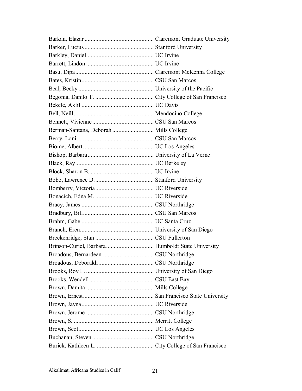| Berman-Santana, Deborah  Mills College |  |
|----------------------------------------|--|
|                                        |  |
|                                        |  |
|                                        |  |
|                                        |  |
|                                        |  |
|                                        |  |
|                                        |  |
|                                        |  |
|                                        |  |
|                                        |  |
|                                        |  |
|                                        |  |
|                                        |  |
|                                        |  |
|                                        |  |
|                                        |  |
|                                        |  |
|                                        |  |
|                                        |  |
|                                        |  |
|                                        |  |
|                                        |  |
|                                        |  |
|                                        |  |
|                                        |  |
|                                        |  |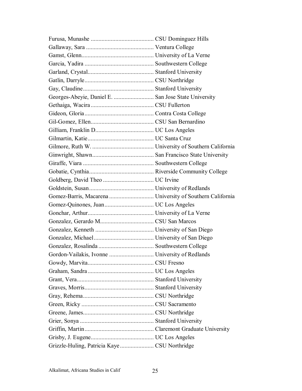| Georges-Abeyie, Daniel E.  San Jose State University |  |
|------------------------------------------------------|--|
|                                                      |  |
|                                                      |  |
|                                                      |  |
|                                                      |  |
|                                                      |  |
|                                                      |  |
|                                                      |  |
|                                                      |  |
|                                                      |  |
|                                                      |  |
|                                                      |  |
|                                                      |  |
|                                                      |  |
|                                                      |  |
|                                                      |  |
|                                                      |  |
|                                                      |  |
|                                                      |  |
|                                                      |  |
|                                                      |  |
|                                                      |  |
|                                                      |  |
|                                                      |  |
|                                                      |  |
|                                                      |  |
|                                                      |  |
|                                                      |  |
|                                                      |  |
|                                                      |  |
|                                                      |  |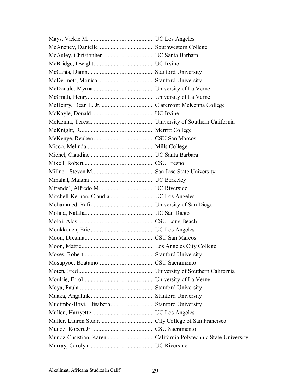| Mudimbe-Boyi, Elisabeth  Stanford University |  |
|----------------------------------------------|--|
|                                              |  |
|                                              |  |
|                                              |  |
|                                              |  |
|                                              |  |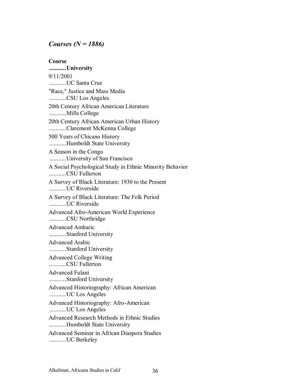#### *Courses (N = 1886)*

**Course ...........University**  9/11/2001 ...........UC Santa Cruz "Race," Justice and Mass Media ...........CSU Los Angeles 20th Century African American Literature ...........Mills College 20th Century African American Urban History ...........Claremont McKenna College 500 Years of Chicano History ...........Humboldt State University A Season in the Congo ...........University of San Francisco A Social Psychological Study in Ethnic Minority Behavior ...........CSU Fullerton A Survey of Black Literature: 1930 to the Present ...........UC Riverside A Survey of Black Literature: The Folk Period ...........UC Riverside Advanced Afro-American World Experience ...........CSU Northridge Advanced Amharic ...........Stanford University Advanced Arabic ...........Stanford University Advanced College Writing ...........CSU Fullerton Advanced Fulani ...........Stanford University Advanced Historiography: African American ...........UC Los Angeles Advanced Historiography: Afro-American ...........UC Los Angeles Advanced Research Methods in Ethnic Studies ...........Humboldt State University Advanced Seminar in African Diaspora Studies ...........UC Berkeley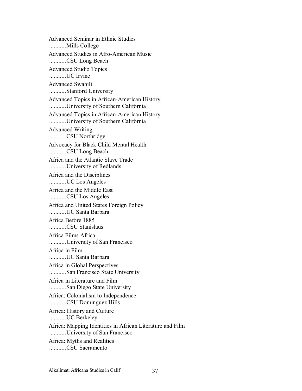Advanced Seminar in Ethnic Studies ...........Mills College Advanced Studies in Afro-American Music ...........CSU Long Beach Advanced Studio Topics ...........UC Irvine Advanced Swahili ...........Stanford University Advanced Topics in African-American History ...........University of Southern California Advanced Topics in African-American History ...........University of Southern California Advanced Writing ...........CSU Northridge Advocacy for Black Child Mental Health ...........CSU Long Beach Africa and the Atlantic Slave Trade ...........University of Redlands Africa and the Disciplines ...........UC Los Angeles Africa and the Middle East ...........CSU Los Angeles Africa and United States Foreign Policy ...........UC Santa Barbara Africa Before 1885 ...........CSU Stanislaus Africa Films Africa ...........University of San Francisco Africa in Film ...........UC Santa Barbara Africa in Global Perspectives ...........San Francisco State University Africa in Literature and Film ...........San Diego State University Africa: Colonialism to Independence ...........CSU Dominguez Hills Africa: History and Culture ...........UC Berkeley Africa: Mapping Identities in African Literature and Film ...........University of San Francisco Africa: Myths and Realities ...........CSU Sacramento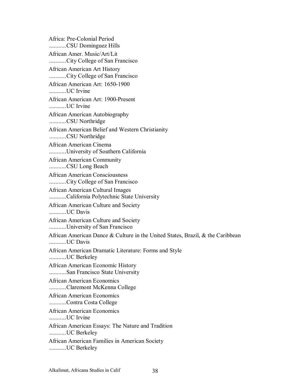Africa: Pre-Colonial Period ...........CSU Dominguez Hills African Amer. Music/Art/Lit ...........City College of San Francisco African American Art History ...........City College of San Francisco African American Art: 1650-1900 ...........UC Irvine African American Art: 1900-Present ...........UC Irvine African American Autobiography ...........CSU Northridge African American Belief and Western Christianity ...........CSU Northridge African American Cinema ...........University of Southern California African American Community ...........CSU Long Beach African American Consciousness ...........City College of San Francisco African American Cultural Images ...........California Polytechnic State University African American Culture and Society ...........UC Davis African American Culture and Society ...........University of San Francisco African American Dance & Culture in the United States, Brazil, & the Caribbean ...........UC Davis African American Dramatic Literature: Forms and Style ...........UC Berkeley African American Economic History ...........San Francisco State University African American Economics ...........Claremont McKenna College African American Economics ...........Contra Costa College African American Economics ...........UC Irvine African American Essays: The Nature and Tradition ...........UC Berkeley African American Families in American Society ...........UC Berkeley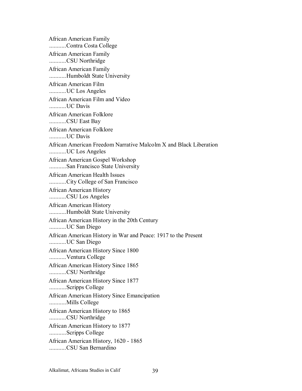African American Family ...........Contra Costa College African American Family ...........CSU Northridge African American Family ...........Humboldt State University African American Film ...........UC Los Angeles African American Film and Video ...........UC Davis African American Folklore ...........CSU East Bay African American Folklore ...........UC Davis African American Freedom Narrative Malcolm X and Black Liberation ...........UC Los Angeles African American Gospel Workshop ...........San Francisco State University African American Health Issues ...........City College of San Francisco African American History ...........CSU Los Angeles African American History ...........Humboldt State University African American History in the 20th Century ...........UC San Diego African American History in War and Peace: 1917 to the Present ...........UC San Diego African American History Since 1800 ...........Ventura College African American History Since 1865 ...........CSU Northridge African American History Since 1877 ...........Scripps College African American History Since Emancipation ...........Mills College African American History to 1865 ...........CSU Northridge African American History to 1877 ...........Scripps College African American History, 1620 - 1865 ...........CSU San Bernardino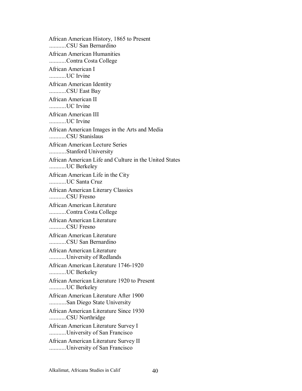African American History, 1865 to Present ...........CSU San Bernardino African American Humanities ...........Contra Costa College African American I ...........UC Irvine African American Identity ...........CSU East Bay African American II ...........UC Irvine African American III ...........UC Irvine African American Images in the Arts and Media ...........CSU Stanislaus African American Lecture Series ...........Stanford University African American Life and Culture in the United States ...........UC Berkeley African American Life in the City ...........UC Santa Cruz African American Literary Classics ...........CSU Fresno African American Literature ...........Contra Costa College African American Literature ...........CSU Fresno African American Literature ...........CSU San Bernardino African American Literature ...........University of Redlands African American Literature 1746-1920 ...........UC Berkeley African American Literature 1920 to Present ...........UC Berkeley African American Literature After 1900 ...........San Diego State University African American Literature Since 1930 ...........CSU Northridge African American Literature Survey I ...........University of San Francisco African American Literature Survey II ...........University of San Francisco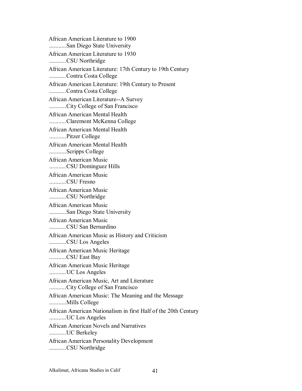African American Literature to 1900 ...........San Diego State University African American Literature to 1930 ...........CSU Northridge African American Literature: 17th Century to 19th Century ...........Contra Costa College African American Literature: 19th Century to Present ...........Contra Costa College African American Literature--A Survey ...........City College of San Francisco African American Mental Health ...........Claremont McKenna College African American Mental Health ...........Pitzer College African American Mental Health ...........Scripps College African American Music ...........CSU Dominguez Hills African American Music ...........CSU Fresno African American Music ...........CSU Northridge African American Music ...........San Diego State University African American Music ...........CSU San Bernardino African American Music as History and Criticism ...........CSU Los Angeles African American Music Heritage ...........CSU East Bay African American Music Heritage ...........UC Los Angeles African American Music, Art and Literature ...........City College of San Francisco African American Music: The Meaning and the Message ...........Mills College African American Nationalism in first Half of the 20th Century ...........UC Los Angeles African American Novels and Narratives ...........UC Berkeley African American Personality Development ...........CSU Northridge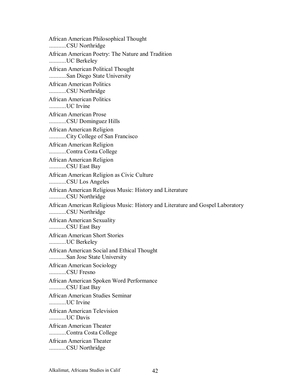African American Philosophical Thought ...........CSU Northridge African American Poetry: The Nature and Tradition ...........UC Berkeley African American Political Thought ...........San Diego State University African American Politics ...........CSU Northridge African American Politics ...........UC Irvine African American Prose ...........CSU Dominguez Hills African American Religion ...........City College of San Francisco African American Religion ...........Contra Costa College African American Religion ...........CSU East Bay African American Religion as Civic Culture ...........CSU Los Angeles African American Religious Music: History and Literature ...........CSU Northridge African American Religious Music: History and Literature and Gospel Laboratory ...........CSU Northridge African American Sexuality ...........CSU East Bay African American Short Stories ...........UC Berkeley African American Social and Ethical Thought ...........San Jose State University African American Sociology ...........CSU Fresno African American Spoken Word Performance ...........CSU East Bay African American Studies Seminar UC Irvine African American Television ...........UC Davis African American Theater ...........Contra Costa College African American Theater ...........CSU Northridge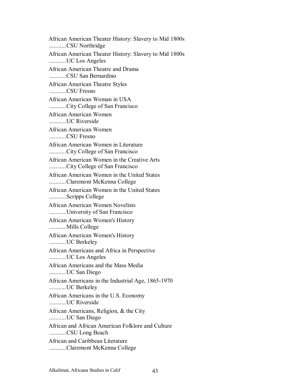African American Theater History: Slavery to Mid 1800s ...........CSU Northridge African American Theater History: Slavery to Mid 1800s ...........UC Los Angeles African American Theatre and Drama ...........CSU San Bernardino African American Theatre Styles ...........CSU Fresno African American Woman in USA ...........City College of San Francisco African American Women ...........UC Riverside African American Women ...........CSU Fresno African American Women in Literature ...........City College of San Francisco African American Women in the Creative Arts ...........City College of San Francisco African American Women in the United States ...........Claremont McKenna College African American Women in the United States ...........Scripps College African American Women Novelists ...........University of San Francisco African American Women's History ...........Mills College African American Women's History ...........UC Berkeley African Americans and Africa in Perspective ...........UC Los Angeles African Americans and the Mass Media ...........UC San Diego African Americans in the Industrial Age, 1865-1970 ...........UC Berkeley African Americans in the U.S. Economy IIC Riverside African Americans, Religion, & the City ...........UC San Diego African and African American Folklore and Culture ...........CSU Long Beach African and Caribbean Literature ...........Claremont McKenna College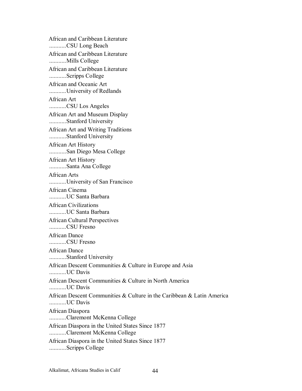African and Caribbean Literature ...........CSU Long Beach African and Caribbean Literature ...........Mills College African and Caribbean Literature ...........Scripps College African and Oceanic Art ...........University of Redlands African Art ...........CSU Los Angeles African Art and Museum Display ...........Stanford University African Art and Writing Traditions ...........Stanford University African Art History ...........San Diego Mesa College African Art History ...........Santa Ana College African Arts ...........University of San Francisco African Cinema ...........UC Santa Barbara African Civilizations ...........UC Santa Barbara African Cultural Perspectives ...........CSU Fresno African Dance ...........CSU Fresno African Dance ...........Stanford University African Descent Communities & Culture in Europe and Asia ...........UC Davis African Descent Communities & Culture in North America ...........UC Davis African Descent Communities & Culture in the Caribbean & Latin America ...........UC Davis African Diaspora ...........Claremont McKenna College African Diaspora in the United States Since 1877 ...........Claremont McKenna College African Diaspora in the United States Since 1877 ...........Scripps College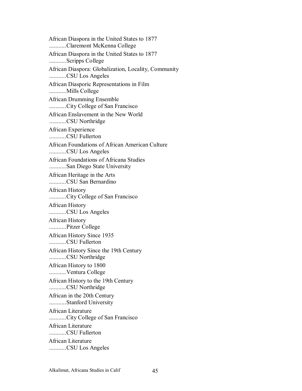African Diaspora in the United States to 1877 ...........Claremont McKenna College African Diaspora in the United States to 1877 ...........Scripps College African Diaspora: Globalization, Locality, Community ...........CSU Los Angeles African Diasporic Representations in Film ...........Mills College African Drumming Ensemble ...........City College of San Francisco African Enslavement in the New World ...........CSU Northridge African Experience ...........CSU Fullerton African Foundations of African American Culture ...........CSU Los Angeles African Foundations of Africana Studies ...........San Diego State University African Heritage in the Arts ...........CSU San Bernardino African History ...........City College of San Francisco African History ...........CSU Los Angeles African History ...........Pitzer College African History Since 1935 ...........CSU Fullerton African History Since the 19th Century ...........CSU Northridge African History to 1800 ...........Ventura College African History to the 19th Century ...........CSU Northridge African in the 20th Century ...........Stanford University African Literature ...........City College of San Francisco African Literature ...........CSU Fullerton African Literature ...........CSU Los Angeles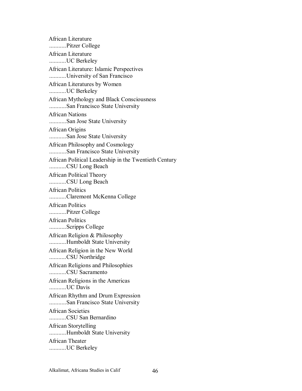African Literature ...........Pitzer College African Literature ...........UC Berkeley African Literature: Islamic Perspectives ...........University of San Francisco African Literatures by Women ...........UC Berkeley African Mythology and Black Consciousness ...........San Francisco State University African Nations ...........San Jose State University African Origins ...........San Jose State University African Philosophy and Cosmology ...........San Francisco State University African Political Leadership in the Twentieth Century ...........CSU Long Beach African Political Theory ...........CSU Long Beach African Politics ...........Claremont McKenna College African Politics ...........Pitzer College African Politics ...........Scripps College African Religion & Philosophy ...........Humboldt State University African Religion in the New World ...........CSU Northridge African Religions and Philosophies ...........CSU Sacramento African Religions in the Americas ...........UC Davis African Rhythm and Drum Expression ...........San Francisco State University African Societies ...........CSU San Bernardino African Storytelling ...........Humboldt State University African Theater ...........UC Berkeley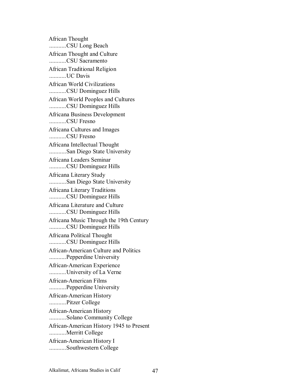African Thought ...........CSU Long Beach African Thought and Culture ...........CSU Sacramento African Traditional Religion ...........UC Davis African World Civilizations ...........CSU Dominguez Hills African World Peoples and Cultures ...........CSU Dominguez Hills Africana Business Development ...........CSU Fresno Africana Cultures and Images ...........CSU Fresno Africana Intellectual Thought ...........San Diego State University Africana Leaders Seminar ...........CSU Dominguez Hills Africana Literary Study ...........San Diego State University Africana Literary Traditions ...........CSU Dominguez Hills Africana Literature and Culture ...........CSU Dominguez Hills Africana Music Through the 19th Century ...........CSU Dominguez Hills Africana Political Thought ...........CSU Dominguez Hills African-American Culture and Politics ...........Pepperdine University African-American Experience ...........University of La Verne African-American Films ...........Pepperdine University African-American History ...........Pitzer College African-American History ...........Solano Community College African-American History 1945 to Present ...........Merritt College African-American History I ...........Southwestern College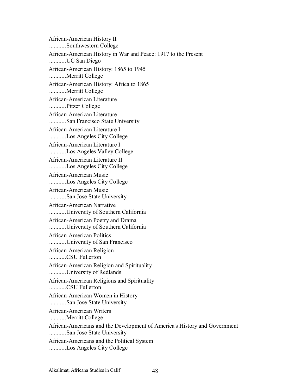African-American History II ...........Southwestern College African-American History in War and Peace: 1917 to the Present ...........UC San Diego African-American History: 1865 to 1945 ...........Merritt College African-American History: Africa to 1865 ...........Merritt College African-American Literature ...........Pitzer College African-American Literature ...........San Francisco State University African-American Literature I ...........Los Angeles City College African-American Literature I ...........Los Angeles Valley College African-American Literature II ...........Los Angeles City College African-American Music ...........Los Angeles City College African-American Music ...........San Jose State University African-American Narrative ...........University of Southern California African-American Poetry and Drama ...........University of Southern California African-American Politics ...........University of San Francisco African-American Religion ...........CSU Fullerton African-American Religion and Spirituality ...........University of Redlands African-American Religions and Spirituality ...........CSU Fullerton African-American Women in History ...........San Jose State University African-American Writers ...........Merritt College African-Americans and the Development of America's History and Government ...........San Jose State University African-Americans and the Political System ...........Los Angeles City College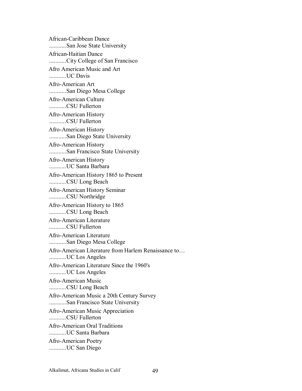African-Caribbean Dance ...........San Jose State University African-Haitian Dance ...........City College of San Francisco Afro American Music and Art ...........UC Davis Afro-American Art ...........San Diego Mesa College Afro-American Culture ...........CSU Fullerton Afro-American History ...........CSU Fullerton Afro-American History ...........San Diego State University Afro-American History ...........San Francisco State University Afro-American History ...........UC Santa Barbara Afro-American History 1865 to Present ...........CSU Long Beach Afro-American History Seminar ...........CSU Northridge Afro-American History to 1865 ...........CSU Long Beach Afro-American Literature ...........CSU Fullerton Afro-American Literature ...........San Diego Mesa College Afro-American Literature from Harlem Renaissance to... ...........UC Los Angeles Afro-American Literature Since the 1960's ...........UC Los Angeles Afro-American Music ...........CSU Long Beach Afro-American Music a 20th Century Survey ...........San Francisco State University Afro-American Music Appreciation ...........CSU Fullerton Afro-American Oral Traditions ...........UC Santa Barbara Afro-American Poetry ...........UC San Diego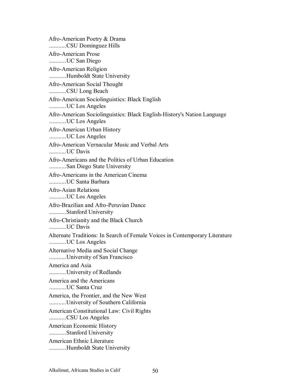Afro-American Poetry & Drama ...........CSU Dominguez Hills Afro-American Prose ...........UC San Diego Afro-American Religion ...........Humboldt State University Afro-American Social Thought ...........CSU Long Beach Afro-American Sociolinguistics: Black English ...........UC Los Angeles Afro-American Sociolinguistics: Black English-History's Nation Language ...........UC Los Angeles Afro-American Urban History ...........UC Los Angeles Afro-American Vernacular Music and Verbal Arts ...........UC Davis Afro-Americans and the Politics of Urban Education ...........San Diego State University Afro-Americans in the American Cinema ...........UC Santa Barbara Afro-Asian Relations ...........UC Los Angeles Afro-Brazilian and Afro-Peruvian Dance ...........Stanford University Afro-Christianity and the Black Church ...........UC Davis Alternate Traditions: In Search of Female Voices in Contemporary Literature ...........UC Los Angeles Alternative Media and Social Change ...........University of San Francisco America and Asia ...........University of Redlands America and the Americans ...........UC Santa Cruz America, the Frontier, and the New West ...........University of Southern California American Constitutional Law: Civil Rights ...........CSU Los Angeles American Economic History ...........Stanford University American Ethnic Literature ...........Humboldt State University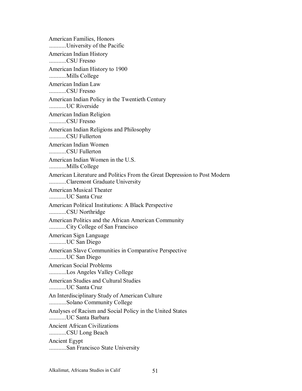American Families, Honors ...........University of the Pacific American Indian History ...........CSU Fresno American Indian History to 1900 ...........Mills College American Indian Law ...........CSU Fresno American Indian Policy in the Twentieth Century ...........UC Riverside American Indian Religion ...........CSU Fresno American Indian Religions and Philosophy ...........CSU Fullerton American Indian Women ...........CSU Fullerton American Indian Women in the U.S. ...........Mills College American Literature and Politics From the Great Depression to Post Modern ...........Claremont Graduate University American Musical Theater ...........UC Santa Cruz American Political Institutions: A Black Perspective ...........CSU Northridge American Politics and the African American Community ...........City College of San Francisco American Sign Language ...........UC San Diego American Slave Communities in Comparative Perspective ...........UC San Diego American Social Problems ...........Los Angeles Valley College American Studies and Cultural Studies ...........UC Santa Cruz An Interdisciplinary Study of American Culture ...........Solano Community College Analyses of Racism and Social Policy in the United States ...........UC Santa Barbara Ancient African Civilizations ...........CSU Long Beach Ancient Egypt ...........San Francisco State University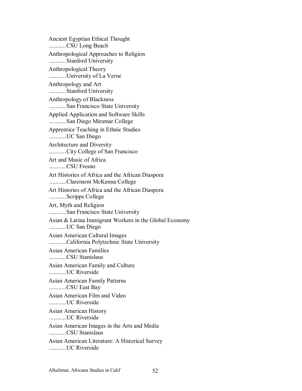Ancient Egyptian Ethical Thought ...........CSU Long Beach Anthropological Approaches to Religion ...........Stanford University Anthropological Theory ...........University of La Verne Anthropology and Art ...........Stanford University Anthropology of Blackness ...........San Francisco State University Applied Application and Software Skills ...........San Diego Miramar College Apprentice Teaching in Ethnic Studies ...........UC San Diego Architecture and Diversity ...........City College of San Francisco Art and Music of Africa ...........CSU Fresno Art Histories of Africa and the African Diaspora ...........Claremont McKenna College Art Histories of Africa and the African Diaspora ...........Scripps College Art, Myth and Religion ...........San Francisco State University Asian & Latina Immigrant Workers in the Global Economy ...........UC San Diego Asian American Cultural Images ...........California Polytechnic State University Asian American Families ...........CSU Stanislaus Asian American Family and Culture ...........UC Riverside Asian American Family Patterns ...........CSU East Bay Asian American Film and Video ...........UC Riverside Asian American History ...........UC Riverside Asian American Images in the Arts and Media ...........CSU Stanislaus Asian American Literature: A Historical Survey ...........UC Riverside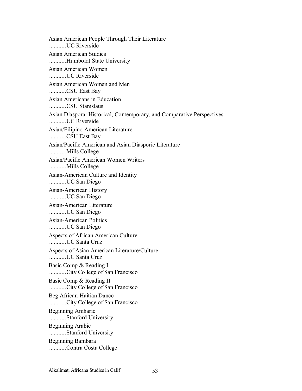Asian American People Through Their Literature ...........UC Riverside Asian American Studies ...........Humboldt State University Asian American Women ...........UC Riverside Asian American Women and Men ...........CSU East Bay Asian Americans in Education ...........CSU Stanislaus Asian Diaspora: Historical, Contemporary, and Comparative Perspectives ...........UC Riverside Asian/Filipino American Literature ...........CSU East Bay Asian/Pacific American and Asian Diasporic Literature ...........Mills College Asian/Pacific American Women Writers ...........Mills College Asian-American Culture and Identity ...........UC San Diego Asian-American History ...........UC San Diego Asian-American Literature ...........UC San Diego Asian-American Politics ...........UC San Diego Aspects of African American Culture ...........UC Santa Cruz Aspects of Asian American Literature/Culture ...........UC Santa Cruz Basic Comp & Reading I ...........City College of San Francisco Basic Comp & Reading II ...........City College of San Francisco Beg African-Haitian Dance ...........City College of San Francisco Beginning Amharic ...........Stanford University Beginning Arabic ...........Stanford University Beginning Bambara ...........Contra Costa College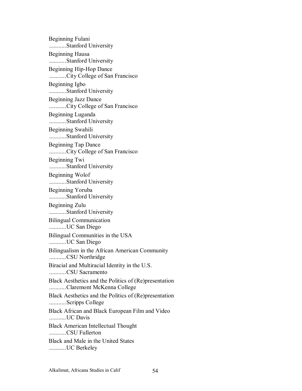Beginning Fulani ...........Stanford University Beginning Hausa ...........Stanford University Beginning Hip-Hop Dance ...........City College of San Francisco Beginning Igbo ...........Stanford University Beginning Jazz Dance ...........City College of San Francisco Beginning Luganda ...........Stanford University Beginning Swahili ...........Stanford University Beginning Tap Dance ...........City College of San Francisco Beginning Twi ...........Stanford University Beginning Wolof ...........Stanford University Beginning Yoruba ...........Stanford University Beginning Zulu ...........Stanford University Bilingual Communication ...........UC San Diego Bilingual Communities in the USA ...........UC San Diego Bilingualism in the African American Community ...........CSU Northridge Biracial and Multiracial Identity in the U.S. ...........CSU Sacramento Black Aesthetics and the Politics of (Re)presentation ...........Claremont McKenna College Black Aesthetics and the Politics of (Re)presentation ...........Scripps College Black African and Black European Film and Video ...........UC Davis Black American Intellectual Thought ...........CSU Fullerton Black and Male in the United States ...........UC Berkeley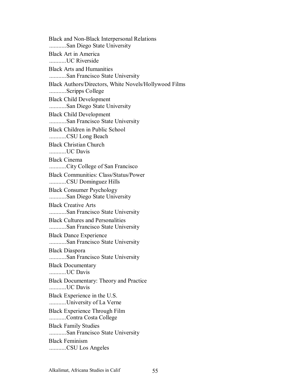Black and Non-Black Interpersonal Relations ...........San Diego State University Black Art in America ...........UC Riverside Black Arts and Humanities ...........San Francisco State University Black Authors/Directors, White Novels/Hollywood Films ...........Scripps College Black Child Development ...........San Diego State University Black Child Development ...........San Francisco State University Black Children in Public School ...........CSU Long Beach Black Christian Church ...........UC Davis Black Cinema ...........City College of San Francisco Black Communities: Class/Status/Power ...........CSU Dominguez Hills Black Consumer Psychology ...........San Diego State University Black Creative Arts ...........San Francisco State University Black Cultures and Personalities ...........San Francisco State University Black Dance Experience ...........San Francisco State University Black Diaspora ...........San Francisco State University Black Documentary ...........UC Davis Black Documentary: Theory and Practice ...........UC Davis Black Experience in the U.S. ...........University of La Verne Black Experience Through Film ...........Contra Costa College Black Family Studies ...........San Francisco State University Black Feminism ...........CSU Los Angeles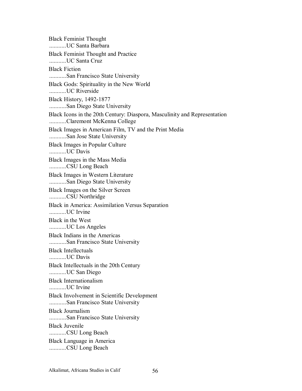Black Feminist Thought ...........UC Santa Barbara Black Feminist Thought and Practice ...........UC Santa Cruz Black Fiction ...........San Francisco State University Black Gods: Spirituality in the New World ...........UC Riverside Black History, 1492-1877 ...........San Diego State University Black Icons in the 20th Century: Diaspora, Masculinity and Representation ...........Claremont McKenna College Black Images in American Film, TV and the Print Media ...........San Jose State University Black Images in Popular Culture ...........UC Davis Black Images in the Mass Media ...........CSU Long Beach Black Images in Western Literature ...........San Diego State University Black Images on the Silver Screen ...........CSU Northridge Black in America: Assimilation Versus Separation ...........UC Irvine Black in the West ...........UC Los Angeles Black Indians in the Americas ...........San Francisco State University Black Intellectuals ...........UC Davis Black Intellectuals in the 20th Century ...........UC San Diego Black Internationalism ...........UC Irvine Black Involvement in Scientific Development ...........San Francisco State University Black Journalism ...........San Francisco State University Black Juvenile ...........CSU Long Beach Black Language in America ...........CSU Long Beach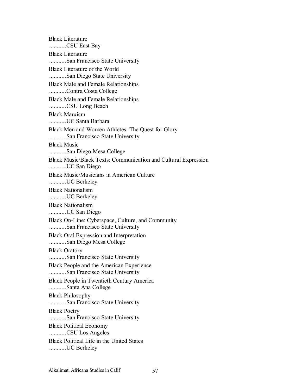Black Literature ...........CSU East Bay Black Literature ...........San Francisco State University Black Literature of the World ...........San Diego State University Black Male and Female Relationships ...........Contra Costa College Black Male and Female Relationships ...........CSU Long Beach Black Marxism ...........UC Santa Barbara Black Men and Women Athletes: The Quest for Glory ...........San Francisco State University Black Music ...........San Diego Mesa College Black Music/Black Texts: Communication and Cultural Expression ...........UC San Diego Black Music/Musicians in American Culture ...........UC Berkeley Black Nationalism ...........UC Berkeley Black Nationalism ...........UC San Diego Black On-Line: Cyberspace, Culture, and Community ...........San Francisco State University Black Oral Expression and Interpretation ...........San Diego Mesa College Black Oratory ...........San Francisco State University Black People and the American Experience ...........San Francisco State University Black People in Twentieth Century America ...........Santa Ana College Black Philosophy ...........San Francisco State University Black Poetry ...........San Francisco State University Black Political Economy ...........CSU Los Angeles Black Political Life in the United States ...........UC Berkeley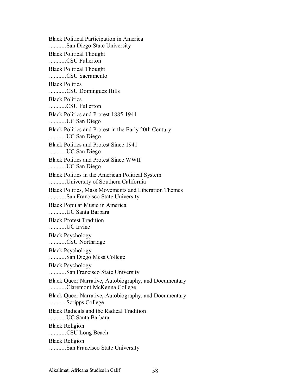Black Political Participation in America ...........San Diego State University Black Political Thought ...........CSU Fullerton Black Political Thought ...........CSU Sacramento Black Politics ...........CSU Dominguez Hills Black Politics ...........CSU Fullerton Black Politics and Protest 1885-1941 ...........UC San Diego Black Politics and Protest in the Early 20th Century ...........UC San Diego Black Politics and Protest Since 1941 ...........UC San Diego Black Politics and Protest Since WWII ...........UC San Diego Black Politics in the American Political System ...........University of Southern California Black Politics, Mass Movements and Liberation Themes ...........San Francisco State University Black Popular Music in America ...........UC Santa Barbara Black Protest Tradition ...........UC Irvine Black Psychology ...........CSU Northridge Black Psychology ...........San Diego Mesa College Black Psychology ...........San Francisco State University Black Queer Narrative, Autobiography, and Documentary ...........Claremont McKenna College Black Queer Narrative, Autobiography, and Documentary ...........Scripps College Black Radicals and the Radical Tradition ...........UC Santa Barbara Black Religion ...........CSU Long Beach Black Religion ...........San Francisco State University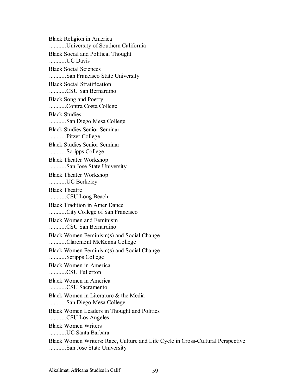Black Religion in America ...........University of Southern California Black Social and Political Thought ...........UC Davis Black Social Sciences ...........San Francisco State University Black Social Stratification ...........CSU San Bernardino Black Song and Poetry ...........Contra Costa College Black Studies ...........San Diego Mesa College Black Studies Senior Seminar ...........Pitzer College Black Studies Senior Seminar ...........Scripps College Black Theater Workshop ...........San Jose State University Black Theater Workshop ...........UC Berkeley Black Theatre ...........CSU Long Beach Black Tradition in Amer Dance ...........City College of San Francisco Black Women and Feminism ...........CSU San Bernardino Black Women Feminism(s) and Social Change ...........Claremont McKenna College Black Women Feminism(s) and Social Change ...........Scripps College Black Women in America ...........CSU Fullerton Black Women in America ...........CSU Sacramento Black Women in Literature & the Media ...........San Diego Mesa College Black Women Leaders in Thought and Politics ...........CSU Los Angeles Black Women Writers ...........UC Santa Barbara Black Women Writers: Race, Culture and Life Cycle in Cross-Cultural Perspective ...........San Jose State University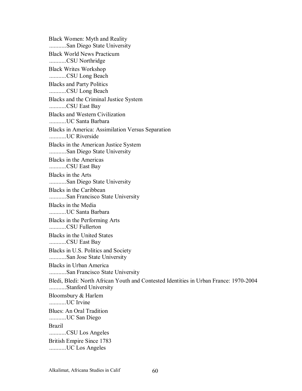Black Women: Myth and Reality ...........San Diego State University Black World News Practicum ...........CSU Northridge Black Writes Workshop ...........CSU Long Beach Blacks and Party Politics ...........CSU Long Beach Blacks and the Criminal Justice System ...........CSU East Bay Blacks and Western Civilization ...........UC Santa Barbara Blacks in America: Assimilation Versus Separation ...........UC Riverside Blacks in the American Justice System ...........San Diego State University Blacks in the Americas ...........CSU East Bay Blacks in the Arts ...........San Diego State University Blacks in the Caribbean ...........San Francisco State University Blacks in the Media ...........UC Santa Barbara Blacks in the Performing Arts ...........CSU Fullerton Blacks in the United States ...........CSU East Bay Blacks in U.S. Politics and Society ...........San Jose State University Blacks in Urban America ...........San Francisco State University Bledi, Bledi: North African Youth and Contested Identities in Urban France: 1970-2004 ...........Stanford University Bloomsbury & Harlem UC Irvine Blues: An Oral Tradition ...........UC San Diego Brazil ...........CSU Los Angeles British Empire Since 1783 ...........UC Los Angeles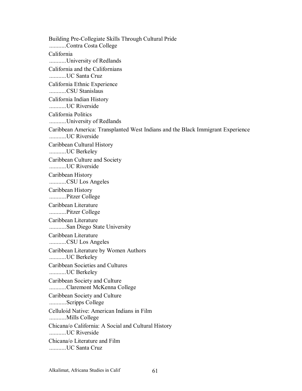Building Pre-Collegiate Skills Through Cultural Pride ...........Contra Costa College California ...........University of Redlands California and the Californians ...........UC Santa Cruz California Ethnic Experience ...........CSU Stanislaus California Indian History ...........UC Riverside California Politics ...........University of Redlands Caribbean America: Transplanted West Indians and the Black Immigrant Experience ...........UC Riverside Caribbean Cultural History ...........UC Berkeley Caribbean Culture and Society ...........UC Riverside Caribbean History ...........CSU Los Angeles Caribbean History ...........Pitzer College Caribbean Literature ...........Pitzer College Caribbean Literature ...........San Diego State University Caribbean Literature ...........CSU Los Angeles Caribbean Literature by Women Authors ...........UC Berkeley Caribbean Societies and Cultures ...........UC Berkeley Caribbean Society and Culture ...........Claremont McKenna College Caribbean Society and Culture ...........Scripps College Celluloid Native: American Indians in Film ...........Mills College Chicana/o California: A Social and Cultural History ...........UC Riverside Chicana/o Literature and Film ...........UC Santa Cruz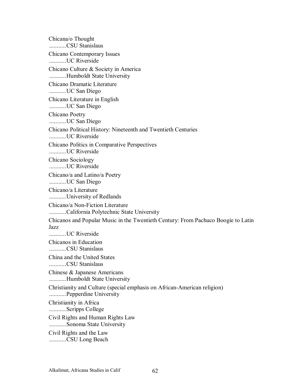Chicana/o Thought ...........CSU Stanislaus Chicano Contemporary Issues ...........UC Riverside Chicano Culture & Society in America ...........Humboldt State University Chicano Dramatic Literature ...........UC San Diego Chicano Literature in English ...........UC San Diego Chicano Poetry ...........UC San Diego Chicano Political History: Nineteenth and Twentieth Centuries ...........UC Riverside Chicano Politics in Comparative Perspectives ...........UC Riverside Chicano Sociology ...........UC Riverside Chicano/a and Latino/a Poetry ...........UC San Diego Chicano/a Literature ...........University of Redlands Chicano/a Non-Fiction Literature ...........California Polytechnic State University Chicanos and Popular Music in the Twentieth Century: From Pachuco Boogie to Latin Jazz ...........UC Riverside Chicanos in Education ...........CSU Stanislaus China and the United States ...........CSU Stanislaus Chinese & Japanese Americans ...........Humboldt State University Christianity and Culture (special emphasis on African-American religion) ...........Pepperdine University Christianity in Africa ...........Scripps College Civil Rights and Human Rights Law ...........Sonoma State University Civil Rights and the Law ...........CSU Long Beach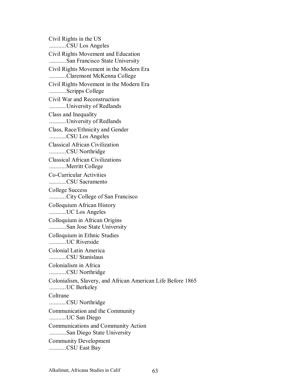Civil Rights in the US ...........CSU Los Angeles Civil Rights Movement and Education ...........San Francisco State University Civil Rights Movement in the Modern Era ...........Claremont McKenna College Civil Rights Movement in the Modern Era ...........Scripps College Civil War and Reconstruction ...........University of Redlands Class and Inequality ...........University of Redlands Class, Race/Ethnicity and Gender ...........CSU Los Angeles Classical African Civilization ...........CSU Northridge Classical African Civilizations ...........Merritt College Co-Curricular Activities ...........CSU Sacramento College Success ...........City College of San Francisco Colloquium African History ...........UC Los Angeles Colloquium in African Origins ...........San Jose State University Colloquium in Ethnic Studies ...........UC Riverside Colonial Latin America ...........CSU Stanislaus Colonialism in Africa ...........CSU Northridge Colonialism, Slavery, and African American Life Before 1865 ...........UC Berkeley **Coltrane** ...........CSU Northridge Communication and the Community ...........UC San Diego Communications and Community Action ...........San Diego State University Community Development ...........CSU East Bay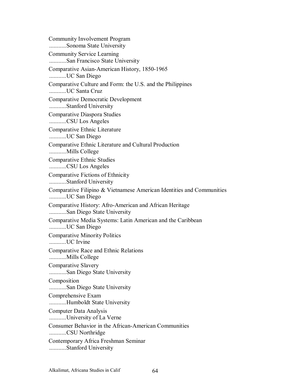Community Involvement Program ...........Sonoma State University Community Service Learning ...........San Francisco State University Comparative Asian-American History, 1850-1965 ...........UC San Diego Comparative Culture and Form: the U.S. and the Philippines ...........UC Santa Cruz Comparative Democratic Development ...........Stanford University Comparative Diaspora Studies ...........CSU Los Angeles Comparative Ethnic Literature ...........UC San Diego Comparative Ethnic Literature and Cultural Production ...........Mills College Comparative Ethnic Studies ...........CSU Los Angeles Comparative Fictions of Ethnicity ...........Stanford University Comparative Filipino & Vietnamese American Identities and Communities ...........UC San Diego Comparative History: Afro-American and African Heritage ...........San Diego State University Comparative Media Systems: Latin American and the Caribbean ...........UC San Diego Comparative Minority Politics ...........UC Irvine Comparative Race and Ethnic Relations ...........Mills College Comparative Slavery ...........San Diego State University Composition ...........San Diego State University Comprehensive Exam ...........Humboldt State University Computer Data Analysis ...........University of La Verne Consumer Behavior in the African-American Communities ...........CSU Northridge Contemporary Africa Freshman Seminar ...........Stanford University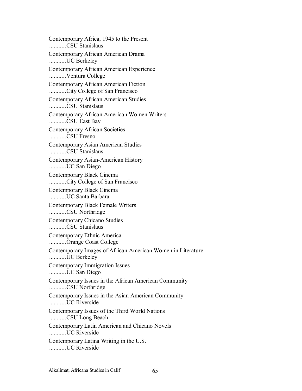Contemporary Africa, 1945 to the Present ...........CSU Stanislaus Contemporary African American Drama ...........UC Berkeley Contemporary African American Experience ...........Ventura College Contemporary African American Fiction ...........City College of San Francisco Contemporary African American Studies ...........CSU Stanislaus Contemporary African American Women Writers ...........CSU East Bay Contemporary African Societies ...........CSU Fresno Contemporary Asian American Studies ...........CSU Stanislaus Contemporary Asian-American History ...........UC San Diego Contemporary Black Cinema ...........City College of San Francisco Contemporary Black Cinema ...........UC Santa Barbara Contemporary Black Female Writers ...........CSU Northridge Contemporary Chicano Studies ...........CSU Stanislaus Contemporary Ethnic America ...........Orange Coast College Contemporary Images of African American Women in Literature ...........UC Berkeley Contemporary Immigration Issues ...........UC San Diego Contemporary Issues in the African American Community ...........CSU Northridge Contemporary Issues in the Asian American Community ...........UC Riverside Contemporary Issues of the Third World Nations ...........CSU Long Beach Contemporary Latin American and Chicano Novels ...........UC Riverside Contemporary Latina Writing in the U.S. ...........UC Riverside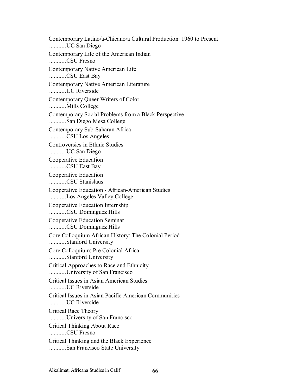Contemporary Latino/a-Chicano/a Cultural Production: 1960 to Present ...........UC San Diego Contemporary Life of the American Indian ...........CSU Fresno Contemporary Native American Life ...........CSU East Bay Contemporary Native American Literature ...........UC Riverside Contemporary Queer Writers of Color ...........Mills College Contemporary Social Problems from a Black Perspective ...........San Diego Mesa College Contemporary Sub-Saharan Africa ...........CSU Los Angeles Controversies in Ethnic Studies ...........UC San Diego Cooperative Education ...........CSU East Bay Cooperative Education ...........CSU Stanislaus Cooperative Education - African-American Studies ...........Los Angeles Valley College Cooperative Education Internship ...........CSU Dominguez Hills Cooperative Education Seminar ...........CSU Dominguez Hills Core Colloquium African History: The Colonial Period ...........Stanford University Core Colloquium: Pre Colonial Africa ...........Stanford University Critical Approaches to Race and Ethnicity ...........University of San Francisco Critical Issues in Asian American Studies ...........UC Riverside Critical Issues in Asian Pacific American Communities ...........UC Riverside Critical Race Theory ...........University of San Francisco Critical Thinking About Race ...........CSU Fresno Critical Thinking and the Black Experience ...........San Francisco State University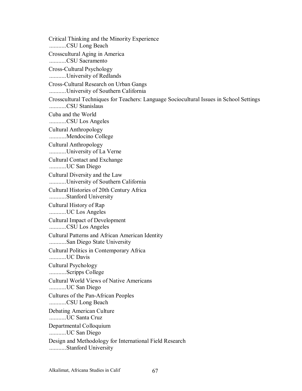Critical Thinking and the Minority Experience ...........CSU Long Beach Crosscultural Aging in America ...........CSU Sacramento Cross-Cultural Psychology ...........University of Redlands Cross-Cultural Research on Urban Gangs ...........University of Southern California Crosscultural Techniques for Teachers: Language Sociocultural Issues in School Settings ...........CSU Stanislaus Cuba and the World ...........CSU Los Angeles Cultural Anthropology ...........Mendocino College Cultural Anthropology ...........University of La Verne Cultural Contact and Exchange ...........UC San Diego Cultural Diversity and the Law ...........University of Southern California Cultural Histories of 20th Century Africa ...........Stanford University Cultural History of Rap ...........UC Los Angeles Cultural Impact of Development ...........CSU Los Angeles Cultural Patterns and African American Identity ...........San Diego State University Cultural Politics in Contemporary Africa ...........UC Davis Cultural Psychology ...........Scripps College Cultural World Views of Native Americans ...........UC San Diego Cultures of the Pan-African Peoples ...........CSU Long Beach Debating American Culture ...........UC Santa Cruz Departmental Colloquium ...........UC San Diego Design and Methodology for International Field Research ...........Stanford University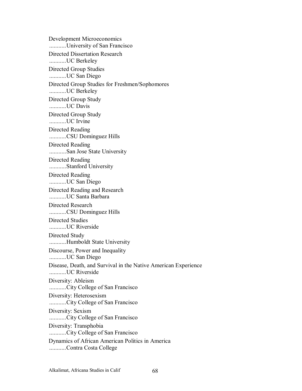Development Microeconomics ...........University of San Francisco Directed Dissertation Research ...........UC Berkeley Directed Group Studies ...........UC San Diego Directed Group Studies for Freshmen/Sophomores ...........UC Berkeley Directed Group Study ...........UC Davis Directed Group Study ...........UC Irvine Directed Reading ...........CSU Dominguez Hills Directed Reading ...........San Jose State University Directed Reading ...........Stanford University Directed Reading ...........UC San Diego Directed Reading and Research ...........UC Santa Barbara Directed Research ...........CSU Dominguez Hills Directed Studies ...........UC Riverside Directed Study ...........Humboldt State University Discourse, Power and Inequality ...........UC San Diego Disease, Death, and Survival in the Native American Experience ...........UC Riverside Diversity: Ableism ...........City College of San Francisco Diversity: Heterosexism ...........City College of San Francisco Diversity: Sexism ...........City College of San Francisco Diversity: Transphobia ...........City College of San Francisco Dynamics of African American Politics in America ...........Contra Costa College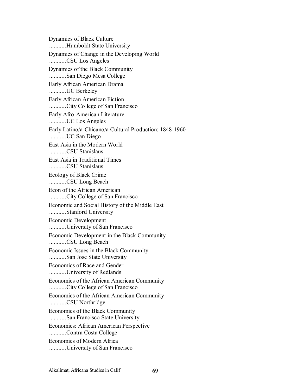Dynamics of Black Culture ...........Humboldt State University Dynamics of Change in the Developing World ...........CSU Los Angeles Dynamics of the Black Community ...........San Diego Mesa College Early African American Drama ...........UC Berkeley Early African American Fiction ...........City College of San Francisco Early Afro-American Literature ...........UC Los Angeles Early Latino/a-Chicano/a Cultural Production: 1848-1960 ...........UC San Diego East Asia in the Modern World ...........CSU Stanislaus East Asia in Traditional Times ...........CSU Stanislaus Ecology of Black Crime ...........CSU Long Beach Econ of the African American ...........City College of San Francisco Economic and Social History of the Middle East ...........Stanford University Economic Development ...........University of San Francisco Economic Development in the Black Community ...........CSU Long Beach Economic Issues in the Black Community ...........San Jose State University Economics of Race and Gender ...........University of Redlands Economics of the African American Community ...........City College of San Francisco Economics of the African American Community ...........CSU Northridge Economics of the Black Community ...........San Francisco State University Economics: African American Perspective ...........Contra Costa College Economies of Modern Africa ...........University of San Francisco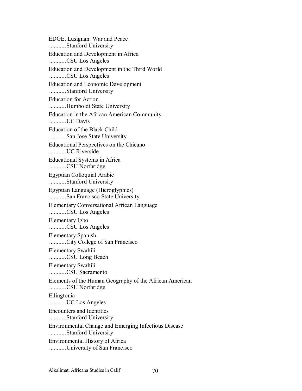EDGE, Lusignan: War and Peace ...........Stanford University Education and Development in Africa ...........CSU Los Angeles Education and Development in the Third World ...........CSU Los Angeles Education and Economic Development ...........Stanford University Education for Action ...........Humboldt State University Education in the African American Community ...........UC Davis Education of the Black Child ...........San Jose State University Educational Perspectives on the Chicano ...........UC Riverside Educational Systems in Africa ...........CSU Northridge Egyptian Colloquial Arabic ...........Stanford University Egyptian Language (Hieroglyphics) ...........San Francisco State University Elementary Conversational African Language ...........CSU Los Angeles Elementary Igbo ...........CSU Los Angeles Elementary Spanish ...........City College of San Francisco Elementary Swahili ...........CSU Long Beach Elementary Swahili ...........CSU Sacramento Elements of the Human Geography of the African American ...........CSU Northridge Ellingtonia ...........UC Los Angeles Encounters and Identities ...........Stanford University Environmental Change and Emerging Infectious Disease ...........Stanford University Environmental History of Africa ...........University of San Francisco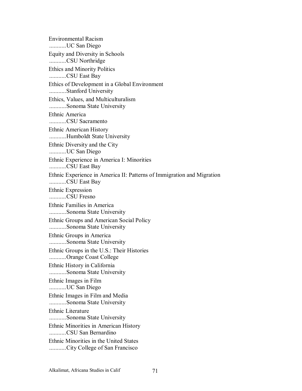Environmental Racism ...........UC San Diego Equity and Diversity in Schools ...........CSU Northridge Ethics and Minority Politics ...........CSU East Bay Ethics of Development in a Global Environment ...........Stanford University Ethics, Values, and Multiculturalism ...........Sonoma State University Ethnic America ...........CSU Sacramento Ethnic American History ...........Humboldt State University Ethnic Diversity and the City ...........UC San Diego Ethnic Experience in America I: Minorities ...........CSU East Bay Ethnic Experience in America II: Patterns of Immigration and Migration ...........CSU East Bay Ethnic Expression ...........CSU Fresno Ethnic Families in America ...........Sonoma State University Ethnic Groups and American Social Policy ...........Sonoma State University Ethnic Groups in America ...........Sonoma State University Ethnic Groups in the U.S.: Their Histories ...........Orange Coast College Ethnic History in California ...........Sonoma State University Ethnic Images in Film ...........UC San Diego Ethnic Images in Film and Media ...........Sonoma State University Ethnic Literature ...........Sonoma State University Ethnic Minorities in American History ...........CSU San Bernardino Ethnic Minorities in the United States ...........City College of San Francisco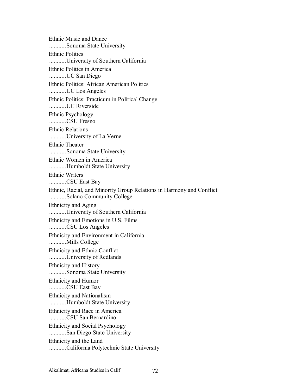Ethnic Music and Dance ...........Sonoma State University Ethnic Politics ...........University of Southern California Ethnic Politics in America ...........UC San Diego Ethnic Politics: African American Politics ...........UC Los Angeles Ethnic Politics: Practicum in Political Change ...........UC Riverside Ethnic Psychology ...........CSU Fresno Ethnic Relations ...........University of La Verne Ethnic Theater ...........Sonoma State University Ethnic Women in America ...........Humboldt State University Ethnic Writers ...........CSU East Bay Ethnic, Racial, and Minority Group Relations in Harmony and Conflict ...........Solano Community College Ethnicity and Aging ...........University of Southern California Ethnicity and Emotions in U.S. Films ...........CSU Los Angeles Ethnicity and Environment in California ...........Mills College Ethnicity and Ethnic Conflict ...........University of Redlands Ethnicity and History ...........Sonoma State University Ethnicity and Humor ...........CSU East Bay Ethnicity and Nationalism ...........Humboldt State University Ethnicity and Race in America ...........CSU San Bernardino Ethnicity and Social Psychology ...........San Diego State University Ethnicity and the Land ...........California Polytechnic State University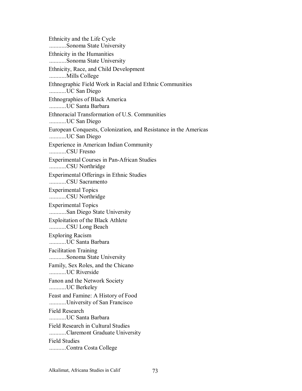Ethnicity and the Life Cycle ...........Sonoma State University Ethnicity in the Humanities ...........Sonoma State University Ethnicity, Race, and Child Development ...........Mills College Ethnographic Field Work in Racial and Ethnic Communities ...........UC San Diego Ethnographies of Black America ...........UC Santa Barbara Ethnoracial Transformation of U.S. Communities ...........UC San Diego European Conquests, Colonization, and Resistance in the Americas ...........UC San Diego Experience in American Indian Community ...........CSU Fresno Experimental Courses in Pan-African Studies ...........CSU Northridge Experimental Offerings in Ethnic Studies ...........CSU Sacramento Experimental Topics ...........CSU Northridge Experimental Topics ...........San Diego State University Exploitation of the Black Athlete ...........CSU Long Beach Exploring Racism ...........UC Santa Barbara Facilitation Training ...........Sonoma State University Family, Sex Roles, and the Chicano ...........UC Riverside Fanon and the Network Society ...........UC Berkeley Feast and Famine: A History of Food ...........University of San Francisco Field Research ...........UC Santa Barbara Field Research in Cultural Studies ...........Claremont Graduate University Field Studies ...........Contra Costa College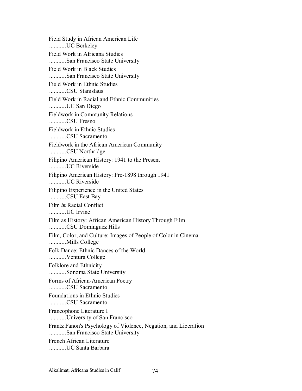Field Study in African American Life ...........UC Berkeley Field Work in Africana Studies ...........San Francisco State University Field Work in Black Studies ...........San Francisco State University Field Work in Ethnic Studies ...........CSU Stanislaus Field Work in Racial and Ethnic Communities ...........UC San Diego Fieldwork in Community Relations ...........CSU Fresno Fieldwork in Ethnic Studies ...........CSU Sacramento Fieldwork in the African American Community ...........CSU Northridge Filipino American History: 1941 to the Present ...........UC Riverside Filipino American History: Pre-1898 through 1941 ...........UC Riverside Filipino Experience in the United States ...........CSU East Bay Film & Racial Conflict ...........UC Irvine Film as History: African American History Through Film ...........CSU Dominguez Hills Film, Color, and Culture: Images of People of Color in Cinema ...........Mills College Folk Dance: Ethnic Dances of the World ...........Ventura College Folklore and Ethnicity ...........Sonoma State University Forms of African-American Poetry ...........CSU Sacramento Foundations in Ethnic Studies ...........CSU Sacramento Francophone Literature I ...........University of San Francisco Frantz Fanon's Psychology of Violence, Negation, and Liberation ...........San Francisco State University French African Literature ...........UC Santa Barbara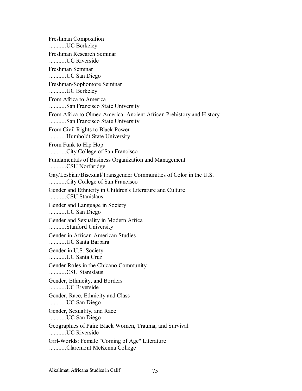Freshman Composition ...........UC Berkeley Freshman Research Seminar ...........UC Riverside Freshman Seminar ...........UC San Diego Freshman/Sophomore Seminar ...........UC Berkeley From Africa to America ...........San Francisco State University From Africa to Olmec America: Ancient African Prehistory and History ...........San Francisco State University From Civil Rights to Black Power ...........Humboldt State University From Funk to Hip Hop ...........City College of San Francisco Fundamentals of Business Organization and Management ...........CSU Northridge Gay/Lesbian/Bisexual/Transgender Communities of Color in the U.S. ...........City College of San Francisco Gender and Ethnicity in Children's Literature and Culture ...........CSU Stanislaus Gender and Language in Society ...........UC San Diego Gender and Sexuality in Modern Africa ...........Stanford University Gender in African-American Studies ...........UC Santa Barbara Gender in U.S. Society ...........UC Santa Cruz Gender Roles in the Chicano Community ...........CSU Stanislaus Gender, Ethnicity, and Borders ...........UC Riverside Gender, Race, Ethnicity and Class ...........UC San Diego Gender, Sexuality, and Race ...........UC San Diego Geographies of Pain: Black Women, Trauma, and Survival ...........UC Riverside Girl-Worlds: Female "Coming of Age" Literature ...........Claremont McKenna College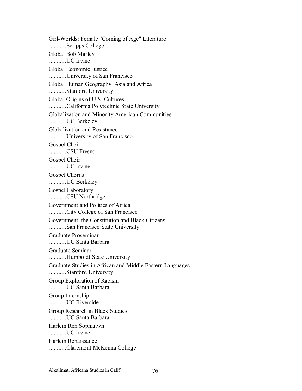Girl-Worlds: Female "Coming of Age" Literature ...........Scripps College Global Bob Marley ...........UC Irvine Global Economic Justice ...........University of San Francisco Global Human Geography: Asia and Africa ...........Stanford University Global Origins of U.S. Cultures ...........California Polytechnic State University Globalization and Minority American Communities ...........UC Berkeley Globalization and Resistance ...........University of San Francisco Gospel Choir ...........CSU Fresno Gospel Choir ...........UC Irvine Gospel Chorus ...........UC Berkeley Gospel Laboratory ...........CSU Northridge Government and Politics of Africa ...........City College of San Francisco Government, the Constitution and Black Citizens ...........San Francisco State University Graduate Proseminar ...........UC Santa Barbara Graduate Seminar ...........Humboldt State University Graduate Studies in African and Middle Eastern Languages ...........Stanford University Group Exploration of Racism ...........UC Santa Barbara Group Internship ...........UC Riverside Group Research in Black Studies ...........UC Santa Barbara Harlem Ren Sophiatwn ...........UC Irvine Harlem Renaissance ...........Claremont McKenna College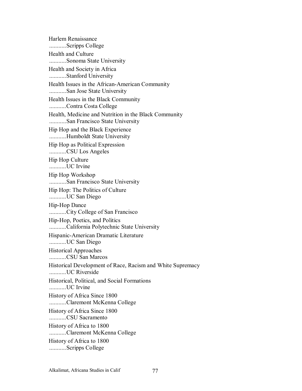Harlem Renaissance ...........Scripps College Health and Culture ...........Sonoma State University Health and Society in Africa ...........Stanford University Health Issues in the African-American Community ...........San Jose State University Health Issues in the Black Community ...........Contra Costa College Health, Medicine and Nutrition in the Black Community ...........San Francisco State University Hip Hop and the Black Experience ...........Humboldt State University Hip Hop as Political Expression ...........CSU Los Angeles Hip Hop Culture ...........UC Irvine Hip Hop Workshop ...........San Francisco State University Hip Hop: The Politics of Culture ...........UC San Diego Hip-Hop Dance ...........City College of San Francisco Hip-Hop, Poetics, and Politics ...........California Polytechnic State University Hispanic-American Dramatic Literature ...........UC San Diego Historical Approaches ...........CSU San Marcos Historical Development of Race, Racism and White Supremacy ...........UC Riverside Historical, Political, and Social Formations ...........UC Irvine History of Africa Since 1800 ...........Claremont McKenna College History of Africa Since 1800 ...........CSU Sacramento History of Africa to 1800 ...........Claremont McKenna College History of Africa to 1800 ...........Scripps College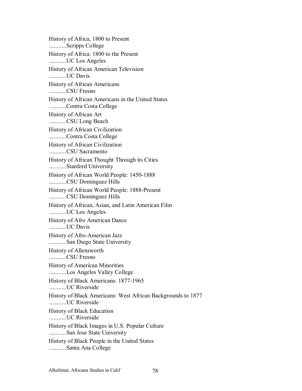History of Africa, 1800 to Present ...........Scripps College History of Africa: 1800 to the Present ...........UC Los Angeles History of African American Television ...........UC Davis History of African Americans ...........CSU Fresno History of African Americans in the United States ...........Contra Costa College History of African Art ...........CSU Long Beach History of African Civilization ...........Contra Costa College History of African Civilization ...........CSU Sacramento History of African Thought Through its Cities ...........Stanford University History of African World People: 1450-1888 ...........CSU Dominguez Hills History of African World People: 1888-Present ...........CSU Dominguez Hills History of African, Asian, and Latin American Film ...........UC Los Angeles History of Afro American Dance ...........UC Davis History of Afro-American Jazz ...........San Diego State University History of Allensworth ...........CSU Fresno History of American Minorities ...........Los Angeles Valley College History of Black Americans: 1877-1965 ...........UC Riverside History of Black Americans: West African Backgrounds to 1877 ...........UC Riverside History of Black Education ...........UC Riverside History of Black Images in U.S. Popular Culture ...........San Jose State University History of Black People in the United States ...........Santa Ana College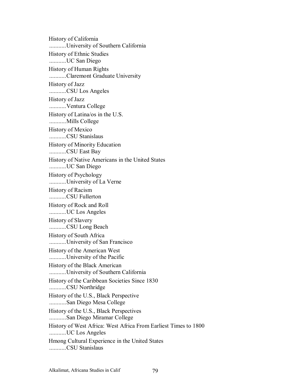History of California ...........University of Southern California History of Ethnic Studies ...........UC San Diego History of Human Rights ...........Claremont Graduate University History of Jazz ...........CSU Los Angeles History of Jazz ...........Ventura College History of Latina/os in the U.S. ...........Mills College History of Mexico ...........CSU Stanislaus History of Minority Education ...........CSU East Bay History of Native Americans in the United States ...........UC San Diego History of Psychology ...........University of La Verne History of Racism ...........CSU Fullerton History of Rock and Roll ...........UC Los Angeles History of Slavery ...........CSU Long Beach History of South Africa ...........University of San Francisco History of the American West ...........University of the Pacific History of the Black American ...........University of Southern California History of the Caribbean Societies Since 1830 ...........CSU Northridge History of the U.S., Black Perspective ...........San Diego Mesa College History of the U.S., Black Perspectives ...........San Diego Miramar College History of West Africa: West Africa From Earliest Times to 1800 ...........UC Los Angeles Hmong Cultural Experience in the United States ...........CSU Stanislaus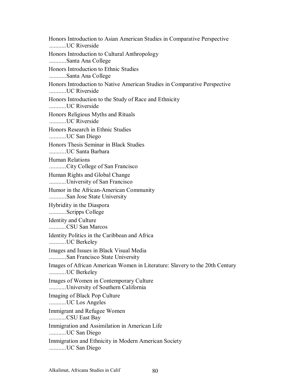Honors Introduction to Asian American Studies in Comparative Perspective ...........UC Riverside Honors Introduction to Cultural Anthropology ...........Santa Ana College Honors Introduction to Ethnic Studies ...........Santa Ana College Honors Introduction to Native American Studies in Comparative Perspective ...........UC Riverside Honors Introduction to the Study of Race and Ethnicity ...........UC Riverside Honors Religious Myths and Rituals ...........UC Riverside Honors Research in Ethnic Studies ...........UC San Diego Honors Thesis Seminar in Black Studies ...........UC Santa Barbara Human Relations ...........City College of San Francisco Human Rights and Global Change ...........University of San Francisco Humor in the African-American Community ...........San Jose State University Hybridity in the Diaspora ...........Scripps College Identity and Culture ...........CSU San Marcos Identity Politics in the Caribbean and Africa ...........UC Berkeley Images and Issues in Black Visual Media ...........San Francisco State University Images of African American Women in Literature: Slavery to the 20th Century ...........UC Berkeley Images of Women in Contemporary Culture ...........University of Southern California Imaging of Black Pop Culture ...........UC Los Angeles Immigrant and Refugee Women ...........CSU East Bay Immigration and Assimilation in American Life ...........UC San Diego Immigration and Ethnicity in Modern American Society ...........UC San Diego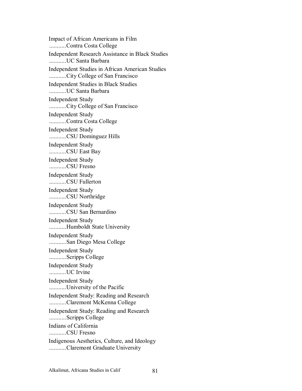Impact of African Americans in Film ...........Contra Costa College Independent Research Assistance in Black Studies ...........UC Santa Barbara Independent Studies in African American Studies ...........City College of San Francisco Independent Studies in Black Studies ...........UC Santa Barbara Independent Study ...........City College of San Francisco Independent Study ...........Contra Costa College Independent Study ...........CSU Dominguez Hills Independent Study ...........CSU East Bay Independent Study ...........CSU Fresno Independent Study ...........CSU Fullerton Independent Study ...........CSU Northridge Independent Study ...........CSU San Bernardino Independent Study ...........Humboldt State University Independent Study ...........San Diego Mesa College Independent Study ...........Scripps College Independent Study ...........UC Irvine Independent Study ...........University of the Pacific Independent Study: Reading and Research ...........Claremont McKenna College Independent Study: Reading and Research ...........Scripps College Indians of California ...........CSU Fresno Indigenous Aesthetics, Culture, and Ideology ...........Claremont Graduate University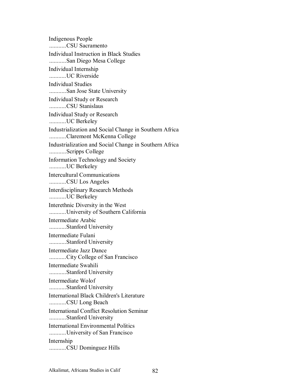Indigenous People ...........CSU Sacramento Individual Instruction in Black Studies ...........San Diego Mesa College Individual Internship ...........UC Riverside Individual Studies ...........San Jose State University Individual Study or Research ...........CSU Stanislaus Individual Study or Research ...........UC Berkeley Industrialization and Social Change in Southern Africa ...........Claremont McKenna College Industrialization and Social Change in Southern Africa ...........Scripps College Information Technology and Society ...........UC Berkeley Intercultural Communications ...........CSU Los Angeles Interdisciplinary Research Methods ...........UC Berkeley Interethnic Diversity in the West ...........University of Southern California Intermediate Arabic ...........Stanford University Intermediate Fulani ...........Stanford University Intermediate Jazz Dance ...........City College of San Francisco Intermediate Swahili ...........Stanford University Intermediate Wolof ...........Stanford University International Black Children's Literature ...........CSU Long Beach International Conflict Resolution Seminar ...........Stanford University International Environmental Politics ...........University of San Francisco Internship ...........CSU Dominguez Hills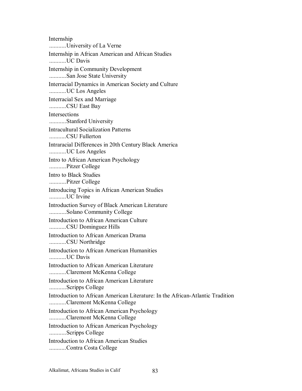Internship ...........University of La Verne Internship in African American and African Studies ...........UC Davis Internship in Community Development ...........San Jose State University Interracial Dynamics in American Society and Culture ...........UC Los Angeles Interracial Sex and Marriage ...........CSU East Bay Intersections ...........Stanford University Intracultural Socialization Patterns ...........CSU Fullerton Intraracial Differences in 20th Century Black America ...........UC Los Angeles Intro to African American Psychology ...........Pitzer College Intro to Black Studies ...........Pitzer College Introducing Topics in African American Studies ...........UC Irvine Introduction Survey of Black American Literature ...........Solano Community College Introduction to African American Culture ...........CSU Dominguez Hills Introduction to African American Drama ...........CSU Northridge Introduction to African American Humanities ...........UC Davis Introduction to African American Literature ...........Claremont McKenna College Introduction to African American Literature ...........Scripps College Introduction to African American Literature: In the African-Atlantic Tradition ...........Claremont McKenna College Introduction to African American Psychology ...........Claremont McKenna College Introduction to African American Psychology ...........Scripps College Introduction to African American Studies ...........Contra Costa College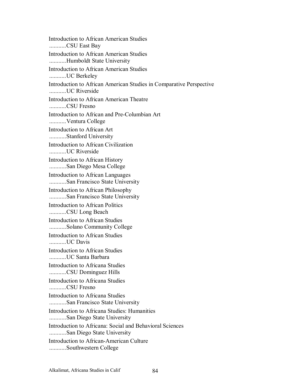Introduction to African American Studies ...........CSU East Bay Introduction to African American Studies ...........Humboldt State University Introduction to African American Studies ...........UC Berkeley Introduction to African American Studies in Comparative Perspective ...........UC Riverside Introduction to African American Theatre ...........CSU Fresno Introduction to African and Pre-Columbian Art ...........Ventura College Introduction to African Art ...........Stanford University Introduction to African Civilization ...........UC Riverside Introduction to African History ...........San Diego Mesa College Introduction to African Languages ...........San Francisco State University Introduction to African Philosophy ...........San Francisco State University Introduction to African Politics ...........CSU Long Beach Introduction to African Studies ...........Solano Community College Introduction to African Studies ...........UC Davis Introduction to African Studies ...........UC Santa Barbara Introduction to Africana Studies ...........CSU Dominguez Hills Introduction to Africana Studies ...........CSU Fresno Introduction to Africana Studies ...........San Francisco State University Introduction to Africana Studies: Humanities ...........San Diego State University Introduction to Africana: Social and Behavioral Sciences ...........San Diego State University Introduction to African-American Culture ...........Southwestern College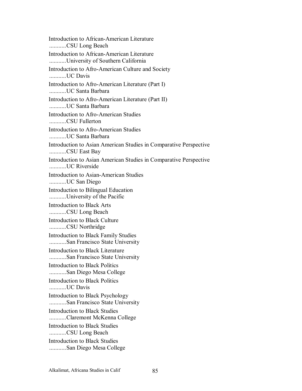Introduction to African-American Literature ...........CSU Long Beach Introduction to African-American Literature ...........University of Southern California Introduction to Afro-American Culture and Society ...........UC Davis Introduction to Afro-American Literature (Part I) ...........UC Santa Barbara Introduction to Afro-American Literature (Part II) ...........UC Santa Barbara Introduction to Afro-American Studies ...........CSU Fullerton Introduction to Afro-American Studies ...........UC Santa Barbara Introduction to Asian American Studies in Comparative Perspective ...........CSU East Bay Introduction to Asian American Studies in Comparative Perspective ...........UC Riverside Introduction to Asian-American Studies ...........UC San Diego Introduction to Bilingual Education ...........University of the Pacific Introduction to Black Arts ...........CSU Long Beach Introduction to Black Culture ...........CSU Northridge Introduction to Black Family Studies ...........San Francisco State University Introduction to Black Literature ...........San Francisco State University Introduction to Black Politics ...........San Diego Mesa College Introduction to Black Politics ...........UC Davis Introduction to Black Psychology ...........San Francisco State University Introduction to Black Studies ...........Claremont McKenna College Introduction to Black Studies ...........CSU Long Beach Introduction to Black Studies ...........San Diego Mesa College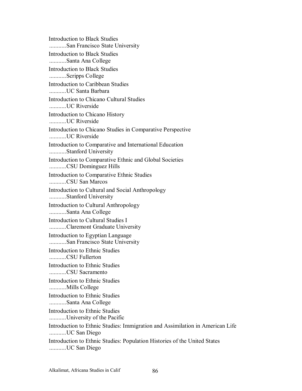Introduction to Black Studies ...........San Francisco State University Introduction to Black Studies ...........Santa Ana College Introduction to Black Studies ...........Scripps College Introduction to Caribbean Studies ...........UC Santa Barbara Introduction to Chicano Cultural Studies ...........UC Riverside Introduction to Chicano History ...........UC Riverside Introduction to Chicano Studies in Comparative Perspective ...........UC Riverside Introduction to Comparative and International Education ...........Stanford University Introduction to Comparative Ethnic and Global Societies ...........CSU Dominguez Hills Introduction to Comparative Ethnic Studies ...........CSU San Marcos Introduction to Cultural and Social Anthropology ...........Stanford University Introduction to Cultural Anthropology ...........Santa Ana College Introduction to Cultural Studies I ...........Claremont Graduate University Introduction to Egyptian Language ...........San Francisco State University Introduction to Ethnic Studies ...........CSU Fullerton Introduction to Ethnic Studies ...........CSU Sacramento Introduction to Ethnic Studies ...........Mills College Introduction to Ethnic Studies ...........Santa Ana College Introduction to Ethnic Studies ...........University of the Pacific Introduction to Ethnic Studies: Immigration and Assimilation in American Life ...........UC San Diego Introduction to Ethnic Studies: Population Histories of the United States ...........UC San Diego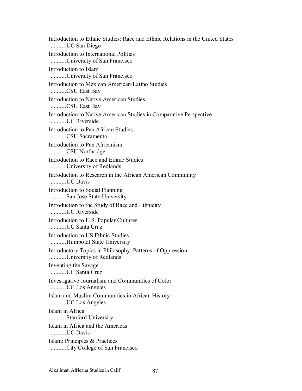Introduction to Ethnic Studies: Race and Ethnic Relations in the United States ...........UC San Diego Introduction to International Politics ...........University of San Francisco Introduction to Islam ...........University of San Francisco Introduction to Mexican American/Latino Studies ...........CSU East Bay Introduction to Native American Studies ...........CSU East Bay Introduction to Native American Studies in Comparative Perspective ...........UC Riverside Introduction to Pan African Studies ...........CSU Sacramento Introduction to Pan Africanism ...........CSU Northridge Introduction to Race and Ethnic Studies ...........University of Redlands Introduction to Research in the African American Community ...........UC Davis Introduction to Social Planning ...........San Jose State University Introduction to the Study of Race and Ethnicity ...........UC Riverside Introduction to U.S. Popular Cultures ...........UC Santa Cruz Introduction to US Ethnic Studies ...........Humboldt State University Introductory Topics in Philosophy: Patterns of Oppression ...........University of Redlands Inventing the Savage ...........UC Santa Cruz Investigative Journalism and Communities of Color ...........UC Los Angeles Islam and Muslim Communities in African History ...........UC Los Angeles Islam in Africa ...........Stanford University Islam in Africa and the Americas ...........UC Davis Islam: Principles & Practices ...........City College of San Francisco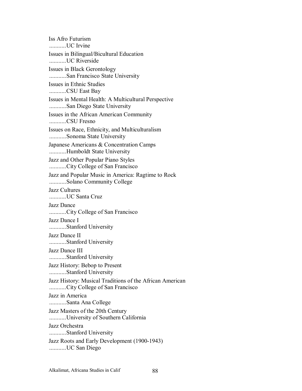Iss Afro Futurism ...........UC Irvine Issues in Bilingual/Bicultural Education ...........UC Riverside Issues in Black Gerontology ...........San Francisco State University Issues in Ethnic Studies ...........CSU East Bay Issues in Mental Health: A Multicultural Perspective ...........San Diego State University Issues in the African American Community ...........CSU Fresno Issues on Race, Ethnicity, and Multiculturalism ...........Sonoma State University Japanese Americans & Concentration Camps ...........Humboldt State University Jazz and Other Popular Piano Styles ...........City College of San Francisco Jazz and Popular Music in America: Ragtime to Rock ...........Solano Community College Jazz Cultures ...........UC Santa Cruz Jazz Dance ...........City College of San Francisco Jazz Dance I ...........Stanford University Jazz Dance II ...........Stanford University Jazz Dance III ...........Stanford University Jazz History: Bebop to Present ...........Stanford University Jazz History: Musical Traditions of the African American ...........City College of San Francisco Jazz in America ...........Santa Ana College Jazz Masters of the 20th Century ...........University of Southern California Jazz Orchestra ...........Stanford University Jazz Roots and Early Development (1900-1943) ...........UC San Diego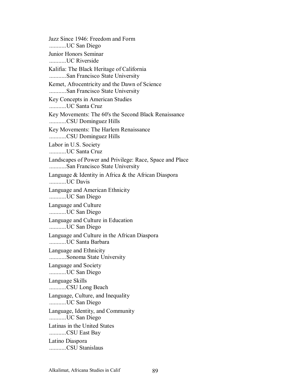Jazz Since 1946: Freedom and Form ...........UC San Diego Junior Honors Seminar ...........UC Riverside Kalifia: The Black Heritage of California ...........San Francisco State University Kemet, Afrocentricity and the Dawn of Science ...........San Francisco State University Key Concepts in American Studies ...........UC Santa Cruz Key Movements: The 60's the Second Black Renaissance ...........CSU Dominguez Hills Key Movements: The Harlem Renaissance ...........CSU Dominguez Hills Labor in U.S. Society ...........UC Santa Cruz Landscapes of Power and Privilege: Race, Space and Place ...........San Francisco State University Language & Identity in Africa & the African Diaspora ...........UC Davis Language and American Ethnicity ...........UC San Diego Language and Culture ...........UC San Diego Language and Culture in Education ...........UC San Diego Language and Culture in the African Diaspora ...........UC Santa Barbara Language and Ethnicity ...........Sonoma State University Language and Society ...........UC San Diego Language Skills ...........CSU Long Beach Language, Culture, and Inequality ...........UC San Diego Language, Identity, and Community ...........UC San Diego Latinas in the United States ...........CSU East Bay Latino Diaspora ...........CSU Stanislaus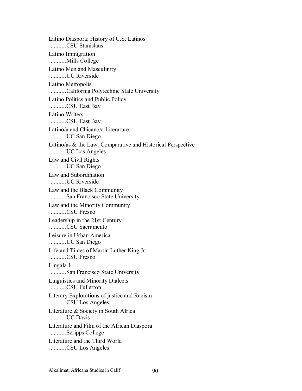Latino Diaspora: History of U.S. Latinos ...........CSU Stanislaus Latino Immigration ...........Mills College Latino Men and Masculinity ...........UC Riverside Latino Metropolis ...........California Polytechnic State University Latino Politics and Public Policy ...........CSU East Bay Latino Writers ...........CSU East Bay Latino/a and Chicano/a Literature ...........UC San Diego Latino/as & the Law: Comparative and Historical Perspective ...........UC Los Angeles Law and Civil Rights ...........UC San Diego Law and Subordination ...........UC Riverside Law and the Black Community ...........San Francisco State University Law and the Minority Community ...........CSU Fresno Leadership in the 21st Century ...........CSU Sacramento Leisure in Urban America ...........UC San Diego Life and Times of Martin Luther King Jr. ...........CSU Fresno Lingala 1 ...........San Francisco State University Linguistics and Minority Dialects ...........CSU Fullerton Literary Explorations of justice and Racism ...........CSU Los Angeles Literature & Society in South Africa ...........UC Davis Literature and Film of the African Diaspora ...........Scripps College Literature and the Third World ...........CSU Los Angeles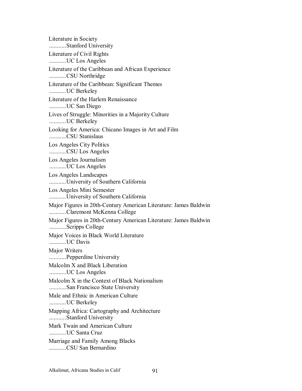Literature in Society ...........Stanford University Literature of Civil Rights ...........UC Los Angeles Literature of the Caribbean and African Experience ...........CSU Northridge Literature of the Caribbean: Significant Themes ...........UC Berkeley Literature of the Harlem Renaissance ...........UC San Diego Lives of Struggle: Minorities in a Majority Culture ...........UC Berkeley Looking for America: Chicano Images in Art and Film ...........CSU Stanislaus Los Angeles City Politics ...........CSU Los Angeles Los Angeles Journalism ...........UC Los Angeles Los Angeles Landscapes ...........University of Southern California Los Angeles Mini Semester ...........University of Southern California Major Figures in 20th-Century American Literature: James Baldwin ...........Claremont McKenna College Major Figures in 20th-Century American Literature: James Baldwin ...........Scripps College Major Voices in Black World Literature ...........UC Davis Major Writers ...........Pepperdine University Malcolm X and Black Liberation ...........UC Los Angeles Malcolm X in the Context of Black Nationalism ...........San Francisco State University Male and Ethnic in American Culture ...........UC Berkeley Mapping Africa: Cartography and Architecture ...........Stanford University Mark Twain and American Culture ...........UC Santa Cruz Marriage and Family Among Blacks ...........CSU San Bernardino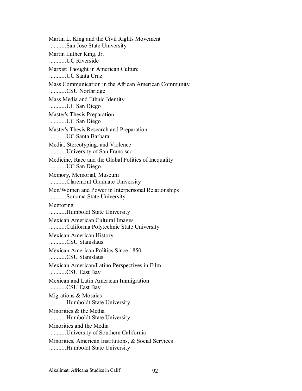Martin L. King and the Civil Rights Movement ...........San Jose State University Martin Luther King, Jr. ...........UC Riverside Marxist Thought in American Culture ...........UC Santa Cruz Mass Communication in the African American Community ...........CSU Northridge Mass Media and Ethnic Identity ...........UC San Diego Master's Thesis Preparation ...........UC San Diego Master's Thesis Research and Preparation ...........UC Santa Barbara Media, Stereotyping, and Violence ...........University of San Francisco Medicine, Race and the Global Politics of Inequality ...........UC San Diego Memory, Memorial, Museum ...........Claremont Graduate University Men/Women and Power in Interpersonal Relationships ...........Sonoma State University Mentoring ...........Humboldt State University Mexican American Cultural Images ...........California Polytechnic State University Mexican American History ...........CSU Stanislaus Mexican American Politics Since 1850 ...........CSU Stanislaus Mexican American/Latino Perspectives in Film ...........CSU East Bay Mexican and Latin American Immigration ...........CSU East Bay Migrations & Mosaics ...........Humboldt State University Minorities & the Media ...........Humboldt State University Minorities and the Media ...........University of Southern California Minorities, American Institutions, & Social Services ...........Humboldt State University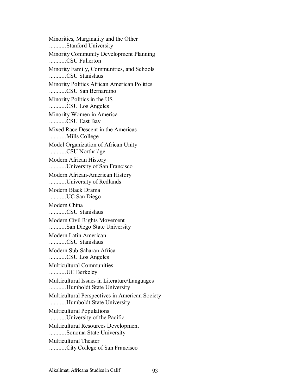Minorities, Marginality and the Other ...........Stanford University Minority Community Development Planning ...........CSU Fullerton Minority Family, Communities, and Schools ...........CSU Stanislaus Minority Politics African American Politics ...........CSU San Bernardino Minority Politics in the US ...........CSU Los Angeles Minority Women in America ...........CSU East Bay Mixed Race Descent in the Americas ...........Mills College Model Organization of African Unity ...........CSU Northridge Modern African History ...........University of San Francisco Modern African-American History ...........University of Redlands Modern Black Drama ...........UC San Diego Modern China ...........CSU Stanislaus Modern Civil Rights Movement ...........San Diego State University Modern Latin American ...........CSU Stanislaus Modern Sub-Saharan Africa ...........CSU Los Angeles Multicultural Communities ...........UC Berkeley Multicultural Issues in Literature/Languages ...........Humboldt State University Multicultural Perspectives in American Society ...........Humboldt State University Multicultural Populations ...........University of the Pacific Multicultural Resources Development ...........Sonoma State University Multicultural Theater ...........City College of San Francisco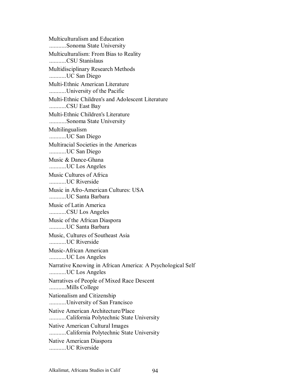Multiculturalism and Education ...........Sonoma State University Multiculturalism: From Bias to Reality ...........CSU Stanislaus Multidisciplinary Research Methods ...........UC San Diego Multi-Ethnic American Literature ...........University of the Pacific Multi-Ethnic Children's and Adolescent Literature ...........CSU East Bay Multi-Ethnic Children's Literature ...........Sonoma State University Multilingualism ...........UC San Diego Multiracial Societies in the Americas ...........UC San Diego Music & Dance-Ghana ...........UC Los Angeles Music Cultures of Africa ...........UC Riverside Music in Afro-American Cultures: USA ...........UC Santa Barbara Music of Latin America ...........CSU Los Angeles Music of the African Diaspora ...........UC Santa Barbara Music, Cultures of Southeast Asia ...........UC Riverside Music-African American ...........UC Los Angeles Narrative Knowing in African America: A Psychological Self ...........UC Los Angeles Narratives of People of Mixed Race Descent ...........Mills College Nationalism and Citizenship ...........University of San Francisco Native American Architecture/Place ...........California Polytechnic State University Native American Cultural Images ...........California Polytechnic State University Native American Diaspora ...........UC Riverside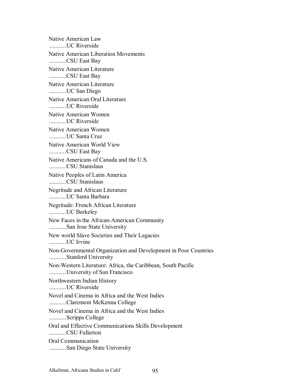Native American Law ...........UC Riverside Native American Liberation Movements ...........CSU East Bay Native American Literature ...........CSU East Bay Native American Literature ...........UC San Diego Native American Oral Literature ...........UC Riverside Native American Women ...........UC Riverside Native American Women ...........UC Santa Cruz Native American World View ...........CSU East Bay Native Americans of Canada and the U.S. ...........CSU Stanislaus Native Peoples of Latin America ...........CSU Stanislaus Negritude and African Literature ...........UC Santa Barbara Negritude: French African Literature ...........UC Berkeley New Faces in the African-American Community ...........San Jose State University New world Slave Societies and Their Legacies ...........UC Irvine Non-Governmental Organization and Development in Poor Countries ...........Stanford University Non-Western Literature: Africa, the Caribbean, South Pacific ...........University of San Francisco Northwestern Indian History ...........UC Riverside Novel and Cinema in Africa and the West Indies ...........Claremont McKenna College Novel and Cinema in Africa and the West Indies ...........Scripps College Oral and Effective Communications Skills Development ...........CSU Fullerton Oral Communication ...........San Diego State University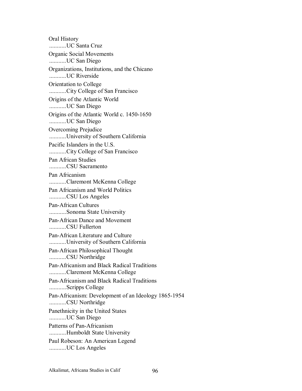Oral History ...........UC Santa Cruz Organic Social Movements ...........UC San Diego Organizations, Institutions, and the Chicano ...........UC Riverside Orientation to College ...........City College of San Francisco Origins of the Atlantic World ...........UC San Diego Origins of the Atlantic World c. 1450-1650 ...........UC San Diego Overcoming Prejudice ...........University of Southern California Pacific Islanders in the U.S. ...........City College of San Francisco Pan African Studies ...........CSU Sacramento Pan Africanism ...........Claremont McKenna College Pan Africanism and World Politics ...........CSU Los Angeles Pan-African Cultures ...........Sonoma State University Pan-African Dance and Movement ...........CSU Fullerton Pan-African Literature and Culture ...........University of Southern California Pan-African Philosophical Thought ...........CSU Northridge Pan-Africanism and Black Radical Traditions ...........Claremont McKenna College Pan-Africanism and Black Radical Traditions ...........Scripps College Pan-Africanism: Development of an Ideology 1865-1954 ...........CSU Northridge Panethnicity in the United States ...........UC San Diego Patterns of Pan-Africanism ...........Humboldt State University Paul Robeson: An American Legend ...........UC Los Angeles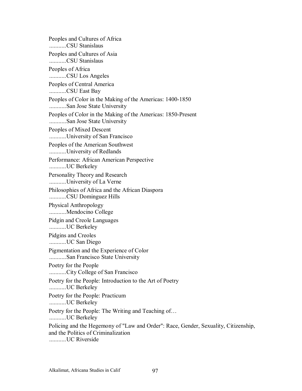Peoples and Cultures of Africa ...........CSU Stanislaus Peoples and Cultures of Asia ...........CSU Stanislaus Peoples of Africa ...........CSU Los Angeles Peoples of Central America ...........CSU East Bay Peoples of Color in the Making of the Americas: 1400-1850 ...........San Jose State University Peoples of Color in the Making of the Americas: 1850-Present ...........San Jose State University Peoples of Mixed Descent ...........University of San Francisco Peoples of the American Southwest ...........University of Redlands Performance: African American Perspective ...........UC Berkeley Personality Theory and Research ...........University of La Verne Philosophies of Africa and the African Diaspora ...........CSU Dominguez Hills Physical Anthropology ...........Mendocino College Pidgin and Creole Languages ...........UC Berkeley Pidgins and Creoles ...........UC San Diego Pigmentation and the Experience of Color ...........San Francisco State University Poetry for the People ...........City College of San Francisco Poetry for the People: Introduction to the Art of Poetry ...........UC Berkeley Poetry for the People: Practicum ...........UC Berkeley Poetry for the People: The Writing and Teaching of... ...........UC Berkeley Policing and the Hegemony of "Law and Order": Race, Gender, Sexuality, Citizenship, and the Politics of Criminalization ...........UC Riverside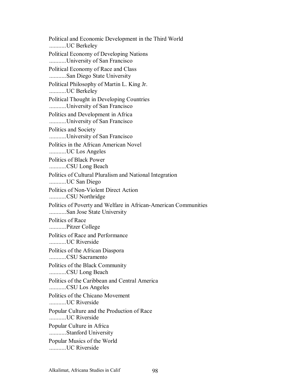Political and Economic Development in the Third World ...........UC Berkeley Political Economy of Developing Nations ...........University of San Francisco Political Economy of Race and Class ...........San Diego State University Political Philosophy of Martin L. King Jr. ...........UC Berkeley Political Thought in Developing Countries ...........University of San Francisco Politics and Development in Africa ...........University of San Francisco Politics and Society ...........University of San Francisco Politics in the African American Novel ...........UC Los Angeles Politics of Black Power ...........CSU Long Beach Politics of Cultural Pluralism and National Integration ...........UC San Diego Politics of Non-Violent Direct Action ...........CSU Northridge Politics of Poverty and Welfare in African-American Communities ...........San Jose State University Politics of Race ...........Pitzer College Politics of Race and Performance ...........UC Riverside Politics of the African Diaspora ...........CSU Sacramento Politics of the Black Community ...........CSU Long Beach Politics of the Caribbean and Central America ...........CSU Los Angeles Politics of the Chicano Movement ...........UC Riverside Popular Culture and the Production of Race ...........UC Riverside Popular Culture in Africa ...........Stanford University Popular Musics of the World ...........UC Riverside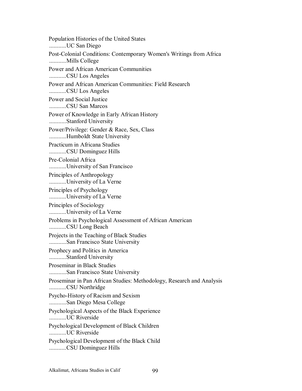Population Histories of the United States ...........UC San Diego Post-Colonial Conditions: Contemporary Women's Writings from Africa ...........Mills College Power and African American Communities ...........CSU Los Angeles Power and African American Communities: Field Research ...........CSU Los Angeles Power and Social Justice ...........CSU San Marcos Power of Knowledge in Early African History ...........Stanford University Power/Privilege: Gender & Race, Sex, Class ...........Humboldt State University Practicum in Africana Studies ...........CSU Dominguez Hills Pre-Colonial Africa ...........University of San Francisco Principles of Anthropology ...........University of La Verne Principles of Psychology ...........University of La Verne Principles of Sociology ...........University of La Verne Problems in Psychological Assessment of African American ...........CSU Long Beach Projects in the Teaching of Black Studies ...........San Francisco State University Prophecy and Politics in America ...........Stanford University Proseminar in Black Studies ...........San Francisco State University Proseminar in Pan African Studies: Methodology, Research and Analysis ...........CSU Northridge Psycho-History of Racism and Sexism ...........San Diego Mesa College Psychological Aspects of the Black Experience ...........UC Riverside Psychological Development of Black Children ...........UC Riverside Psychological Development of the Black Child ...........CSU Dominguez Hills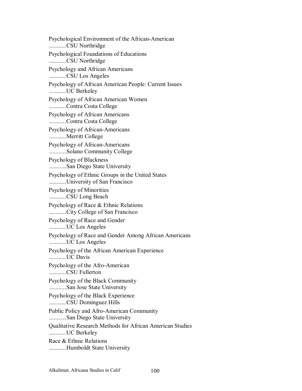Psychological Environment of the African-American ...........CSU Northridge Psychological Foundations of Educations ...........CSU Northridge Psychology and African Americans ...........CSU Los Angeles Psychology of African American People: Current Issues ...........UC Berkeley Psychology of African American Women ...........Contra Costa College Psychology of African Americans ...........Contra Costa College Psychology of African-Americans ...........Merritt College Psychology of African-Americans ...........Solano Community College Psychology of Blackness ...........San Diego State University Psychology of Ethnic Groups in the United States ...........University of San Francisco Psychology of Minorities ...........CSU Long Beach Psychology of Race & Ethnic Relations ...........City College of San Francisco Psychology of Race and Gender ...........UC Los Angeles Psychology of Race and Gender Among African Americans ...........UC Los Angeles Psychology of the African American Experience ...........UC Davis Psychology of the Afro-American ...........CSU Fullerton Psychology of the Black Community ...........San Jose State University Psychology of the Black Experience ...........CSU Dominguez Hills Public Policy and Afro-American Community ...........San Diego State University Qualitative Research Methods for African American Studies ...........UC Berkeley Race & Ethnic Relations ...........Humboldt State University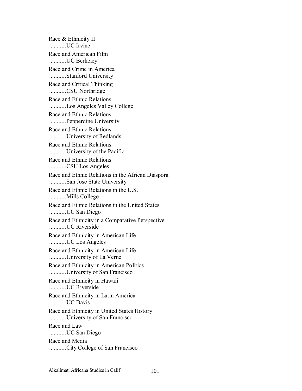Race & Ethnicity II ...........UC Irvine Race and American Film ...........UC Berkeley Race and Crime in America ...........Stanford University Race and Critical Thinking ...........CSU Northridge Race and Ethnic Relations ...........Los Angeles Valley College Race and Ethnic Relations ...........Pepperdine University Race and Ethnic Relations ...........University of Redlands Race and Ethnic Relations ...........University of the Pacific Race and Ethnic Relations ...........CSU Los Angeles Race and Ethnic Relations in the African Diaspora ...........San Jose State University Race and Ethnic Relations in the U.S. ...........Mills College Race and Ethnic Relations in the United States ...........UC San Diego Race and Ethnicity in a Comparative Perspective ...........UC Riverside Race and Ethnicity in American Life ...........UC Los Angeles Race and Ethnicity in American Life ...........University of La Verne Race and Ethnicity in American Politics ...........University of San Francisco Race and Ethnicity in Hawaii ...........UC Riverside Race and Ethnicity in Latin America ...........UC Davis Race and Ethnicity in United States History ...........University of San Francisco Race and Law ...........UC San Diego Race and Media ...........City College of San Francisco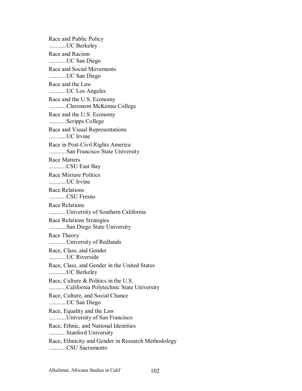Race and Public Policy ...........UC Berkeley Race and Racism ...........UC San Diego Race and Social Movements ...........UC San Diego Race and the Law ...........UC Los Angeles Race and the U.S. Economy ...........Claremont McKenna College Race and the U.S. Economy ...........Scripps College Race and Visual Representations ...........UC Irvine Race in Post-Civil Rights America ...........San Francisco State University Race Matters ...........CSU East Bay Race Mixture Politics ...........UC Irvine Race Relations ...........CSU Fresno Race Relations ...........University of Southern California Race Relations Strategies ...........San Diego State University Race Theory ...........University of Redlands Race, Class, and Gender ...........UC Riverside Race, Class, and Gender in the United States ...........UC Berkeley Race, Culture & Politics in the U.S. ...........California Polytechnic State University Race, Culture, and Social Chance ...........UC San Diego Race, Equality and the Law ...........University of San Francisco Race, Ethnic, and National Identities ...........Stanford University Race, Ethnicity and Gender in Research Methodology ...........CSU Sacramento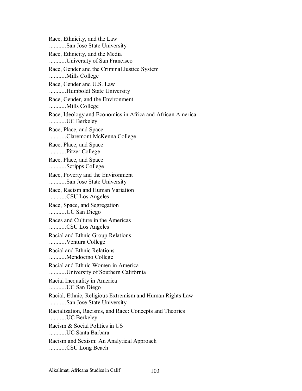Race, Ethnicity, and the Law ...........San Jose State University Race, Ethnicity, and the Media ...........University of San Francisco Race, Gender and the Criminal Justice System ...........Mills College Race, Gender and U.S. Law ...........Humboldt State University Race, Gender, and the Environment ...........Mills College Race, Ideology and Economics in Africa and African America ...........UC Berkeley Race, Place, and Space ...........Claremont McKenna College Race, Place, and Space ...........Pitzer College Race, Place, and Space ...........Scripps College Race, Poverty and the Environment ...........San Jose State University Race, Racism and Human Variation ...........CSU Los Angeles Race, Space, and Segregation ...........UC San Diego Races and Culture in the Americas ...........CSU Los Angeles Racial and Ethnic Group Relations ...........Ventura College Racial and Ethnic Relations ...........Mendocino College Racial and Ethnic Women in America ...........University of Southern California Racial Inequality in America ...........UC San Diego Racial, Ethnic, Religious Extremism and Human Rights Law ...........San Jose State University Racialization, Racisms, and Race: Concepts and Theories ...........UC Berkeley Racism & Social Politics in US ...........UC Santa Barbara Racism and Sexism: An Analytical Approach ...........CSU Long Beach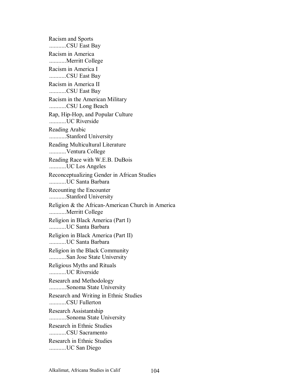Racism and Sports ...........CSU East Bay Racism in America ...........Merritt College Racism in America I ...........CSU East Bay Racism in America II ...........CSU East Bay Racism in the American Military ...........CSU Long Beach Rap, Hip-Hop, and Popular Culture ...........UC Riverside Reading Arabic ...........Stanford University Reading Multicultural Literature ...........Ventura College Reading Race with W.E.B. DuBois ...........UC Los Angeles Reconceptualizing Gender in African Studies ...........UC Santa Barbara Recounting the Encounter ...........Stanford University Religion & the African-American Church in America ...........Merritt College Religion in Black America (Part I) ...........UC Santa Barbara Religion in Black America (Part II) ...........UC Santa Barbara Religion in the Black Community ...........San Jose State University Religious Myths and Rituals ...........UC Riverside Research and Methodology ...........Sonoma State University Research and Writing in Ethnic Studies ...........CSU Fullerton Research Assistantship ...........Sonoma State University Research in Ethnic Studies ...........CSU Sacramento Research in Ethnic Studies ...........UC San Diego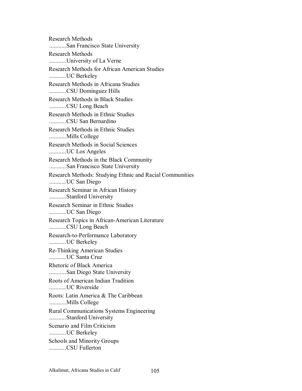Research Methods ...........San Francisco State University Research Methods ...........University of La Verne Research Methods for African American Studies ...........UC Berkeley Research Methods in Africana Studies ...........CSU Dominguez Hills Research Methods in Black Studies ...........CSU Long Beach Research Methods in Ethnic Studies ...........CSU San Bernardino Research Methods in Ethnic Studies ...........Mills College Research Methods in Social Sciences ...........UC Los Angeles Research Methods in the Black Community ...........San Francisco State University Research Methods: Studying Ethnic and Racial Communities ...........UC San Diego Research Seminar in African History ...........Stanford University Research Seminar in Ethnic Studies ...........UC San Diego Research Topics in African-American Literature ...........CSU Long Beach Research-to-Performance Laboratory ...........UC Berkeley Re-Thinking American Studies ...........UC Santa Cruz Rhetoric of Black America ...........San Diego State University Roots of American Indian Tradition ...........UC Riverside Roots: Latin America & The Caribbean ...........Mills College Rural Communications Systems Engineering ...........Stanford University Scenario and Film Criticism ...........UC Berkeley Schools and Minority Groups ...........CSU Fullerton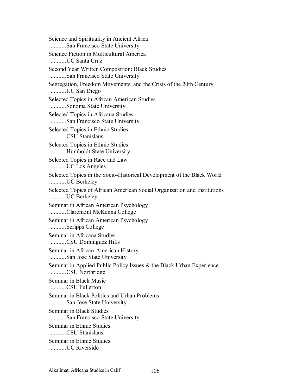Science and Spirituality in Ancient Africa ...........San Francisco State University Science Fiction in Multicultural America ...........UC Santa Cruz Second Year Written Composition: Black Studies ...........San Francisco State University Segregation, Freedom Movements, and the Crisis of the 20th Century ...........UC San Diego Selected Topics in African American Studies ...........Sonoma State University Selected Topics in Africana Studies ...........San Francisco State University Selected Topics in Ethnic Studies ...........CSU Stanislaus Selected Topics in Ethnic Studies ...........Humboldt State University Selected Topics in Race and Law ...........UC Los Angeles Selected Topics in the Socio-Historical Development of the Black World ...........UC Berkeley Selected Topics of African American Social Organization and Institutions ...........UC Berkeley Seminar in African American Psychology ...........Claremont McKenna College Seminar in African American Psychology ...........Scripps College Seminar in Africana Studies ...........CSU Dominguez Hills Seminar in African-American History ...........San Jose State University Seminar in Applied Public Policy Issues & the Black Urban Experience ...........CSU Northridge Seminar in Black Music ...........CSU Fullerton Seminar in Black Politics and Urban Problems ...........San Jose State University Seminar in Black Studies ...........San Francisco State University Seminar in Ethnic Studies ...........CSU Stanislaus Seminar in Ethnic Studies ...........UC Riverside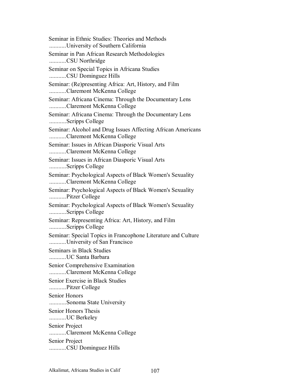Seminar in Ethnic Studies: Theories and Methods ...........University of Southern California Seminar in Pan African Research Methodologies ...........CSU Northridge Seminar on Special Topics in Africana Studies ...........CSU Dominguez Hills Seminar: (Re)presenting Africa: Art, History, and Film ...........Claremont McKenna College Seminar: Africana Cinema: Through the Documentary Lens ...........Claremont McKenna College Seminar: Africana Cinema: Through the Documentary Lens ...........Scripps College Seminar: Alcohol and Drug Issues Affecting African Americans ...........Claremont McKenna College Seminar: Issues in African Diasporic Visual Arts ...........Claremont McKenna College Seminar: Issues in African Diasporic Visual Arts ...........Scripps College Seminar: Psychological Aspects of Black Women's Sexuality ...........Claremont McKenna College Seminar: Psychological Aspects of Black Women's Sexuality ...........Pitzer College Seminar: Psychological Aspects of Black Women's Sexuality ...........Scripps College Seminar: Representing Africa: Art, History, and Film ...........Scripps College Seminar: Special Topics in Francophone Literature and Culture ...........University of San Francisco Seminars in Black Studies ...........UC Santa Barbara Senior Comprehensive Examination ...........Claremont McKenna College Senior Exercise in Black Studies ...........Pitzer College Senior Honors ...........Sonoma State University Senior Honors Thesis ...........UC Berkeley Senior Project ...........Claremont McKenna College Senior Project ...........CSU Dominguez Hills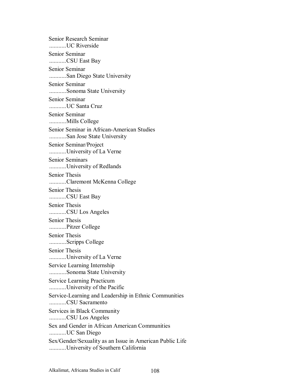Senior Research Seminar ...........UC Riverside Senior Seminar ...........CSU East Bay Senior Seminar ...........San Diego State University Senior Seminar ...........Sonoma State University Senior Seminar ...........UC Santa Cruz Senior Seminar ...........Mills College Senior Seminar in African-American Studies ...........San Jose State University Senior Seminar/Project ...........University of La Verne Senior Seminars ...........University of Redlands Senior Thesis ...........Claremont McKenna College Senior Thesis ...........CSU East Bay Senior Thesis ...........CSU Los Angeles Senior Thesis ...........Pitzer College Senior Thesis ...........Scripps College Senior Thesis ...........University of La Verne Service Learning Internship ...........Sonoma State University Service Learning Practicum ...........University of the Pacific Service-Learning and Leadership in Ethnic Communities ...........CSU Sacramento Services in Black Community ...........CSU Los Angeles Sex and Gender in African American Communities ...........UC San Diego Sex/Gender/Sexuality as an Issue in American Public Life ...........University of Southern California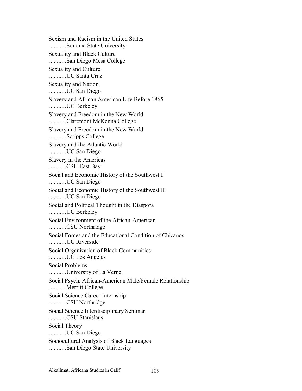Sexism and Racism in the United States ...........Sonoma State University Sexuality and Black Culture ...........San Diego Mesa College Sexuality and Culture ...........UC Santa Cruz Sexuality and Nation ...........UC San Diego Slavery and African American Life Before 1865 ...........UC Berkeley Slavery and Freedom in the New World ...........Claremont McKenna College Slavery and Freedom in the New World ...........Scripps College Slavery and the Atlantic World ...........UC San Diego Slavery in the Americas ...........CSU East Bay Social and Economic History of the Southwest I ...........UC San Diego Social and Economic History of the Southwest II ...........UC San Diego Social and Political Thought in the Diaspora ...........UC Berkeley Social Environment of the African-American ...........CSU Northridge Social Forces and the Educational Condition of Chicanos ...........UC Riverside Social Organization of Black Communities ...........UC Los Angeles Social Problems ...........University of La Verne Social Psych: African-American Male/Female Relationship ...........Merritt College Social Science Career Internship ...........CSU Northridge Social Science Interdisciplinary Seminar ...........CSU Stanislaus Social Theory ...........UC San Diego Sociocultural Analysis of Black Languages ...........San Diego State University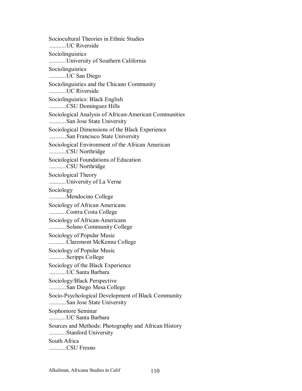Sociocultural Theories in Ethnic Studies ...........UC Riverside Sociolinguistics ...........University of Southern California Sociolinguistics ...........UC San Diego Sociolinguistics and the Chicano Community ...........UC Riverside Sociolinguistics: Black English ...........CSU Dominguez Hills Sociological Analysis of African-American Communities ...........San Jose State University Sociological Dimensions of the Black Experience ...........San Francisco State University Sociological Environment of the African American ...........CSU Northridge Sociological Foundations of Education ...........CSU Northridge Sociological Theory ...........University of La Verne Sociology ...........Mendocino College Sociology of African Americans ...........Contra Costa College Sociology of African-Americans ...........Solano Community College Sociology of Popular Music ...........Claremont McKenna College Sociology of Popular Music ...........Scripps College Sociology of the Black Experience ...........UC Santa Barbara Sociology/Black Perspective ...........San Diego Mesa College Socio-Psychological Development of Black Community ...........San Jose State University Sophomore Seminar ...........UC Santa Barbara Sources and Methods: Photography and African History ...........Stanford University South Africa ...........CSU Fresno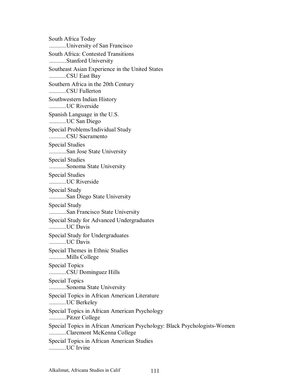South Africa Today ...........University of San Francisco South Africa: Contested Transitions ...........Stanford University Southeast Asian Experience in the United States ...........CSU East Bay Southern Africa in the 20th Century ...........CSU Fullerton Southwestern Indian History ...........UC Riverside Spanish Language in the U.S. ...........UC San Diego Special Problems/Individual Study ...........CSU Sacramento Special Studies ...........San Jose State University Special Studies ...........Sonoma State University Special Studies ...........UC Riverside Special Study ...........San Diego State University Special Study ...........San Francisco State University Special Study for Advanced Undergraduates ...........UC Davis Special Study for Undergraduates ...........UC Davis Special Themes in Ethnic Studies ...........Mills College Special Topics ...........CSU Dominguez Hills Special Topics ...........Sonoma State University Special Topics in African American Literature ...........UC Berkeley Special Topics in African American Psychology ...........Pitzer College Special Topics in African American Psychology: Black Psychologists-Women ...........Claremont McKenna College Special Topics in African American Studies ...........UC Irvine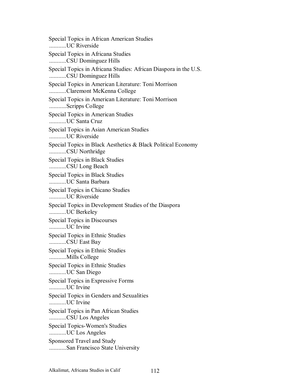Special Topics in African American Studies ...........UC Riverside Special Topics in Africana Studies ...........CSU Dominguez Hills Special Topics in Africana Studies: African Diaspora in the U.S. ...........CSU Dominguez Hills Special Topics in American Literature: Toni Morrison ...........Claremont McKenna College Special Topics in American Literature: Toni Morrison ...........Scripps College Special Topics in American Studies ...........UC Santa Cruz Special Topics in Asian American Studies ...........UC Riverside Special Topics in Black Aesthetics & Black Political Economy ...........CSU Northridge Special Topics in Black Studies ...........CSU Long Beach Special Topics in Black Studies ...........UC Santa Barbara Special Topics in Chicano Studies ...........UC Riverside Special Topics in Development Studies of the Diaspora ...........UC Berkeley Special Topics in Discourses ...........UC Irvine Special Topics in Ethnic Studies ...........CSU East Bay Special Topics in Ethnic Studies ...........Mills College Special Topics in Ethnic Studies ...........UC San Diego Special Topics in Expressive Forms ...........UC Irvine Special Topics in Genders and Sexualities ...........UC Irvine Special Topics in Pan African Studies ...........CSU Los Angeles Special Topics-Women's Studies ...........UC Los Angeles Sponsored Travel and Study ...........San Francisco State University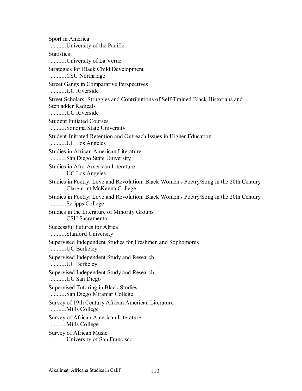Sport in America ...........University of the Pacific **Statistics** ...........University of La Verne Strategies for Black Child Development ...........CSU Northridge Street Gangs in Comparative Perspectives ...........UC Riverside Street Scholars: Struggles and Contributions of Self-Trained Black Historians and Stepladder Radicals ...........UC Riverside Student Initiated Courses ...........Sonoma State University Student-Initiated Retention and Outreach Issues in Higher Education ...........UC Los Angeles Studies in African American Literature ...........San Diego State University Studies in Afro-American Literature ...........UC Los Angeles Studies in Poetry: Love and Revolution: Black Women's Poetry/Song in the 20th Century ...........Claremont McKenna College Studies in Poetry: Love and Revolution: Black Women's Poetry/Song in the 20th Century ...........Scripps College Studies in the Literature of Minority Groups ...........CSU Sacramento Successful Futures for Africa ...........Stanford University Supervised Independent Studies for Freshmen and Sophomores ...........UC Berkeley Supervised Independent Study and Research ...........UC Berkeley Supervised Independent Study and Research ...........UC San Diego Supervised Tutoring in Black Studies ...........San Diego Miramar College Survey of 19th Century African American Literature ...........Mills College Survey of African American Literature ...........Mills College Survey of African Music ...........University of San Francisco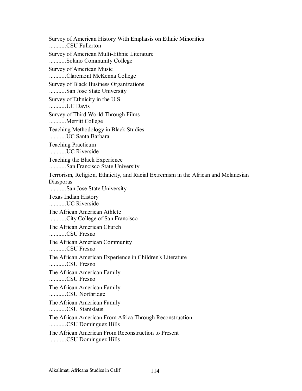Survey of American History With Emphasis on Ethnic Minorities ...........CSU Fullerton Survey of American Multi-Ethnic Literature ...........Solano Community College Survey of American Music ...........Claremont McKenna College Survey of Black Business Organizations ...........San Jose State University Survey of Ethnicity in the U.S. ...........UC Davis Survey of Third World Through Films ...........Merritt College Teaching Methodology in Black Studies ...........UC Santa Barbara Teaching Practicum ...........UC Riverside Teaching the Black Experience ...........San Francisco State University Terrorism, Religion, Ethnicity, and Racial Extremism in the African and Melanesian Diasporas ...........San Jose State University Texas Indian History ...........UC Riverside The African American Athlete ...........City College of San Francisco The African American Church ...........CSU Fresno The African American Community ...........CSU Fresno The African American Experience in Children's Literature ...........CSU Fresno The African American Family ...........CSU Fresno The African American Family ...........CSU Northridge The African American Family ...........CSU Stanislaus The African American From Africa Through Reconstruction ...........CSU Dominguez Hills The African American From Reconstruction to Present ...........CSU Dominguez Hills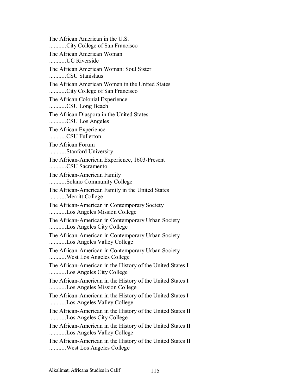The African American in the U.S. ...........City College of San Francisco The African American Woman ...........UC Riverside The African American Woman: Soul Sister ...........CSU Stanislaus The African American Women in the United States ...........City College of San Francisco The African Colonial Experience ...........CSU Long Beach The African Diaspora in the United States ...........CSU Los Angeles The African Experience ...........CSU Fullerton The African Forum ...........Stanford University The African-American Experience, 1603-Present ...........CSU Sacramento The African-American Family ...........Solano Community College The African-American Family in the United States ...........Merritt College The African-American in Contemporary Society ...........Los Angeles Mission College The African-American in Contemporary Urban Society ...........Los Angeles City College The African-American in Contemporary Urban Society ...........Los Angeles Valley College The African-American in Contemporary Urban Society ...........West Los Angeles College The African-American in the History of the United States I ...........Los Angeles City College The African-American in the History of the United States I ...........Los Angeles Mission College The African-American in the History of the United States I ...........Los Angeles Valley College The African-American in the History of the United States II ...........Los Angeles City College The African-American in the History of the United States II ...........Los Angeles Valley College The African-American in the History of the United States II ...........West Los Angeles College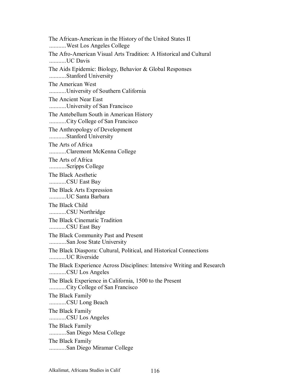The African-American in the History of the United States II ...........West Los Angeles College The Afro-American Visual Arts Tradition: A Historical and Cultural ...........UC Davis The Aids Epidemic: Biology, Behavior & Global Responses ...........Stanford University The American West ...........University of Southern California The Ancient Near East ...........University of San Francisco The Antebellum South in American History ...........City College of San Francisco The Anthropology of Development ...........Stanford University The Arts of Africa ...........Claremont McKenna College The Arts of Africa ...........Scripps College The Black Aesthetic ...........CSU East Bay The Black Arts Expression ...........UC Santa Barbara The Black Child ...........CSU Northridge The Black Cinematic Tradition ...........CSU East Bay The Black Community Past and Present ...........San Jose State University The Black Diaspora: Cultural, Political, and Historical Connections ...........UC Riverside The Black Experience Across Disciplines: Intensive Writing and Research ...........CSU Los Angeles The Black Experience in California, 1500 to the Present ...........City College of San Francisco The Black Family ...........CSU Long Beach The Black Family ...........CSU Los Angeles The Black Family ...........San Diego Mesa College The Black Family ...........San Diego Miramar College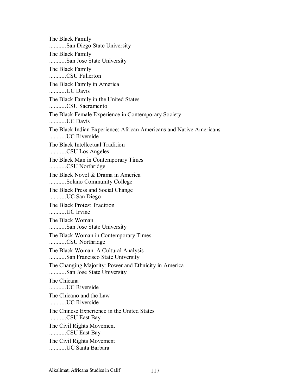The Black Family ...........San Diego State University The Black Family ...........San Jose State University The Black Family ...........CSU Fullerton The Black Family in America ...........UC Davis The Black Family in the United States ...........CSU Sacramento The Black Female Experience in Contemporary Society ...........UC Davis The Black Indian Experience: African Americans and Native Americans ...........UC Riverside The Black Intellectual Tradition ...........CSU Los Angeles The Black Man in Contemporary Times ...........CSU Northridge The Black Novel & Drama in America ...........Solano Community College The Black Press and Social Change ...........UC San Diego The Black Protest Tradition ...........UC Irvine The Black Woman ...........San Jose State University The Black Woman in Contemporary Times ...........CSU Northridge The Black Woman: A Cultural Analysis ...........San Francisco State University The Changing Majority: Power and Ethnicity in America ...........San Jose State University The Chicana ...........UC Riverside The Chicano and the Law ...........UC Riverside The Chinese Experience in the United States ...........CSU East Bay The Civil Rights Movement ...........CSU East Bay The Civil Rights Movement ...........UC Santa Barbara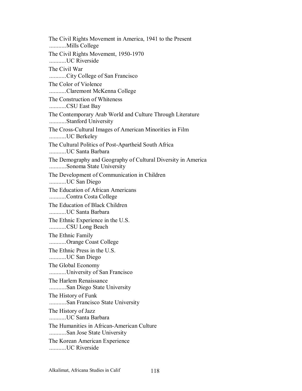The Civil Rights Movement in America, 1941 to the Present ...........Mills College The Civil Rights Movement, 1950-1970 ...........UC Riverside The Civil War ...........City College of San Francisco The Color of Violence ...........Claremont McKenna College The Construction of Whiteness ...........CSU East Bay The Contemporary Arab World and Culture Through Literature ...........Stanford University The Cross-Cultural Images of American Minorities in Film ...........UC Berkeley The Cultural Politics of Post-Apartheid South Africa ...........UC Santa Barbara The Demography and Geography of Cultural Diversity in America ...........Sonoma State University The Development of Communication in Children ...........UC San Diego The Education of African Americans ...........Contra Costa College The Education of Black Children ...........UC Santa Barbara The Ethnic Experience in the U.S. ...........CSU Long Beach The Ethnic Family ...........Orange Coast College The Ethnic Press in the U.S. ...........UC San Diego The Global Economy ...........University of San Francisco The Harlem Renaissance ...........San Diego State University The History of Funk ...........San Francisco State University The History of Jazz ...........UC Santa Barbara The Humanities in African-American Culture ...........San Jose State University The Korean American Experience ...........UC Riverside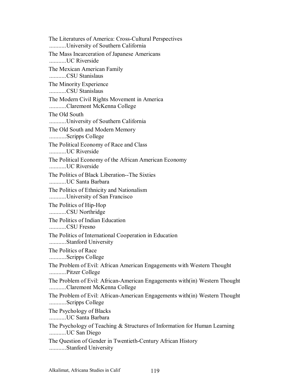The Literatures of America: Cross-Cultural Perspectives ...........University of Southern California The Mass Incarceration of Japanese Americans ...........UC Riverside The Mexican American Family ...........CSU Stanislaus The Minority Experience ...........CSU Stanislaus The Modern Civil Rights Movement in America ...........Claremont McKenna College The Old South ...........University of Southern California The Old South and Modern Memory ...........Scripps College The Political Economy of Race and Class ...........UC Riverside The Political Economy of the African American Economy ...........UC Riverside The Politics of Black Liberation--The Sixties ...........UC Santa Barbara The Politics of Ethnicity and Nationalism ...........University of San Francisco The Politics of Hip-Hop ...........CSU Northridge The Politics of Indian Education ...........CSU Fresno The Politics of International Cooperation in Education ...........Stanford University The Politics of Race ...........Scripps College The Problem of Evil: African American Engagements with Western Thought ...........Pitzer College The Problem of Evil: African-American Engagements with(in) Western Thought ...........Claremont McKenna College The Problem of Evil: African-American Engagements with(in) Western Thought ...........Scripps College The Psychology of Blacks ...........UC Santa Barbara The Psychology of Teaching & Structures of Information for Human Learning ...........UC San Diego The Question of Gender in Twentieth-Century African History ...........Stanford University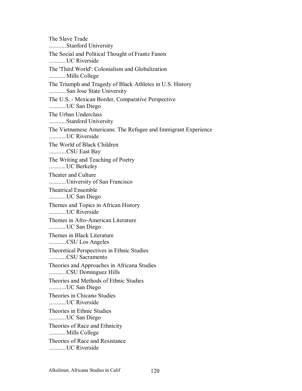The Slave Trade ...........Stanford University The Social and Political Thought of Frantz Fanon ...........UC Riverside The 'Third World': Colonialism and Globalization ...........Mills College The Triumph and Tragedy of Black Athletes in U.S. History ...........San Jose State University The U.S. - Mexican Border, Comparative Perspective ...........UC San Diego The Urban Underclass ...........Stanford University The Vietnamese Americans: The Refugee and Immigrant Experience ...........UC Riverside The World of Black Children ...........CSU East Bay The Writing and Teaching of Poetry ...........UC Berkeley Theater and Culture ...........University of San Francisco Theatrical Ensemble ...........UC San Diego Themes and Topics in African History ...........UC Riverside Themes in Afro-American Literature ...........UC San Diego Themes in Black Literature ...........CSU Los Angeles Theoretical Perspectives in Ethnic Studies ...........CSU Sacramento Theories and Approaches in Africana Studies ...........CSU Dominguez Hills Theories and Methods of Ethnic Studies ...........UC San Diego Theories in Chicano Studies UC Riverside Theories in Ethnic Studies ...........UC San Diego Theories of Race and Ethnicity ...........Mills College Theories of Race and Resistance ...........UC Riverside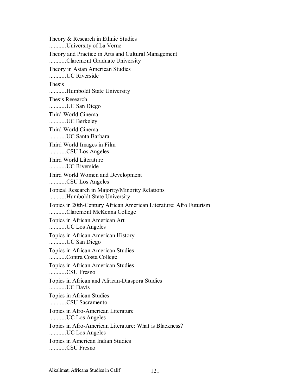Theory & Research in Ethnic Studies ...........University of La Verne Theory and Practice in Arts and Cultural Management ...........Claremont Graduate University Theory in Asian American Studies ...........UC Riverside Thesis ...........Humboldt State University Thesis Research ...........UC San Diego Third World Cinema ...........UC Berkeley Third World Cinema ...........UC Santa Barbara Third World Images in Film ...........CSU Los Angeles Third World Literature ...........UC Riverside Third World Women and Development ...........CSU Los Angeles Topical Research in Majority/Minority Relations ...........Humboldt State University Topics in 20th-Century African American Literature: Afro Futurism ...........Claremont McKenna College Topics in African American Art ...........UC Los Angeles Topics in African American History ...........UC San Diego Topics in African American Studies ...........Contra Costa College Topics in African American Studies ...........CSU Fresno Topics in African and African-Diaspora Studies ...........UC Davis Topics in African Studies ...........CSU Sacramento Topics in Afro-American Literature ...........UC Los Angeles Topics in Afro-American Literature: What is Blackness? ...........UC Los Angeles Topics in American Indian Studies ...........CSU Fresno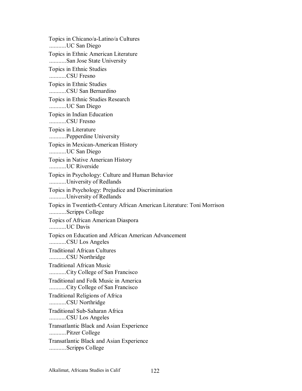Topics in Chicano/a-Latino/a Cultures ...........UC San Diego Topics in Ethnic American Literature ...........San Jose State University Topics in Ethnic Studies ...........CSU Fresno Topics in Ethnic Studies ...........CSU San Bernardino Topics in Ethnic Studies Research ...........UC San Diego Topics in Indian Education ...........CSU Fresno Topics in Literature ...........Pepperdine University Topics in Mexican-American History ...........UC San Diego Topics in Native American History ...........UC Riverside Topics in Psychology: Culture and Human Behavior ...........University of Redlands Topics in Psychology: Prejudice and Discrimination ...........University of Redlands Topics in Twentieth-Century African American Literature: Toni Morrison ...........Scripps College Topics of African American Diaspora ...........UC Davis Topics on Education and African American Advancement ...........CSU Los Angeles Traditional African Cultures ...........CSU Northridge Traditional African Music ...........City College of San Francisco Traditional and Folk Music in America ...........City College of San Francisco Traditional Religions of Africa ...........CSU Northridge Traditional Sub-Saharan Africa ...........CSU Los Angeles Transatlantic Black and Asian Experience ...........Pitzer College Transatlantic Black and Asian Experience ...........Scripps College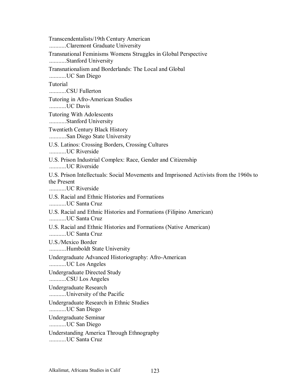Transcendentalists/19th Century American ...........Claremont Graduate University Transnational Feminisms Womens Struggles in Global Perspective ...........Stanford University Transnationalism and Borderlands: The Local and Global ...........UC San Diego Tutorial ...........CSU Fullerton Tutoring in Afro-American Studies ...........UC Davis Tutoring With Adolescents ...........Stanford University Twentieth Century Black History ...........San Diego State University U.S. Latinos: Crossing Borders, Crossing Cultures ...........UC Riverside U.S. Prison Industrial Complex: Race, Gender and Citizenship ...........UC Riverside U.S. Prison Intellectuals: Social Movements and Imprisoned Activists from the 1960s to the Present ...........UC Riverside U.S. Racial and Ethnic Histories and Formations ...........UC Santa Cruz U.S. Racial and Ethnic Histories and Formations (Filipino American) ...........UC Santa Cruz U.S. Racial and Ethnic Histories and Formations (Native American) ...........UC Santa Cruz U.S./Mexico Border ...........Humboldt State University Undergraduate Advanced Historiography: Afro-American ...........UC Los Angeles Undergraduate Directed Study ...........CSU Los Angeles Undergraduate Research ...........University of the Pacific Undergraduate Research in Ethnic Studies ...........UC San Diego Undergraduate Seminar ...........UC San Diego Understanding America Through Ethnography ...........UC Santa Cruz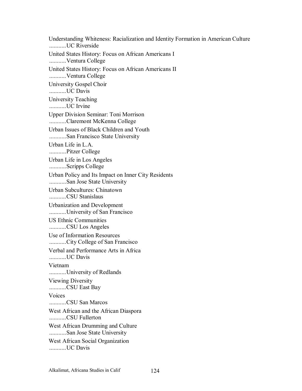Understanding Whiteness: Racialization and Identity Formation in American Culture ...........UC Riverside United States History: Focus on African Americans I ...........Ventura College United States History: Focus on African Americans II ...........Ventura College University Gospel Choir ...........UC Davis University Teaching ...........UC Irvine Upper Division Seminar: Toni Morrison ...........Claremont McKenna College Urban Issues of Black Children and Youth ...........San Francisco State University Urban Life in L.A. ...........Pitzer College Urban Life in Los Angeles ...........Scripps College Urban Policy and Its Impact on Inner City Residents ...........San Jose State University Urban Subcultures: Chinatown ...........CSU Stanislaus Urbanization and Development ...........University of San Francisco US Ethnic Communities ...........CSU Los Angeles Use of Information Resources ...........City College of San Francisco Verbal and Performance Arts in Africa ...........UC Davis Vietnam ...........University of Redlands Viewing Diversity ...........CSU East Bay Voices ...........CSU San Marcos West African and the African Diaspora ...........CSU Fullerton West African Drumming and Culture ...........San Jose State University West African Social Organization ...........UC Davis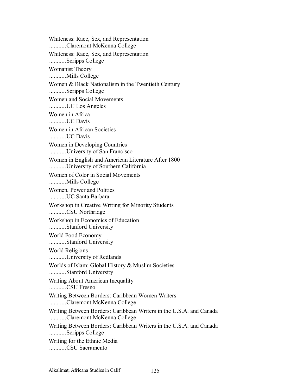Whiteness: Race, Sex, and Representation ...........Claremont McKenna College Whiteness: Race, Sex, and Representation ...........Scripps College Womanist Theory ...........Mills College Women & Black Nationalism in the Twentieth Century ...........Scripps College Women and Social Movements ...........UC Los Angeles Women in Africa ...........UC Davis Women in African Societies ...........UC Davis Women in Developing Countries ...........University of San Francisco Women in English and American Literature After 1800 ...........University of Southern California Women of Color in Social Movements ...........Mills College Women, Power and Politics ...........UC Santa Barbara Workshop in Creative Writing for Minority Students ...........CSU Northridge Workshop in Economics of Education ...........Stanford University World Food Economy ...........Stanford University World Religions ...........University of Redlands Worlds of Islam: Global History & Muslim Societies ...........Stanford University Writing About American Inequality ...........CSU Fresno Writing Between Borders: Caribbean Women Writers ...........Claremont McKenna College Writing Between Borders: Caribbean Writers in the U.S.A. and Canada ...........Claremont McKenna College Writing Between Borders: Caribbean Writers in the U.S.A. and Canada ...........Scripps College Writing for the Ethnic Media ...........CSU Sacramento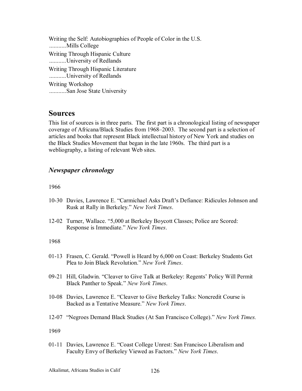Writing the Self: Autobiographies of People of Color in the U.S. ...........Mills College Writing Through Hispanic Culture ...........University of Redlands Writing Through Hispanic Literature ...........University of Redlands Writing Workshop ...........San Jose State University

# **Sources**

This list of sources is in three parts. The first part is a chronological listing of newspaper coverage of Africana/Black Studies from 1968–2003. The second part is a selection of articles and books that represent Black intellectual history of New York and studies on the Black Studies Movement that began in the late 1960s. The third part is a webliography, a listing of relevant Web sites.

## *Newspaper chronology*

1966

- 10-30 Davies, Lawrence E. "Carmichael Asks Draft's Defiance: Ridicules Johnson and Rusk at Rally in Berkeley.î *New York Times*.
- 12-02 Turner, Wallace. "5,000 at Berkeley Boycott Classes; Police are Scored: Response is Immediate.î *New York Times*.

### 1968

- 01-13 Frasen, C. Gerald. "Powell is Heard by 6,000 on Coast: Berkeley Students Get Plea to Join Black Revolution." *New York Times.*
- 09-21 Hill, Gladwin. "Cleaver to Give Talk at Berkeley: Regents' Policy Will Permit Black Panther to Speak." New York Times.
- 10-08 Davies, Lawrence E. "Cleaver to Give Berkeley Talks: Noncredit Course is Backed as a Tentative Measure." *New York Times*.
- 12-07 "Negroes Demand Black Studies (At San Francisco College)." *New York Times.*

1969

01-11 Davies, Lawrence E. "Coast College Unrest: San Francisco Liberalism and Faculty Envy of Berkeley Viewed as Factors." New York Times.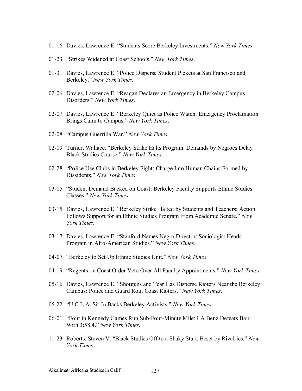- 01-16 Davies, Lawrence E. "Students Score Berkeley Investments." New York Times.
- 01-23 "Strikes Widened at Coast Schools." *New York Times*.
- 01-31 Davies, Lawrence E. "Police Disperse Student Pickets at San Francisco and Berkeley." *New York Times.*
- 02-06 Davies, Lawrence E. "Reagan Declares an Emergency in Berkeley Campus Disorders." *New York Times.*
- 02-07 Davies, Lawrence E. "Berkeley Quiet as Police Watch: Emergency Proclamation Brings Calm to Campus." New York Times.
- 02-08 "Campus Guerrilla War." New York Times.
- 02-09 Turner, Wallace. "Berkeley Strike Halts Program: Demands by Negroes Delay Black Studies Course." New York Times.
- 02-28 "Police Use Clubs in Berkeley Fight: Charge Into Human Chains Formed by Dissidents." *New York Times*.
- 03-05 "Student Demand Backed on Coast: Berkeley Faculty Supports Ethnic Studies Classes.î *New York Times*.
- 03-15 Davies, Lawrence E. "Berkeley Strike Halted by Students and Teachers: Action Follows Support for an Ethnic Studies Program From Academic Senate.<sup>"</sup> New *York Times*.
- 03-17 Davies, Lawrence E. "Stanford Names Negro Director: Sociologist Heads Program in Afro-American Studies.î *New York Times*.
- 04-07 "Berkeley to Set Up Ethnic Studies Unit." New York Times.
- 04-19 "Regents on Coast Order Veto Over All Faculty Appointments." *New York Times*.
- 05-16 Davies, Lawrence E. "Shotguns and Tear Gas Disperse Rioters Near the Berkeley Campus: Police and Guard Rout Coast Rioters.î *New York Times*.
- 05-22 <sup>"</sup>U.C.L.A. Sit-In Backs Berkeley Activists." *New York Times*.
- 06-01 "Four in Kennedy Games Run Sub-Four-Minute Mile: LA Benz Defeats Bair With 3:58.4.<sup>n</sup> *New York Times.*
- 11-23 Roberts, Steven V. "Black Studies Off to a Shaky Start, Beset by Rivalries." *New York Times*.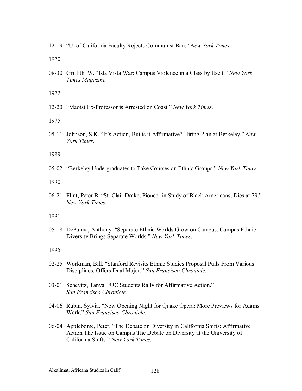12-19 *"U. of California Faculty Rejects Communist Ban." New York Times.* 

1970

08-30 Griffith, W. "Isla Vista War: Campus Violence in a Class by Itself." New York *Times Magazine*.

1972

12-20 *"Maoist Ex-Professor is Arrested on Coast." New York Times*.

1975

05-11 Johnson, S.K. "It's Action, But is it Affirmative? Hiring Plan at Berkeley." *New York Times.* 

1989

05-02 "Berkeley Undergraduates to Take Courses on Ethnic Groups." New York Times.

1990

06-21 Flint, Peter B. "St. Clair Drake, Pioneer in Study of Black Americans, Dies at 79." *New York Times*.

1991

05-18 DePalma, Anthony. "Separate Ethnic Worlds Grow on Campus: Campus Ethnic Diversity Brings Separate Worlds.î *New York Times*.

- 02-25 Workman, Bill. "Stanford Revisits Ethnic Studies Proposal Pulls From Various Disciplines, Offers Dual Major." *San Francisco Chronicle*.
- 03-01 Schevitz, Tanya. "UC Students Rally for Affirmative Action." *San Francisco Chronicle*.
- 04-06 Rubin, Sylvia. "New Opening Night for Quake Opera: More Previews for Adams Work.î *San Francisco Chronicle*.
- 06-04 Applebome, Peter. "The Debate on Diversity in California Shifts: Affirmative Action The Issue on Campus The Debate on Diversity at the University of California Shifts.î *New York Times*.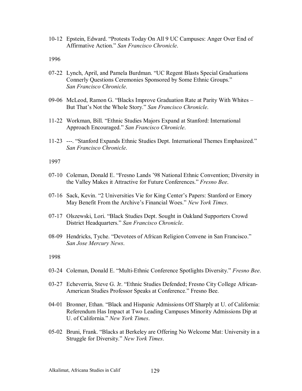10-12 Epstein, Edward. "Protests Today On All 9 UC Campuses: Anger Over End of Affirmative Action.î *San Francisco Chronicle*.

1996

- 07-22 Lynch, April, and Pamela Burdman. "UC Regent Blasts Special Graduations Connerly Questions Ceremonies Sponsored by Some Ethnic Groups." *San Francisco Chronicle*.
- 09-06 McLeod, Ramon G. "Blacks Improve Graduation Rate at Parity With Whites But That's Not the Whole Story." San Francisco Chronicle.
- 11-22 Workman, Bill. "Ethnic Studies Majors Expand at Stanford: International Approach Encouraged.î *San Francisco Chronicle*.
- 11-23 ---. "Stanford Expands Ethnic Studies Dept. International Themes Emphasized." *San Francisco Chronicle*.

1997

- 07-10 Coleman, Donald E. "Fresno Lands '98 National Ethnic Convention; Diversity in the Valley Makes it Attractive for Future Conferences." *Fresno Bee*.
- 07-16 Sack, Kevin. "2 Universities Vie for King Center's Papers: Stanford or Emory May Benefit From the Archive's Financial Woes." New York Times.
- 07-17 Olszewski, Lori. "Black Studies Dept. Sought in Oakland Supporters Crowd District Headquarters." San Francisco Chronicle.
- 08-09 Hendricks, Tyche. "Devotees of African Religion Convene in San Francisco." *San Jose Mercury News*.

- 03-24 Coleman, Donald E. "Multi-Ethnic Conference Spotlights Diversity." *Fresno Bee.*
- 03-27 Echeverria, Steve G. Jr. "Ethnic Studies Defended; Fresno City College African-American Studies Professor Speaks at Conference." Fresno Bee.
- 04-01 Bronner, Ethan. "Black and Hispanic Admissions Off Sharply at U. of California: Referendum Has Impact at Two Leading Campuses Minority Admissions Dip at U. of California." New York Times.
- 05-02 Bruni, Frank. "Blacks at Berkeley are Offering No Welcome Mat: University in a Struggle for Diversity." *New York Times*.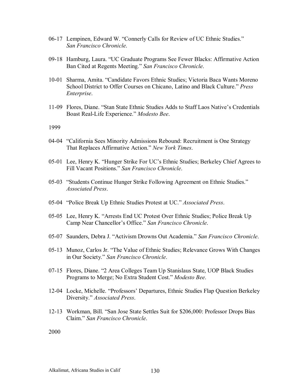- 06-17 Lempinen, Edward W. "Connerly Calls for Review of UC Ethnic Studies." *San Francisco Chronicle*.
- 09-18 Hamburg, Laura. "UC Graduate Programs See Fewer Blacks: Affirmative Action Ban Cited at Regents Meeting." *San Francisco Chronicle*.
- 10-01 Sharma, Amita. "Candidate Favors Ethnic Studies; Victoria Baca Wants Moreno School District to Offer Courses on Chicano, Latino and Black Culture.<sup>"</sup> Press *Enterprise*.
- 11-09 Flores, Diane. "Stan State Ethnic Studies Adds to Staff Laos Native's Credentials Boast Real-Life Experience." Modesto Bee.

1999

- 04-04 "California Sees Minority Admissions Rebound: Recruitment is One Strategy That Replaces Affirmative Action.î *New York Times*.
- 05-01 Lee, Henry K. "Hunger Strike For UC's Ethnic Studies; Berkeley Chief Agrees to Fill Vacant Positions." *San Francisco Chronicle*.
- 05-03 "Students Continue Hunger Strike Following Agreement on Ethnic Studies." *Associated Press*.
- 05-04 "Police Break Up Ethnic Studies Protest at UC." Associated Press.
- 05-05 Lee, Henry K. "Arrests End UC Protest Over Ethnic Studies; Police Break Up Camp Near Chancellor's Office." San Francisco Chronicle.
- 05-07 Saunders, Debra J. "Activism Drowns Out Academia." San Francisco Chronicle.
- 05-13 Munoz, Carlos Jr. "The Value of Ethnic Studies; Relevance Grows With Changes in Our Society.î *San Francisco Chronicle*.
- 07-15 Flores, Diane. "2 Area Colleges Team Up Stanislaus State, UOP Black Studies Programs to Merge; No Extra Student Cost." *Modesto Bee.*
- 12-04 Locke, Michelle. "Professors' Departures, Ethnic Studies Flap Question Berkeley Diversity." *Associated Press.*
- 12-13 Workman, Bill. "San Jose State Settles Suit for \$206,000: Professor Drops Bias Claim.î *San Francisco Chronicle*.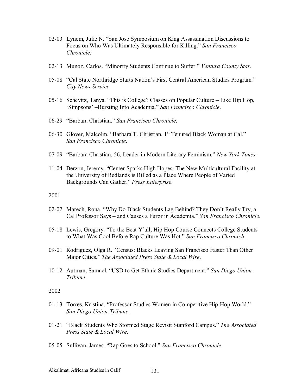- 02-03 Lynem, Julie N. "San Jose Symposium on King Assassination Discussions to Focus on Who Was Ultimately Responsible for Killing." *San Francisco Chronicle*.
- 02-13 Munoz, Carlos. "Minority Students Continue to Suffer." *Ventura County Star.*
- 05-08 "Cal State Northridge Starts Nation's First Central American Studies Program." *City News Service*.
- 05-16 Schevitz, Tanya. "This is College? Classes on Popular Culture  $-$  Like Hip Hop, 'Simpsons' --Bursting Into Academia." San Francisco Chronicle.
- 06-29 "Barbara Christian." San Francisco Chronicle.
- 06-30 Glover, Malcolm. "Barbara T. Christian, 1<sup>st</sup> Tenured Black Woman at Cal." *San Francisco Chronicle*.
- 07-09 "Barbara Christian, 56, Leader in Modern Literary Feminism." New York Times.
- 11-04 Berzon, Jeremy. "Center Sparks High Hopes: The New Multicultural Facility at the University of Redlands is Billed as a Place Where People of Varied Backgrounds Can Gather." Press Enterprise.

2001

- 02-02 Marech, Rona. "Why Do Black Students Lag Behind? They Don't Really Try, a Cal Professor Says – and Causes a Furor in Academia.<sup>7</sup> *San Francisco Chronicle*.
- 05-18 Lewis, Gregory. "To the Beat Y'all; Hip Hop Course Connects College Students to What Was Cool Before Rap Culture Was Hot.î *San Francisco Chronicle*.
- 09-01 Rodriguez, Olga R. "Census: Blacks Leaving San Francisco Faster Than Other Major Cities.î *The Associated Press State & Local Wire*.
- 10-12 Autman, Samuel. "USD to Get Ethnic Studies Department." San Diego Union-*Tribune*.

- 01-13 Torres, Kristina. "Professor Studies Women in Competitive Hip-Hop World." *San Diego Union-Tribune*.
- 01-21 "Black Students Who Stormed Stage Revisit Stanford Campus." *The Associated Press State & Local Wire*.
- 05-05 Sullivan, James. "Rap Goes to School." San Francisco Chronicle.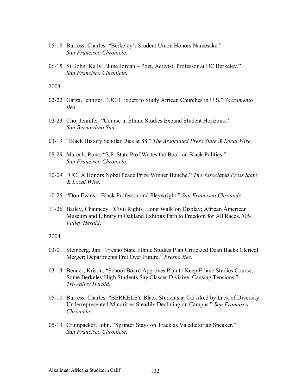- 05-18 Burress, Charles. "Berkeley's Student Union Honors Namesake." *San Francisco Chronicle*.
- 06-15 St. John, Kelly. "June Jordan Poet, Activist, Professor at UC Berkeley." *San Francisco Chronicle*.

2003

- 02-22 Garza, Jennifer. "UCD Expert to Study African Churches in U.S." Sacramento *Bee*.
- 02-23 Cho, Jennifer. "Course in Ethnic Studies Expand Student Horizons." *San Bernardino Sun*.
- 03-19 "Black History Scholar Dies at 88." The Associated Press State & Local Wire.
- 08-29 Marech, Rona. "S.F. State Prof Writes the Book on Black Politics." *San Francisco Chronicle*.
- 10-09 ìUCLA Honors Nobel Peace Prize Winner Bunche.î *The Associated Press State & Local Wire*.
- 10-25 "Don Evans Black Professor and Playwright." *San Francisco Chronicle*.
- 11-26 Bailey, Chauncey. "Civil Rights 'Long Walk'on Display; African American Museum and Library in Oakland Exhibits Path to Freedom for All Races. *Tri-Valley Herald*.

- 03-01 Steinberg, Jim. "Fresno State Ethnic Studies Plan Criticized Dean Backs Clerical Merger; Departments Fret Over Future." *Fresno Bee*.
- 03-13 Bender, Kristin. "School Board Approves Plan to Keep Ethnic Studies Course; Some Berkeley High Students Say Classes Divisive, Causing Tensions.<sup>77</sup> *Tri-Valley Herald*.
- 05-10 Burress, Charles. "BERKELEY Black Students at Cal Irked by Lack of Diversity: Underrepresented Minorities Steadily Declining on Campus.<sup>"</sup> San Francisco *Chronicle.*
- 05-13 Crumpacker, John. "Sprinter Stays on Track as Valedictorian Speaker." *San Francisco Chronicle*.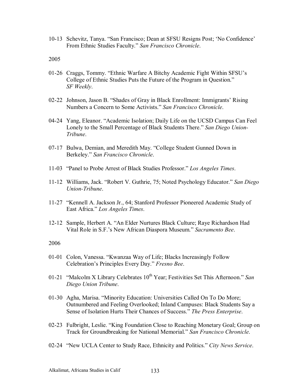10-13 Schevitz, Tanya. "San Francisco; Dean at SFSU Resigns Post; 'No Confidence' From Ethnic Studies Faculty." San Francisco Chronicle.

2005

- 01-26 Craggs, Tommy. "Ethnic Warfare A Bitchy Academic Fight Within SFSU's College of Ethnic Studies Puts the Future of the Program in Question.<sup>7</sup> *SF Weekly*.
- 02-22 Johnson, Jason B. "Shades of Gray in Black Enrollment: Immigrants' Rising Numbers a Concern to Some Activists.î *San Francisco Chronicle*.
- 04-24 Yang, Eleanor. "Academic Isolation; Daily Life on the UCSD Campus Can Feel Lonely to the Small Percentage of Black Students There." San Diego Union-*Tribune*.
- 07-17 Bulwa, Demian, and Meredith May. "College Student Gunned Down in Berkeley." *San Francisco Chronicle*.
- 11-03 "Panel to Probe Arrest of Black Studies Professor." Los Angeles Times.
- 11-12 Williams, Jack. "Robert V. Guthrie, 75; Noted Psychology Educator." *San Diego Union-Tribune*.
- 11-27 "Kennell A. Jackson Jr., 64; Stanford Professor Pioneered Academic Study of East Africa." Los Angeles Times.
- 12-12 Sample, Herbert A. "An Elder Nurtures Black Culture; Raye Richardson Had Vital Role in S.F.'s New African Diaspora Museum." *Sacramento Bee.*

- 01-01 Colon, Vanessa. "Kwanzaa Way of Life; Blacks Increasingly Follow Celebration's Principles Every Day." *Fresno Bee.*
- 01-21 *"Malcolm X Library Celebrates 10<sup>th</sup> Year*; Festivities Set This Afternoon." *San Diego Union Tribune*.
- 01-30 Agha, Marisa. "Minority Education: Universities Called On To Do More; Outnumbered and Feeling Overlooked; Inland Campuses: Black Students Say a Sense of Isolation Hurts Their Chances of Success." The Press Enterprise.
- 02-23 Fulbright, Leslie. "King Foundation Close to Reaching Monetary Goal; Group on Track for Groundbreaking for National Memorial.î *San Francisco Chronicle*.
- 02-24 "New UCLA Center to Study Race, Ethnicity and Politics." *City News Service*.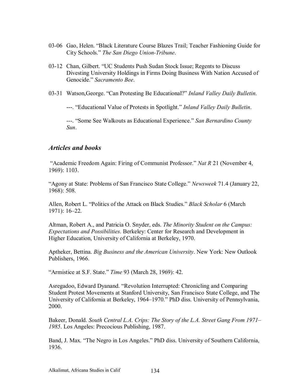- 03-06 Gao, Helen. "Black Literature Course Blazes Trail; Teacher Fashioning Guide for City Schools.î *The San Diego Union-Tribune*.
- 03-12 Chan, Gilbert. "UC Students Push Sudan Stock Issue; Regents to Discuss Divesting University Holdings in Firms Doing Business With Nation Accused of Genocide.<sup>"</sup> *Sacramento Bee.*
- 03-31 Watson, George. "Can Protesting Be Educational?" *Inland Valley Daily Bulletin*.

---. "Educational Value of Protests in Spotlight." *Inland Valley Daily Bulletin*.

---. "Some See Walkouts as Educational Experience." *San Bernardino County Sun*.

### *Articles and books*

<sup>24</sup> Academic Freedom Again: Firing of Communist Professor.<sup>7</sup> *Nat R* 21 (November 4, 1969): 1103.

ìAgony at State: Problems of San Francisco State College.î *Newsweek* 71.4 (January 22, 1968): 508.

Allen, Robert L. "Politics of the Attack on Black Studies." *Black Scholar* 6 (March 1971): 16-22.

Altman, Robert A., and Patricia O. Snyder, eds. *The Minority Student on the Campus: Expectations and Possibilities*. Berkeley: Center for Research and Development in Higher Education, University of California at Berkeley, 1970.

Aptheker, Bettina. *Big Business and the American University*. New York: New Outlook Publishers, 1966.

ìArmistice at S.F. State.î *Time* 93 (March 28, 1969): 42.

Asregadoo, Edward Dyanand. "Revolution Interrupted: Chronicling and Comparing Student Protest Movements at Stanford University, San Francisco State College, and The University of California at Berkeley, 1964–1970." PhD diss. University of Pennsylvania, 2000.

Bakeer, Donald. *South Central L.A. Crips: The Story of the L.A. Street Gang From 1971*– *1985*. Los Angeles: Precocious Publishing, 1987.

Band, J. Max. "The Negro in Los Angeles." PhD diss. University of Southern California, 1936.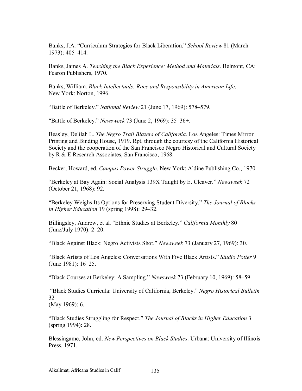Banks, J.A. "Curriculum Strategies for Black Liberation." *School Review* 81 (March 1973): 405-414.

Banks, James A. *Teaching the Black Experience: Method and Materials*. Belmont, CA: Fearon Publishers, 1970.

Banks, William. *Black Intellectuals: Race and Responsibility in American Life*. New York: Norton, 1996.

*i*Battle of Berkeley.*ndtional Review* 21 (June 17, 1969): 578–579.

**Example 31 Figure 13** (June 2, 1969): 35–36+.

Beasley, Delilah L. *The Negro Trail Blazers of California*. Los Angeles: Times Mirror Printing and Binding House, 1919. Rpt. through the courtesy of the California Historical Society and the cooperation of the San Francisco Negro Historical and Cultural Society by R & E Research Associates, San Francisco, 1968.

Becker, Howard, ed. *Campus Power Struggle*. New York: Aldine Publishing Co., 1970.

ìBerkeley at Bay Again: Social Analysis 139X Taught by E. Cleaver.î *Newsweek* 72 (October 21, 1968): 92.

ìBerkeley Weighs Its Options for Preserving Student Diversity.î *The Journal of Blacks in Higher Education* 19 (spring 1998): 29–32.

Billingsley, Andrew, et al. "Ethnic Studies at Berkeley." *California Monthly* 80  $(June/July 1970)$ : 2–20.

ìBlack Against Black: Negro Activists Shot.î *Newsweek* 73 (January 27, 1969): 30.

ìBlack Artists of Los Angeles: Conversations With Five Black Artists.î *Studio Potter* 9 (June 1981):  $16-25$ .

*iBlack Courses at Berkeley: A Sampling.<sup>3</sup> Newsweek 73 (February 10, 1969): 58–59.* 

 ìBlack Studies Curricula: University of California, Berkeley.î *Negro Historical Bulletin*  32 (May 1969): 6.

ìBlack Studies Struggling for Respect.î *The Journal of Blacks in Higher Education* 3 (spring 1994): 28.

Blessingame, John, ed. *New Perspectives on Black Studies*. Urbana: University of Illinois Press, 1971.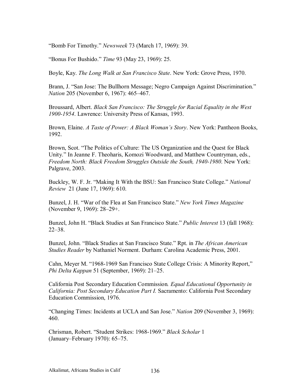ìBomb For Timothy.î *Newsweek* 73 (March 17, 1969): 39.

*"Bonus For Bushido." Time 93 (May 23, 1969): 25.* 

Boyle, Kay. *The Long Walk at San Francisco State*. New York: Grove Press, 1970.

Brann, J. "San Jose: The Bullhorn Message; Negro Campaign Against Discrimination." *Nation* 205 (November 6, 1967): 465–467.

Broussard, Albert. *Black San Francisco: The Struggle for Racial Equality in the West 1900-1954*. Lawrence: University Press of Kansas, 1993.

Brown, Elaine. *A Taste of Power: A Black Womanís Story*. New York: Pantheon Books, 1992.

Brown, Scot. "The Politics of Culture: The US Organization and the Quest for Black Unity." In Jeanne F. Theoharis, Komozi Woodward, and Matthew Countryman, eds., *Freedom North: Black Freedom Struggles Outside the South, 1940-1980*. New York: Palgrave, 2003.

Buckley, W. F. Jr. "Making It With the BSU: San Francisco State College." *National Review* 21 (June 17, 1969): 610.

Bunzel, J. H. "War of the Flea at San Francisco State." *New York Times Magazine* (November 9, 1969): 28–29+.

Bunzel, John H. "Black Studies at San Francisco State." *Public Interest* 13 (fall 1968):  $22 - 38$ .

Bunzel, John. "Black Studies at San Francisco State." Rpt. in *The African American Studies Reader* by Nathaniel Norment. Durham: Carolina Academic Press, 2001.

Cahn, Meyer M. "1968-1969 San Francisco State College Crisis: A Minority Report," *Phi Delta Kappan* 51 (September, 1969): 21–25.

California Post Secondary Education Commission*. Equal Educational Opportunity in California: Post Secondary Education Part I.* Sacramento: California Post Secondary Education Commission, 1976.

ìChanging Times: Incidents at UCLA and San Jose.î *Nation* 209 (November 3, 1969): 460.

Chrisman, Robert. "Student Strikes: 1968-1969." *Black Scholar* 1 (January–February 1970):  $65-75$ .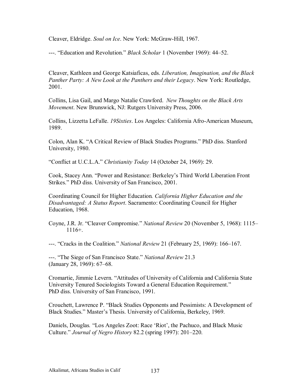Cleaver, Eldridge. *Soul on Ice*. New York: McGraw-Hill, 1967.

---. "Education and Revolution." *Black Scholar* 1 (November 1969): 44–52.

Cleaver, Kathleen and George Katsiaficas, eds. *Liberation, Imagination, and the Black Panther Party: A New Look at the Panthers and their Legacy*. New York: Routledge, 2001.

Collins, Lisa Gail, and Margo Natalie Crawford. *New Thoughts on the Black Arts Movement*. New Brunswick, NJ: Rutgers University Press, 2006.

Collins, Lizzetta LeFalle. *19Sixties*. Los Angeles: California Afro-American Museum, 1989.

Colon, Alan K. "A Critical Review of Black Studies Programs." PhD diss. Stanford University, 1980.

ìConflict at U.C.L.A.î *Christianity Today* 14 (October 24, 1969): 29.

Cook, Stacey Ann. "Power and Resistance: Berkeley's Third World Liberation Front Strikes." PhD diss. University of San Francisco, 2001.

Coordinating Council for Higher Education*. California Higher Education and the Disadvantaged: A Status Report*. Sacramento: Coordinating Council for Higher Education, 1968.

Coyne, J.R. Jr. "Cleaver Compromise." *National Review* 20 (November 5, 1968): 1115 1116+.

---. "Cracks in the Coalition." *National Review* 21 (February 25, 1969): 166–167.

---. "The Siege of San Francisco State." *National Review* 21.3 (January 28, 1969):  $67–68$ .

Cromartie, Jimmie Levern. "Attitudes of University of California and California State University Tenured Sociologists Toward a General Education Requirement." PhD diss. University of San Francisco, 1991.

Crouchett, Lawrence P. "Black Studies Opponents and Pessimists: A Development of Black Studies." Master's Thesis. University of California, Berkeley, 1969.

Daniels, Douglas. "Los Angeles Zoot: Race 'Riot', the Pachuco, and Black Music Culture." *Journal of Negro History* 82.2 (spring 1997): 201–220.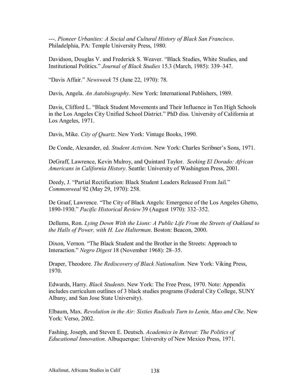---. *Pioneer Urbanites: A Social and Cultural History of Black San Francisco*. Philadelphia, PA: Temple University Press, 1980.

Davidson, Douglas V. and Frederick S. Weaver. "Black Studies, White Studies, and Institutional Politics." *Journal of Black Studies* 15.3 (March, 1985): 339–347.

ìDavis Affair.î *Newsweek* 75 (June 22, 1970): 78.

Davis, Angela. *An Autobiography*. New York: International Publishers, 1989.

Davis, Clifford L. "Black Student Movements and Their Influence in Ten High Schools in the Los Angeles City Unified School District." PhD diss. University of California at Los Angeles, 1971.

Davis, Mike. *City of Quartz*. New York: Vintage Books, 1990.

De Conde, Alexander, ed. *Student Activism*. New York: Charles Scribnerís Sons, 1971.

DeGraff, Lawrence, Kevin Mulroy, and Quintard Taylor. *Seeking El Dorado: African Americans in California History*. Seattle: University of Washington Press, 2001.

Deedy, J. "Partial Rectification: Black Student Leaders Released From Jail." *Commonweal* 92 (May 29, 1970): 258.

De Graaf, Lawrence. "The City of Black Angels: Emergence of the Los Angeles Ghetto, 1890-1930." *Pacific Historical Review* 39 (August 1970): 332–352.

Dellums, Ron. *Lying Down With the Lions: A Public Life From the Streets of Oakland to the Halls of Power, with H. Lee Halterman*. Boston: Beacon, 2000.

Dixon, Vernon. "The Black Student and the Brother in the Streets: Approach to Interaction.<sup>"</sup> *Negro Digest* 18 (November 1968): 28–35.

Draper, Theodore. *The Rediscovery of Black Nationalism*. New York: Viking Press, 1970.

Edwards, Harry. *Black Students*. New York: The Free Press, 1970. Note: Appendix includes curriculum outlines of 3 black studies programs (Federal City College, SUNY Albany, and San Jose State University).

Elbaum, Max. *Revolution in the Air: Sixties Radicals Turn to Lenin, Mao and Che*. New York: Verso, 2002.

Fashing, Joseph, and Steven E. Deutsch. *Academics in Retreat: The Politics of Educational Innovation.* Albuquerque: University of New Mexico Press, 1971.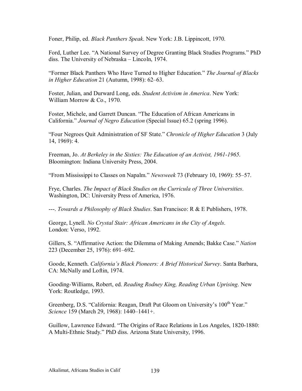Foner, Philip, ed. *Black Panthers Speak*. New York: J.B. Lippincott, 1970.

Ford, Luther Lee. "A National Survey of Degree Granting Black Studies Programs." PhD diss. The University of Nebraska – Lincoln, 1974.

ìFormer Black Panthers Who Have Turned to Higher Education.î *The Journal of Blacks in Higher Education* 21 (Autumn, 1998): 62–63.

Foster, Julian, and Durward Long, eds. *Student Activism in America*. New York: William Morrow & Co., 1970.

Foster, Michele, and Garrett Duncan. "The Education of African Americans in California.î *Journal of Negro Education* (Special Issue) 65.2 (spring 1996).

ìFour Negroes Quit Administration of SF State.î *Chronicle of Higher Education* 3 (July 14, 1969): 4.

Freeman, Jo. *At Berkeley in the Sixties: The Education of an Activist, 1961-1965*. Bloomington: Indiana University Press, 2004.

*i*From Mississippi to Classes on Napalm." *Newsweek* 73 (February 10, 1969): 55–57.

Frye, Charles. *The Impact of Black Studies on the Curricula of Three Universities*. Washington, DC: University Press of America, 1976.

---. *Towards a Philosophy of Black Studies*. San Francisco: R & E Publishers, 1978.

George, Lynell. *No Crystal Stair: African Americans in the City of Angels*. London: Verso, 1992.

Gillers, S. "Affirmative Action: the Dilemma of Making Amends; Bakke Case." *Nation* 223 (December 25, 1976): 691–692.

Goode, Kenneth. *Californiaís Black Pioneers: A Brief Historical Survey*. Santa Barbara, CA: McNally and Loftin, 1974.

Gooding-Williams, Robert, ed. *Reading Rodney King, Reading Urban Uprising*. New York: Routledge, 1993.

Greenberg, D.S. "California: Reagan, Draft Put Gloom on University's 100<sup>th</sup> Year." *Science* 159 (March 29, 1968): 1440–1441+.

Guillow, Lawrence Edward. "The Origins of Race Relations in Los Angeles, 1820-1880: A Multi-Ethnic Study.î PhD diss. Arizona State University, 1996.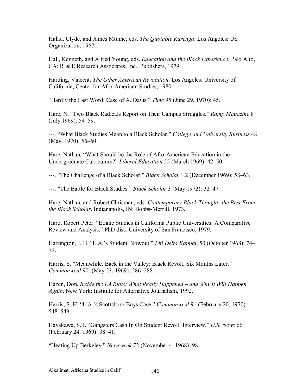Halisi, Clyde, and James Mtume, eds. *The Quotable Karenga*. Los Angeles: US Organization, 1967.

Hall, Kenneth, and Alfred Young, eds. *Education and the Black Experience*. Palo Alto, CA: R & E Research Associates, Inc., Publishers, 1979.

Harding, Vincent. *The Other American Revolution*. Los Angeles: University of California, Center for Afro-American Studies, 1980.

ìHardly the Last Word: Case of A. Davis.î *Time* 95 (June 29, 1970): 45.

Hare, N. "Two Black Radicals Report on Their Campus Struggles." Ramp Magazine 8  $(July 1969): 54–59.$ 

---. "What Black Studies Mean to a Black Scholar." *College and University Business* 48  $(May, 1970)$ : 56–60.

Hare, Nathan. "What Should be the Role of Afro-American Education in the Undergraduate Curriculum?" Liberal Education 55 (March 1969): 42-50.

---. "The Challenge of a Black Scholar." *Black Scholar* 1.2 (December 1969): 58–63.

---. "The Battle for Black Studies." *Black Scholar* 3 (May 1972): 32–47.

Hare, Nathan, and Robert Chrisman, eds. *Contemporary Black Thought: the Best From the Black Scholar*. Indianapolis, IN: Bobbs-Merrill, 1973.

Haro, Robert Peter. "Ethnic Studies in California Public Universities: A Comparative Review and Analysis." PhD diss. University of San Francisco, 1979.

Harrington, J. H. "L.A.'s Student Blowout." *Phi Delta Kappan* 50 (October 1968): 74– 79.

Harris, S. "Meanwhile, Back in the Valley: Black Revolt, Six Months Later." *Commonweal* 90: (May 23, 1969): 286-288.

Hazen, Don. *Inside the LA Riots: What Really Happened – and Why it Will Happen Again*. New York: Institute for Alternative Journalism, 1992.

Harris, S. H. "L.A.'s Scottsboro Boys Case." *Commonweal* 91 (February 20, 1970): 548–549.

Hayakawa, S. I. "Gangsters Cash In On Student Revolt: Interview." *U.S. News* 66 (February 24, 1969): 38–41.

ìHeating Up Berkeley.î *Newsweek* 72 (November 4, 1968): 98.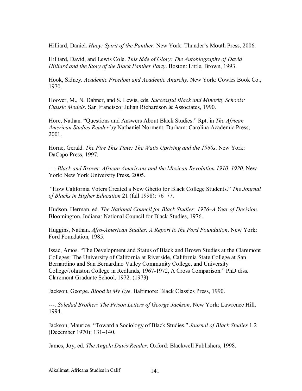Hilliard, Daniel. *Huey: Spirit of the Panther*. New York: Thunder's Mouth Press, 2006.

Hilliard, David, and Lewis Cole. *This Side of Glory: The Autobiography of David Hilliard and the Story of the Black Panther Party*. Boston: Little, Brown, 1993.

Hook, Sidney. *Academic Freedom and Academic Anarchy*. New York: Cowles Book Co., 1970.

Hoover, M., N. Dabner, and S. Lewis, eds. *Successful Black and Minority Schools: Classic Models*. San Francisco: Julian Richardson & Associates, 1990.

Hore, Nathan. "Questions and Answers About Black Studies." Rpt. in *The African American Studies Reader* by Nathaniel Norment. Durham: Carolina Academic Press, 2001.

Horne, Gerald. *The Fire This Time: The Watts Uprising and the 1960s*. New York: DaCapo Press, 1997.

---. *Black and Brown: African Americans and the Mexican Revolution 1910–1920*. New York: New York University Press, 2005.

 ìHow California Voters Created a New Ghetto for Black College Students.î *The Journal of Blacks in Higher Education* 21 (fall 1998): 76–77.

Hudson, Herman, ed. *The National Council for Black Studies: 1976–A Year of Decision*. Bloomington, Indiana: National Council for Black Studies, 1976.

Huggins, Nathan. *Afro-American Studies: A Report to the Ford Foundation*. New York: Ford Foundation, 1985.

Issac, Amos. "The Development and Status of Black and Brown Studies at the Claremont Colleges: The University of California at Riverside, California State College at San Bernardino and San Bernardino Valley Community College, and University College/Johnston College in Redlands, 1967-1972, A Cross Comparison." PhD diss. Claremont Graduate School, 1972. (1973)

Jackson, George. *Blood in My Eye*. Baltimore: Black Classics Press, 1990.

---. *Soledad Brother: The Prison Letters of George Jackson*. New York: Lawrence Hill, 1994.

Jackson, Maurice. "Toward a Sociology of Black Studies." *Journal of Black Studies* 1.2 (December 1970): 131–140.

James, Joy, ed. *The Angela Davis Reader*. Oxford: Blackwell Publishers, 1998.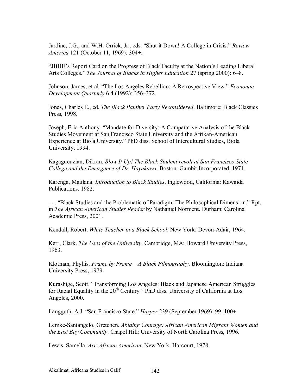Jardine, J.G., and W.H. Orrick, Jr., eds. "Shut it Down! A College in Crisis." *Review America* 121 (October 11, 1969): 304+.

"JBHE's Report Card on the Progress of Black Faculty at the Nation's Leading Liberal Arts Colleges." *The Journal of Blacks in Higher Education* 27 (spring 2000): 6–8.

Johnson, James, et al. "The Los Angeles Rebellion: A Retrospective View." *Economic Development Quarterly* 6.4 (1992): 356–372.

Jones, Charles E., ed. *The Black Panther Party Reconsidered*. Baltimore: Black Classics Press, 1998.

Joseph, Eric Anthony. "Mandate for Diversity: A Comparative Analysis of the Black Studies Movement at San Francisco State University and the Afrikan-American Experience at Biola University." PhD diss. School of Intercultural Studies, Biola University, 1994.

Kagagueuzian, Dikran. *Blow It Up! The Black Student revolt at San Francisco State College and the Emergence of Dr. Hayakawa*. Boston: Gambit Incorporated, 1971.

Karenga, Maulana. *Introduction to Black Studies*. Inglewood, California: Kawaida Publications, 1982.

---. "Black Studies and the Problematic of Paradigm: The Philosophical Dimension." Rpt. in *The African American Studies Reader* by Nathaniel Norment. Durham: Carolina Academic Press, 2001.

Kendall, Robert. *White Teacher in a Black School*. New York: Devon-Adair, 1964.

Kerr, Clark. *The Uses of the University*. Cambridge, MA: Howard University Press, 1963.

Klotman, Phyllis. *Frame by Frame – A Black Filmography*. Bloomington: Indiana University Press, 1979.

Kurashige, Scott. "Transforming Los Angeles: Black and Japanese American Struggles for Racial Equality in the  $20<sup>th</sup>$  Century." PhD diss. University of California at Los Angeles, 2000.

Langguth, A.J. "San Francisco State." *Harper* 239 (September 1969): 99–100+.

Lemke-Santangelo, Gretchen. *Abiding Courage: African American Migrant Women and the East Bay Community*. Chapel Hill: University of North Carolina Press, 1996.

Lewis, Samella. *Art: African American*. New York: Harcourt, 1978.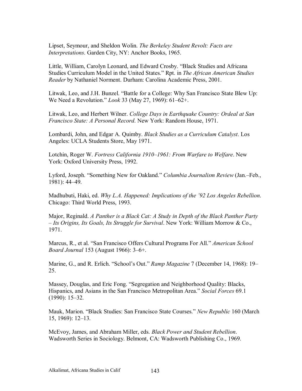Lipset, Seymour, and Sheldon Wolin. *The Berkeley Student Revolt: Facts are Interpretations*. Garden City, NY: Anchor Books, 1965.

Little, William, Carolyn Leonard, and Edward Crosby. "Black Studies and Africana Studies Curriculum Model in the United States." Rpt. in *The African American Studies Reader* by Nathaniel Norment. Durham: Carolina Academic Press, 2001.

Litwak, Leo, and J.H. Bunzel. "Battle for a College: Why San Francisco State Blew Up: We Need a Revolution." *Look* 33 (May 27, 1969): 61–62+.

Litwak, Leo, and Herbert Wilner. *College Days in Earthquake Country: Ordeal at San Francisco State: A Personal Record*. New York: Random House, 1971.

Lombardi, John, and Edgar A. Quimby. *Black Studies as a Curriculum Catalyst*. Los Angeles: UCLA Students Store, May 1971.

Lotchin, Roger W. Fortress California 1910-1961: From Warfare to Welfare. New York: Oxford University Press, 1992.

Lyford, Joseph. "Something New for Oakland." *Columbia Journalism Review* (Jan.–Feb., 1981): 44-49.

Madhubuti, Haki, ed. *Why L.A. Happened: Implications of the í92 Los Angeles Rebellion*. Chicago: Third World Press, 1993.

Major, Reginald. *A Panther is a Black Cat: A Study in Depth of the Black Panther Party ñ Its Origins, Its Goals, Its Struggle for Survival*. New York: William Morrow & Co., 1971.

Marcus, R., et al. "San Francisco Offers Cultural Programs For All." *American School Board Journal* 153 (August 1966): 3-6+.

Marine, G., and R. Erlich. "School's Out." *Ramp Magazine* 7 (December 14, 1968): 19– 25.

Massey, Douglas, and Eric Fong. "Segregation and Neighborhood Quality: Blacks, Hispanics, and Asians in the San Francisco Metropolitan Area.<sup>7</sup> *Social Forces* 69.1  $(1990): 15-32.$ 

Mauk, Marion. "Black Studies: San Francisco State Courses." *New Republic* 160 (March  $15, 1969$ :  $12-13$ .

McEvoy, James, and Abraham Miller, eds. *Black Power and Student Rebellion*. Wadsworth Series in Sociology. Belmont, CA: Wadsworth Publishing Co., 1969.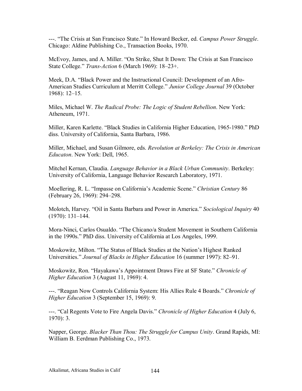---. "The Crisis at San Francisco State." In Howard Becker, ed. *Campus Power Struggle*. Chicago: Aldine Publishing Co., Transaction Books, 1970.

McEvoy, James, and A. Miller. "On Strike, Shut It Down: The Crisis at San Francisco State College.<sup>3</sup> *Trans-Action* 6 (March 1969): 18–23+.

Meek, D.A. "Black Power and the Instructional Council: Development of an Afro-American Studies Curriculum at Merritt College.î *Junior College Journal* 39 (October  $1968$ :  $12-15$ .

Miles, Michael W. *The Radical Probe: The Logic of Student Rebellion*. New York: Atheneum, 1971.

Miller, Karen Karlette. "Black Studies in California Higher Education, 1965-1980." PhD diss. University of California, Santa Barbara, 1986.

Miller, Michael, and Susan Gilmore, eds. *Revolution at Berkeley: The Crisis in American Educaton*. New York: Dell, 1965.

Mitchel Kernan, Claudia. *Language Behavior in a Black Urban Community*. Berkeley: University of California, Language Behavior Research Laboratory, 1971.

Moellering, R. L. *'Impasse on California's Academic Scene.'' Christian Century* 86 (February 26, 1969): 294–298.

Molotch, Harvey. "Oil in Santa Barbara and Power in America." *Sociological Inquiry* 40  $(1970): 131-144.$ 

Mora-Ninci, Carlos Osualdo. "The Chicano/a Student Movement in Southern California in the 1990s." PhD diss. University of California at Los Angeles, 1999.

Moskowitz, Milton. "The Status of Black Studies at the Nation's Highest Ranked Universities." *Journal of Blacks in Higher Education* 16 (summer 1997): 82-91.

Moskowitz, Ron. "Hayakawa's Appointment Draws Fire at SF State." *Chronicle of Higher Education* 3 (August 11, 1969): 4.

---. "Reagan Now Controls California System: His Allies Rule 4 Boards." *Chronicle of Higher Education* 3 (September 15, 1969): 9.

---. "Cal Regents Vote to Fire Angela Davis." *Chronicle of Higher Education* 4 (July 6, 1970): 3.

Napper, George. *Blacker Than Thou: The Struggle for Campus Unity*. Grand Rapids, MI: William B. Eerdman Publishing Co., 1973.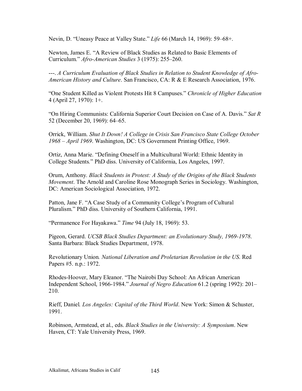Nevin, D. "Uneasy Peace at Valley State." Life 66 (March 14, 1969): 59–68+.

Newton, James E. "A Review of Black Studies as Related to Basic Elements of Curriculum." Afro-American Studies 3 (1975): 255–260.

---. A Curriculum Evaluation of Black Studies in Relation to Student Knowledge of Afro-American History and Culture. San Francisco, CA: R & E Research Association, 1976.

"One Student Killed as Violent Protests Hit 8 Campuses." Chronicle of Higher Education 4 (April 27, 1970): 1+.

"On Hiring Communists: California Superior Court Decision on Case of A. Davis." Sat R 52 (December 20, 1969): 64–65.

Orrick, William. Shut It Down! A College in Crisis San Francisco State College October 1968 – April 1969. Washington, DC: US Government Printing Office, 1969.

Ortiz, Anna Marie. "Defining Oneself in a Multicultural World: Ethnic Identity in College Students." PhD diss. University of California, Los Angeles, 1997.

Orum, Anthony. Black Students in Protest: A Study of the Origins of the Black Students *Movement.* The Arnold and Caroline Rose Monograph Series in Sociology. Washington, DC: American Sociological Association, 1972.

Patton, Jane F. "A Case Study of a Community College's Program of Cultural Pluralism." PhD diss. University of Southern California, 1991.

"Permanence For Hayakawa." Time 94 (July 18, 1969): 53.

Pigeon, Gerard. UCSB Black Studies Department: an Evolutionary Study, 1969-1978. Santa Barbara: Black Studies Department, 1978.

Revolutionary Union. National Liberation and Proletarian Revolution in the US. Red Papers #5, n.p.: 1972.

Rhodes-Hoover, Mary Eleanor. "The Nairobi Day School: An African American Independent School, 1966-1984." Journal of Negro Education 61.2 (spring 1992): 201-210.

Rieff, Daniel. Los Angeles: Capital of the Third World. New York: Simon & Schuster, 1991.

Robinson, Armstead, et al., eds. Black Studies in the University: A Symposium. New Haven, CT: Yale University Press, 1969.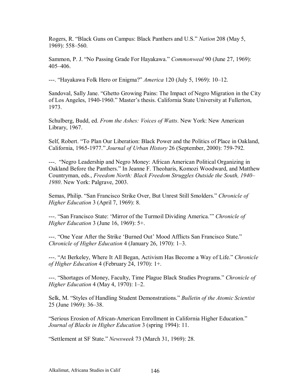Rogers, R. "Black Guns on Campus: Black Panthers and U.S." *Nation* 208 (May 5, 1969): 558–560.

Sammon, P. J. "No Passing Grade For Hayakawa." *Commonweal* 90 (June 27, 1969):  $405 - 406$ 

---. "Hayakawa Folk Hero or Enigma?" *America* 120 (July 5, 1969): 10–12.

Sandoval, Sally Jane. "Ghetto Growing Pains: The Impact of Negro Migration in the City of Los Angeles, 1940-1960." Master's thesis. California State University at Fullerton, 1973.

Schulberg, Budd, ed. *From the Ashes: Voices of Watts*. New York: New American Library, 1967.

Self, Robert. "To Plan Our Liberation: Black Power and the Politics of Place in Oakland, California, 1965-1977.î *Journal of Urban History* 26 (September, 2000): 759-792.

---. "Negro Leadership and Negro Money: African American Political Organizing in Oakland Before the Panthers." In Jeanne F. Theoharis, Komozi Woodward, and Matthew Countryman, eds., *Freedom North: Black Freedom Struggles Outside the South, 1940*– *1980*. New York: Palgrave, 2003.

Semas, Philip. "San Francisco Strike Over, But Unrest Still Smolders." *Chronicle of Higher Education* 3 (April 7, 1969): 8.

---. "San Francisco State: 'Mirror of the Turmoil Dividing America.'" *Chronicle of Higher Education* 3 (June 16, 1969): 5+.

---. "One Year After the Strike 'Burned Out' Mood Afflicts San Francisco State." *Chronicle of Higher Education* 4 (January 26, 1970): 1–3.

---. "At Berkeley, Where It All Began, Activism Has Become a Way of Life." *Chronicle of Higher Education* 4 (February 24, 1970): 1+.

---. ìShortages of Money, Faculty, Time Plague Black Studies Programs.î *Chronicle of Higher Education* 4 (May 4, 1970): 1-2.

Selk, M. "Styles of Handling Student Demonstrations." *Bulletin of the Atomic Scientist* 25 (June 1969): 36–38.

"Serious Erosion of African-American Enrollment in California Higher Education." *Journal of Blacks in Higher Education* 3 (spring 1994): 11.

ìSettlement at SF State.î *Newsweek* 73 (March 31, 1969): 28.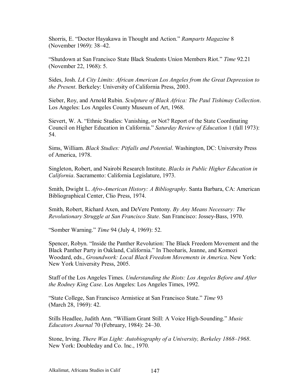Shorris, E. "Doctor Havakawa in Thought and Action." Ramparts Magazine 8 (November 1969): 38–42.

"Shutdown at San Francisco State Black Students Union Members Riot." Time 92.21 (November 22, 1968): 5.

Sides, Josh. LA City Limits: African American Los Angeles from the Great Depression to the Present. Berkeley: University of California Press, 2003.

Sieber, Roy, and Arnold Rubin. Sculpture of Black Africa: The Paul Tishimay Collection. Los Angeles: Los Angeles County Museum of Art, 1968.

Sievert, W. A. "Ethnic Studies: Vanishing, or Not? Report of the State Coordinating Council on Higher Education in California." Saturday Review of Education 1 (fall 1973): 54.

Sims, William. Black Studies: Pitfalls and Potential. Washington, DC: University Press of America, 1978.

Singleton, Robert, and Nairobi Research Institute. Blacks in Public Higher Education in California. Sacramento: California Legislature, 1973.

Smith, Dwight L. Afro-American History: A Bibliography. Santa Barbara, CA: American Bibliographical Center, Clio Press, 1974.

Smith, Robert, Richard Axen, and DeVere Pentony. By Any Means Necessary: The Revolutionary Struggle at San Francisco State. San Francisco: Jossey-Bass, 1970.

"Somber Warning." Time 94 (July 4, 1969): 52.

Spencer, Robyn. "Inside the Panther Revolution: The Black Freedom Movement and the Black Panther Party in Oakland, California." In Theoharis, Jeanne, and Komozi Woodard, eds., Groundwork: Local Black Freedom Movements in America. New York: New York University Press, 2005.

Staff of the Los Angeles Times. Understanding the Riots: Los Angeles Before and After the Rodney King Case. Los Angeles: Los Angeles Times, 1992.

"State College, San Francisco Armistice at San Francisco State." Time 93 (March 28, 1969): 42.

Stills Headlee, Judith Ann. "William Grant Still: A Voice High-Sounding." Music *Educators Journal* 70 (February, 1984): 24–30.

Stone, Irving. There Was Light: Autobiography of a University, Berkeley 1868–1968. New York: Doubleday and Co. Inc., 1970.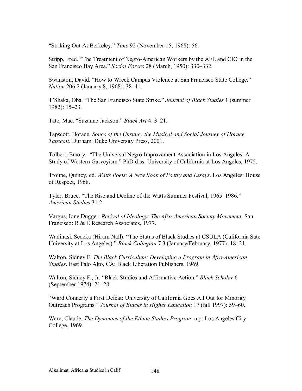ìStriking Out At Berkeley.î *Time* 92 (November 15, 1968): 56.

Stripp, Fred. "The Treatment of Negro-American Workers by the AFL and CIO in the San Francisco Bay Area.<sup>3</sup> *Social Forces* 28 (March, 1950): 330–332.

Swanston, David. "How to Wreck Campus Violence at San Francisco State College." *Nation* 206.2 (January 8, 1968): 38–41.

T'Shaka, Oba. "The San Francisco State Strike." *Journal of Black Studies* 1 (summer  $1982$ :  $15-23$ .

Tate, Mae. "Suzanne Jackson." *Black Art* 4: 3–21.

Tapscott, Horace. *Songs of the Unsung: the Musical and Social Journey of Horace Tapscott*. Durham: Duke University Press, 2001.

Tolbert, Emory. "The Universal Negro Improvement Association in Los Angeles: A Study of Western Garveyism." PhD diss. University of California at Los Angeles, 1975.

Troupe, Quincy, ed. *Watts Poets: A New Book of Poetry and Essays*. Los Angeles: House of Respect, 1968.

Tyler, Bruce. "The Rise and Decline of the Watts Summer Festival, 1965–1986." *American Studies* 31.2

Vargus, Ione Dugger. *Revival of Ideology: The Afro-American Society Movement*. San Francisco: R & E Research Associates, 1977.

Wadinasi, Sedeka (Hiram Nall). "The Status of Black Studies at CSULA (California Sate University at Los Angeles)." *Black Collegian* 7.3 (January/February, 1977): 18–21.

Walton, Sidney F. *The Black Curriculum: Developing a Program in Afro-American Studies*. East Palo Alto, CA: Black Liberation Publishers, 1969.

Walton, Sidney F., Jr. "Black Studies and Affirmative Action." *Black Scholar* 6 (September 1974):  $21-28$ .

ìWard Connerlyís First Defeat: University of California Goes All Out for Minority Outreach Programs." *Journal of Blacks in Higher Education* 17 (fall 1997): 59–60.

Ware, Claude. *The Dynamics of the Ethnic Studies Program*. n.p: Los Angeles City College, 1969.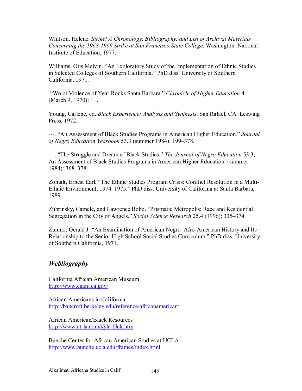Whitson, Helene. *Strike! A Chronology, Bibliography, and List of Archival Materials Concerning the 1968-1969 Strike at San Francisco State College*. Washington: National Institute of Education, 1977.

Williams, Otis Melvin. "An Exploratory Study of the Implementation of Ethnic Studies in Selected Colleges of Southern California." PhD diss. University of Southern California, 1971.

 ìWorst Violence of Year Rocks Santa Barbara.î *Chronicle of Higher Education* 4 (March 9, 1970): 1+.

Young, Carlene, ed. *Black Experience: Analysis and Synthesis*. San Rafael, CA: Leswing Press, 1972.

---. ìAn Assessment of Black Studies Programs in American Higher Education.î *Journal of Negro Education Yearbook* 53.3 (summer 1984): 199–378.

---. "The Struggle and Dream of Black Studies." *The Journal of Negro Education* 53.3, An Assessment of Black Studies Programs in American Higher Education. (summer 1984): 368–378.

Zomalt, Ernest Earl. "The Ethnic Studies Program Crisis: Conflict Resolution in a Multi-Ethnic Environment, 1974–1975." PhD diss. University of California at Santa Barbara, 1989.

Zubrinsky, Camele, and Lawrence Bobo. "Prismatic Metropolis: Race and Residential Segregation in the City of Angels." *Social Science Research* 25.4 (1996): 335–374.

Zunino, Gerald J. "An Examination of American Negro–Afro-American History and Its Relationship to the Senior High School Social Studies Curriculum." PhD diss. University of Southern California, 1971.

## *Webliography*

California African American Museum http://www.caam.ca.gov/

African Americans in California http://bancroft.berkeley.edu/reference/africanamerican/

African American/Black Resources http://www.at-la.com/@la-blck.htm

Bunche Center for African American Studies at UCLA http://www.bunche.ucla.edu/frames/index.html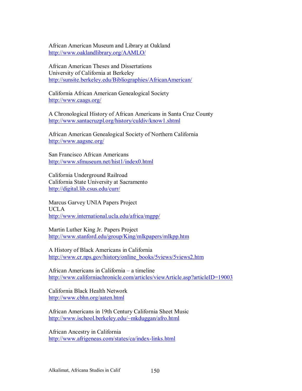African American Museum and Library at Oakland http://www.oaklandlibrary.org/AAMLO/

African American Theses and Dissertations University of California at Berkeley http://sunsite.berkeley.edu/Bibliographies/AfricanAmerican/

California African American Genealogical Society http://www.caags.org/

A Chronological History of African Americans in Santa Cruz County http://www.santacruzpl.org/history/culdiv/know1.shtml

African American Genealogical Society of Northern California http://www.aagsnc.org/

San Francisco African Americans http://www.sfmuseum.net/hist1/index0.html

California Underground Railroad California State University at Sacramento http://digital.lib.csus.edu/curr/

Marcus Garvey UNIA Papers Project UCLA http://www.international.ucla.edu/africa/mgpp/

Martin Luther King Jr. Papers Project http://www.stanford.edu/group/King/mlkpapers/mlkpp.htm

A History of Black Americans in California http://www.cr.nps.gov/history/online\_books/5views/5views2.htm

African Americans in California – a timeline http://www.californiachronicle.com/articles/viewArticle.asp?articleID=19003

California Black Health Network http://www.cbhn.org/aaten.html

African Americans in 19th Century California Sheet Music http://www.ischool.berkeley.edu/~mkduggan/afro.html

African Ancestry in California http://www.afrigeneas.com/states/ca/index-links.html